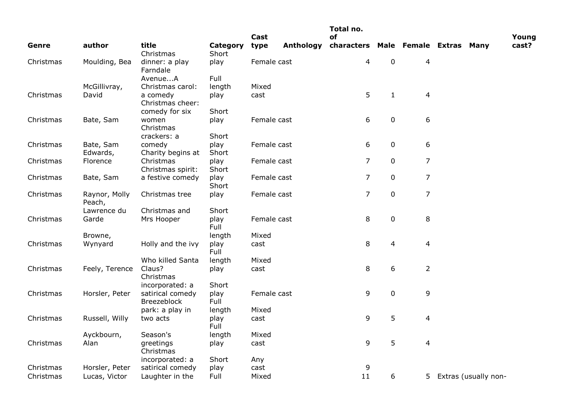|           |                         |                                        |               |              |           | Total no.                                |                |                          |                      |                |
|-----------|-------------------------|----------------------------------------|---------------|--------------|-----------|------------------------------------------|----------------|--------------------------|----------------------|----------------|
| Genre     | author                  | title                                  | Category      | Cast<br>type | Anthology | of<br>characters Male Female Extras Many |                |                          |                      | Young<br>cast? |
|           |                         | Christmas                              | Short         |              |           |                                          |                |                          |                      |                |
| Christmas | Moulding, Bea           | dinner: a play<br>Farndale             | play          | Female cast  |           | 4                                        | $\mathbf 0$    | 4                        |                      |                |
|           |                         | AvenueA                                | Full          |              |           |                                          |                |                          |                      |                |
|           | McGillivray,            | Christmas carol:                       | length        | Mixed        |           |                                          |                |                          |                      |                |
| Christmas | David                   | a comedy<br>Christmas cheer:           | play          | cast         |           | 5                                        | $\mathbf{1}$   | $\overline{\mathcal{L}}$ |                      |                |
|           |                         | comedy for six                         | Short         |              |           |                                          |                |                          |                      |                |
| Christmas | Bate, Sam               | women<br>Christmas                     | play          | Female cast  |           | 6                                        | $\pmb{0}$      | 6                        |                      |                |
|           |                         | crackers: a                            | Short         |              |           |                                          |                |                          |                      |                |
| Christmas | Bate, Sam               | comedy                                 | play          | Female cast  |           | 6                                        | $\pmb{0}$      | 6                        |                      |                |
|           | Edwards,                | Charity begins at                      | Short         |              |           |                                          |                |                          |                      |                |
| Christmas | Florence                | Christmas<br>Christmas spirit:         | play<br>Short | Female cast  |           | 7                                        | $\pmb{0}$      | 7                        |                      |                |
| Christmas | Bate, Sam               | a festive comedy                       | play<br>Short | Female cast  |           | $\overline{7}$                           | $\pmb{0}$      | 7                        |                      |                |
| Christmas | Raynor, Molly<br>Peach, | Christmas tree                         | play          | Female cast  |           | $\overline{7}$                           | $\pmb{0}$      | $\overline{7}$           |                      |                |
|           | Lawrence du             | Christmas and                          | Short         |              |           |                                          |                |                          |                      |                |
| Christmas | Garde                   | Mrs Hooper                             | play<br>Full  | Female cast  |           | 8                                        | $\mathbf 0$    | 8                        |                      |                |
|           | Browne,                 |                                        | length        | Mixed        |           |                                          |                |                          |                      |                |
| Christmas | Wynyard                 | Holly and the ivy                      | play<br>Full  | cast         |           | 8                                        | $\overline{4}$ | 4                        |                      |                |
|           |                         | Who killed Santa                       | length        | Mixed        |           |                                          |                |                          |                      |                |
| Christmas | Feely, Terence          | Claus?<br>Christmas                    | play          | cast         |           | 8                                        | 6              | $\overline{2}$           |                      |                |
|           |                         | incorporated: a                        | Short         |              |           |                                          |                |                          |                      |                |
| Christmas | Horsler, Peter          | satirical comedy<br><b>Breezeblock</b> | play<br>Full  | Female cast  |           | 9                                        | $\mathbf 0$    | 9                        |                      |                |
|           |                         | park: a play in                        | length        | Mixed        |           |                                          |                |                          |                      |                |
| Christmas | Russell, Willy          | two acts                               | play<br>Full  | cast         |           | 9                                        | 5              | 4                        |                      |                |
|           | Ayckbourn,              | Season's                               | length        | Mixed        |           |                                          |                |                          |                      |                |
| Christmas | Alan                    | greetings<br>Christmas                 | play          | cast         |           | 9                                        | 5              | 4                        |                      |                |
|           |                         | incorporated: a                        | Short         | Any          |           |                                          |                |                          |                      |                |
| Christmas | Horsler, Peter          | satirical comedy                       | play          | cast         |           | 9                                        |                |                          |                      |                |
| Christmas | Lucas, Victor           | Laughter in the                        | Full          | Mixed        |           | 11                                       | 6              | 5 <sub>1</sub>           | Extras (usually non- |                |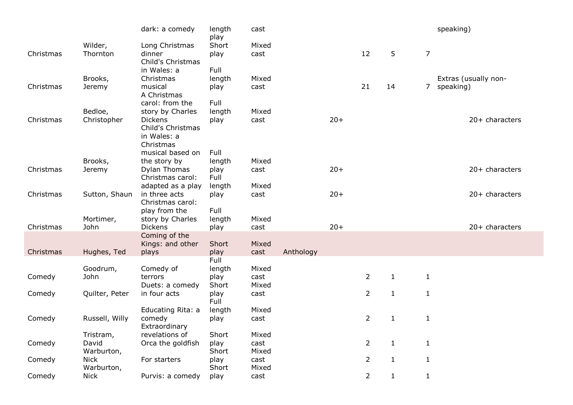|           |                | dark: a comedy    | length<br>play | cast  |           |       |                |              |                | speaking)            |
|-----------|----------------|-------------------|----------------|-------|-----------|-------|----------------|--------------|----------------|----------------------|
|           | Wilder,        | Long Christmas    | Short          | Mixed |           |       |                |              |                |                      |
| Christmas | Thornton       | dinner            | play           | cast  |           |       | 12             | 5            | $\overline{7}$ |                      |
|           |                | Child's Christmas |                |       |           |       |                |              |                |                      |
|           |                | in Wales: a       | Full           |       |           |       |                |              |                |                      |
|           | Brooks,        | Christmas         | length         | Mixed |           |       |                |              |                | Extras (usually non- |
| Christmas | Jeremy         | musical           | play           | cast  |           |       | 21             | 14           | 7 <sup>7</sup> | speaking)            |
|           |                | A Christmas       |                |       |           |       |                |              |                |                      |
|           |                | carol: from the   | Full           |       |           |       |                |              |                |                      |
|           | Bedloe,        | story by Charles  | length         | Mixed |           |       |                |              |                |                      |
| Christmas | Christopher    | <b>Dickens</b>    | play           | cast  |           | $20+$ |                |              |                | $20+$ characters     |
|           |                | Child's Christmas |                |       |           |       |                |              |                |                      |
|           |                | in Wales: a       |                |       |           |       |                |              |                |                      |
|           |                | Christmas         |                |       |           |       |                |              |                |                      |
|           |                | musical based on  | Full           |       |           |       |                |              |                |                      |
|           | Brooks,        | the story by      | length         | Mixed |           |       |                |              |                |                      |
| Christmas | Jeremy         | Dylan Thomas      | play           | cast  |           | $20+$ |                |              |                | 20+ characters       |
|           |                | Christmas carol:  | Full           |       |           |       |                |              |                |                      |
|           |                | adapted as a play | length         | Mixed |           |       |                |              |                |                      |
| Christmas | Sutton, Shaun  | in three acts     | play           | cast  |           | $20+$ |                |              |                | 20+ characters       |
|           |                | Christmas carol:  |                |       |           |       |                |              |                |                      |
|           |                | play from the     | Full           |       |           |       |                |              |                |                      |
|           | Mortimer,      | story by Charles  | length         | Mixed |           |       |                |              |                |                      |
| Christmas | John           | <b>Dickens</b>    | play           | cast  |           | $20+$ |                |              |                | $20+$ characters     |
|           |                | Coming of the     |                |       |           |       |                |              |                |                      |
|           |                | Kings: and other  | Short          | Mixed |           |       |                |              |                |                      |
| Christmas | Hughes, Ted    | plays             | play           | cast  | Anthology |       |                |              |                |                      |
|           |                |                   | Full           |       |           |       |                |              |                |                      |
|           | Goodrum,       | Comedy of         | length         | Mixed |           |       |                |              |                |                      |
| Comedy    | John           | terrors           | play           | cast  |           |       | $\overline{2}$ | $\mathbf{1}$ | $\mathbf{1}$   |                      |
|           |                | Duets: a comedy   | Short          | Mixed |           |       |                |              |                |                      |
| Comedy    | Quilter, Peter | in four acts      | play           | cast  |           |       | $\overline{2}$ | $\mathbf{1}$ | $\mathbf{1}$   |                      |
|           |                |                   | Full           |       |           |       |                |              |                |                      |
|           |                | Educating Rita: a | length         | Mixed |           |       |                |              |                |                      |
| Comedy    | Russell, Willy | comedy            | play           | cast  |           |       | 2              | 1            | 1              |                      |
|           |                | Extraordinary     |                |       |           |       |                |              |                |                      |
|           | Tristram,      | revelations of    | Short          | Mixed |           |       |                |              |                |                      |
| Comedy    | David          | Orca the goldfish | play           | cast  |           |       | 2              | $\mathbf{1}$ | 1              |                      |
|           | Warburton,     |                   | Short          | Mixed |           |       |                |              |                |                      |
| Comedy    | <b>Nick</b>    | For starters      | play           | cast  |           |       | $\overline{2}$ | $\mathbf{1}$ | $\mathbf{1}$   |                      |
|           | Warburton,     |                   | Short          | Mixed |           |       |                |              |                |                      |
| Comedy    | <b>Nick</b>    | Purvis: a comedy  | play           | cast  |           |       | $\overline{2}$ | $\mathbf{1}$ | $\mathbf{1}$   |                      |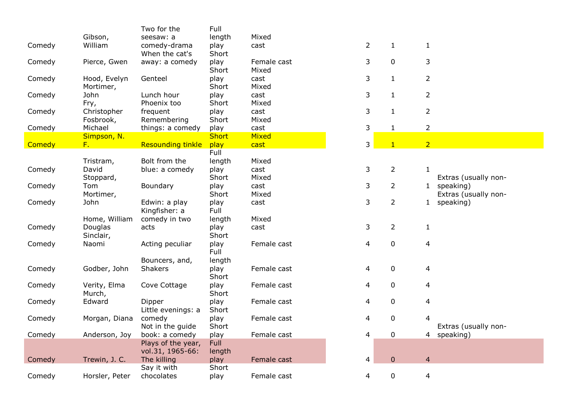|        |                | Two for the              | Full                 |              |                          |                |                |                      |
|--------|----------------|--------------------------|----------------------|--------------|--------------------------|----------------|----------------|----------------------|
|        | Gibson,        | seesaw: a                | length               | Mixed        |                          |                |                |                      |
| Comedy | William        | comedy-drama             | play                 | cast         | $\overline{2}$           | $\mathbf{1}$   | $\mathbf{1}$   |                      |
|        |                | When the cat's           | Short                |              |                          |                |                |                      |
| Comedy | Pierce, Gwen   | away: a comedy           | play                 | Female cast  | 3                        | $\mathbf 0$    | 3              |                      |
|        |                |                          | Short                | Mixed        |                          |                |                |                      |
| Comedy | Hood, Evelyn   | Genteel                  | play                 | cast         | 3                        | $\mathbf{1}$   | 2              |                      |
|        | Mortimer,      |                          | Short                | Mixed        |                          |                |                |                      |
| Comedy | John           | Lunch hour               | play                 | cast         | 3                        | $\mathbf{1}$   | 2              |                      |
|        | Fry,           | Phoenix too              | Short                | Mixed        |                          |                |                |                      |
| Comedy | Christopher    | frequent                 | play                 | cast         | 3                        | $\mathbf{1}$   | $\overline{2}$ |                      |
|        | Fosbrook,      | Remembering              | Short                | Mixed        |                          |                |                |                      |
|        | Michael        | things: a comedy         |                      | cast         | 3                        | $\mathbf{1}$   | $\overline{2}$ |                      |
| Comedy | Simpson, N.    |                          | play<br><b>Short</b> | <b>Mixed</b> |                          |                |                |                      |
| Comedy | $F_{\star}$    | <b>Resounding tinkle</b> | play                 | cast         | 3                        | $\mathbf{1}$   | 2 <sup>1</sup> |                      |
|        |                |                          | Full                 |              |                          |                |                |                      |
|        |                |                          |                      |              |                          |                |                |                      |
|        | Tristram,      | Bolt from the            | length               | Mixed        |                          |                |                |                      |
| Comedy | David          | blue: a comedy           | play                 | cast         | 3                        | $\overline{2}$ | 1              |                      |
|        | Stoppard,      |                          | Short                | Mixed        |                          |                |                | Extras (usually non- |
| Comedy | Tom            | Boundary                 | play                 | cast         | 3                        | $\overline{2}$ |                | 1 speaking)          |
|        | Mortimer,      |                          | Short                | Mixed        |                          |                |                | Extras (usually non- |
| Comedy | John           | Edwin: a play            | play                 | cast         | 3                        | $\overline{2}$ |                | 1 speaking)          |
|        |                | Kingfisher: a            | Full                 |              |                          |                |                |                      |
|        | Home, William  | comedy in two            | length               | Mixed        |                          |                |                |                      |
| Comedy | Douglas        | acts                     | play                 | cast         | 3                        | 2              | $\mathbf{1}$   |                      |
|        | Sinclair,      |                          | Short                |              |                          |                |                |                      |
| Comedy | Naomi          | Acting peculiar          | play                 | Female cast  | $\overline{\mathcal{A}}$ | 0              | 4              |                      |
|        |                |                          | Full                 |              |                          |                |                |                      |
|        |                | Bouncers, and,           | length               |              |                          |                |                |                      |
| Comedy | Godber, John   | Shakers                  | play                 | Female cast  | 4                        | 0              | 4              |                      |
|        |                |                          | Short                |              |                          |                |                |                      |
| Comedy | Verity, Elma   | Cove Cottage             | play                 | Female cast  | 4                        | 0              | 4              |                      |
|        | Murch,         |                          | Short                |              |                          |                |                |                      |
| Comedy | Edward         | Dipper                   | play                 | Female cast  | 4                        | 0              | 4              |                      |
|        |                | Little evenings: a       | Short                |              |                          |                |                |                      |
| Comedy | Morgan, Diana  | comedy                   | play                 | Female cast  | 4                        | $\mathbf 0$    | 4              |                      |
|        |                | Not in the guide         | Short                |              |                          |                |                | Extras (usually non- |
| Comedy | Anderson, Joy  | book: a comedy           | play                 | Female cast  | $\overline{\mathcal{L}}$ | 0              |                | 4 speaking)          |
|        |                | Plays of the year,       | Full                 |              |                          |                |                |                      |
|        |                | vol.31, 1965-66:         | length               |              |                          |                |                |                      |
| Comedy | Trewin, J. C.  | The killing              | play                 | Female cast  | 4                        | $\overline{0}$ | $\overline{4}$ |                      |
|        |                | Say it with              | Short                |              |                          |                |                |                      |
| Comedy | Horsler, Peter | chocolates               | play                 | Female cast  | 4                        | 0              | $\overline{4}$ |                      |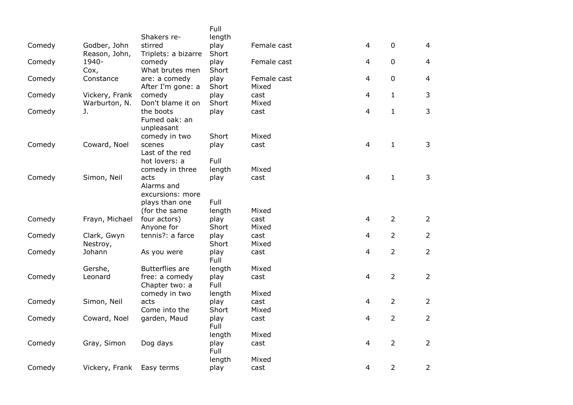|        |                               |                                | Full          |               |                |                |                |
|--------|-------------------------------|--------------------------------|---------------|---------------|----------------|----------------|----------------|
|        |                               | Shakers re-                    | length        |               |                | $\mathbf 0$    |                |
| Comedy | Godber, John<br>Reason, John, | stirred<br>Triplets: a bizarre | play<br>Short | Female cast   | 4              |                | $\overline{4}$ |
| Comedy | 1940-                         | comedy                         | play          | Female cast   | 4              | $\mathbf 0$    | $\overline{4}$ |
|        | Cox,                          | What brutes men                | Short         |               |                |                |                |
| Comedy | Constance                     | are: a comedy                  | play          | Female cast   | 4              | $\mathbf 0$    | $\overline{4}$ |
|        |                               | After I'm gone: a              | Short         | Mixed         |                |                |                |
| Comedy | Vickery, Frank                | comedy                         | play          | cast          | 4              | $\mathbf{1}$   | 3              |
|        | Warburton, N.                 | Don't blame it on              | Short         | Mixed         |                |                |                |
| Comedy | J.                            | the boots                      | play          | cast          | 4              | $\mathbf{1}$   | $\mathfrak{Z}$ |
|        |                               | Fumed oak: an                  |               |               |                |                |                |
|        |                               | unpleasant                     |               |               |                |                |                |
| Comedy | Coward, Noel                  | comedy in two<br>scenes        | Short<br>play | Mixed<br>cast | 4              | $\mathbf{1}$   | 3              |
|        |                               | Last of the red                |               |               |                |                |                |
|        |                               | hot lovers: a                  | Full          |               |                |                |                |
|        |                               | comedy in three                | length        | Mixed         |                |                |                |
| Comedy | Simon, Neil                   | acts                           | play          | cast          | 4              | $\mathbf{1}$   | 3              |
|        |                               | Alarms and                     |               |               |                |                |                |
|        |                               | excursions: more               |               |               |                |                |                |
|        |                               | plays than one                 | Full          |               |                |                |                |
|        |                               | (for the same                  | length        | Mixed         |                |                |                |
| Comedy | Frayn, Michael                | four actors)                   | play<br>Short | cast<br>Mixed | 4              | $\overline{2}$ | $\overline{2}$ |
| Comedy | Clark, Gwyn                   | Anyone for<br>tennis?: a farce | play          | cast          | 4              | $\overline{2}$ | $\overline{2}$ |
|        | Nestroy,                      |                                | Short         | Mixed         |                |                |                |
| Comedy | Johann                        | As you were                    | play          | cast          | $\overline{4}$ | $\overline{2}$ | $\overline{2}$ |
|        |                               |                                | Full          |               |                |                |                |
|        | Gershe,                       | <b>Butterflies are</b>         | length        | Mixed         |                |                |                |
| Comedy | Leonard                       | free: a comedy                 | play          | cast          | $\overline{4}$ | $\overline{2}$ | $\overline{2}$ |
|        |                               | Chapter two: a                 | Full          |               |                |                |                |
|        |                               | comedy in two                  | length        | Mixed         |                |                |                |
| Comedy | Simon, Neil                   | acts                           | play          | cast          | 4              | $\overline{2}$ | $\overline{2}$ |
| Comedy | Coward, Noel                  | Come into the<br>garden, Maud  | Short<br>play | Mixed<br>cast | 4              | $\overline{2}$ | $\overline{2}$ |
|        |                               |                                | Full          |               |                |                |                |
|        |                               |                                | length        | Mixed         |                |                |                |
| Comedy | Gray, Simon                   | Dog days                       | play          | cast          | 4              | $\overline{2}$ | $\overline{2}$ |
|        |                               |                                | Full          |               |                |                |                |
|        |                               |                                | length        | Mixed         |                |                |                |
| Comedy | Vickery, Frank                | Easy terms                     | play          | cast          | 4              | $\overline{2}$ | $\overline{2}$ |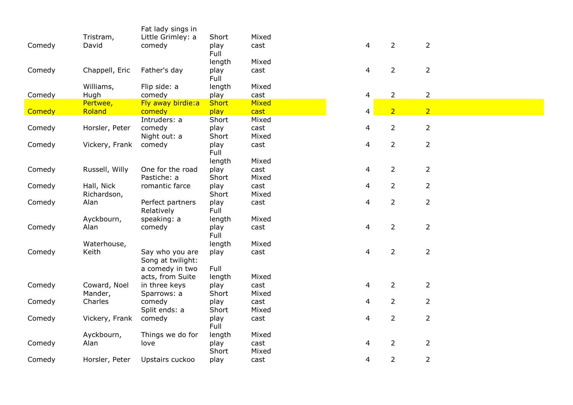|        |                   | Fat lady sings in      |                      |               |                |                |                |
|--------|-------------------|------------------------|----------------------|---------------|----------------|----------------|----------------|
|        | Tristram,         | Little Grimley: a      | Short                | Mixed         |                |                |                |
| Comedy | David             | comedy                 | play                 | cast          | 4              | $\overline{2}$ | $\overline{2}$ |
|        |                   |                        | Full                 |               |                |                |                |
|        |                   |                        | length               | Mixed         |                |                |                |
| Comedy | Chappell, Eric    | Father's day           | play<br>Full         | cast          | 4              | $\overline{2}$ | $\overline{2}$ |
|        |                   |                        |                      |               |                |                |                |
|        | Williams,<br>Hugh | Flip side: a<br>comedy | length               | Mixed<br>cast | 4              | $\overline{2}$ | $\overline{2}$ |
| Comedy | Pertwee,          | Fly away birdie:a      | play<br><b>Short</b> | Mixed         |                |                |                |
| Comedy | Roland            | comedy                 | play                 | cast          | 4              | $\overline{2}$ | 2 <sup>1</sup> |
|        |                   | Intruders: a           | Short                | Mixed         |                |                |                |
| Comedy | Horsler, Peter    | comedy                 | play                 | cast          | 4              | $\overline{2}$ | $\overline{2}$ |
|        |                   | Night out: a           | Short                | Mixed         |                |                |                |
| Comedy | Vickery, Frank    | comedy                 | play                 | cast          | 4              | $\overline{2}$ | $\overline{2}$ |
|        |                   |                        | Full                 |               |                |                |                |
|        |                   |                        | length               | Mixed         |                |                |                |
| Comedy | Russell, Willy    | One for the road       | play                 | cast          | $\overline{4}$ | $\overline{2}$ | $\overline{2}$ |
|        |                   | Pastiche: a            | Short                | Mixed         |                |                |                |
| Comedy | Hall, Nick        | romantic farce         | play                 | cast          | 4              | $\overline{2}$ | $\overline{2}$ |
|        | Richardson,       |                        | Short                | Mixed         |                |                |                |
| Comedy | Alan              | Perfect partners       | play                 | cast          | 4              | $\overline{2}$ | $\overline{2}$ |
|        |                   | Relatively             | Full                 |               |                |                |                |
|        | Ayckbourn,        | speaking: a            | length               | Mixed         |                |                |                |
| Comedy | Alan              | comedy                 | play                 | cast          | 4              | $\overline{2}$ | $\overline{2}$ |
|        |                   |                        | Full                 |               |                |                |                |
|        | Waterhouse,       |                        | length               | Mixed         |                |                |                |
| Comedy | Keith             | Say who you are        | play                 | cast          | 4              | $\overline{2}$ | $\overline{2}$ |
|        |                   | Song at twilight:      |                      |               |                |                |                |
|        |                   | a comedy in two        | Full                 |               |                |                |                |
|        |                   | acts, from Suite       | length               | Mixed         |                |                |                |
| Comedy | Coward, Noel      | in three keys          | play                 | cast          | 4              | $\overline{2}$ | $\overline{2}$ |
|        | Mander,           | Sparrows: a            | Short                | Mixed         |                |                |                |
| Comedy | Charles           | comedy                 | play                 | cast          | 4              | $\overline{2}$ | $\overline{2}$ |
|        |                   | Split ends: a          | Short                | Mixed         |                |                |                |
| Comedy | Vickery, Frank    | comedy                 | play<br>Full         | cast          | 4              | $\overline{2}$ | $\overline{2}$ |
|        | Ayckbourn,        | Things we do for       | length               | Mixed         |                |                |                |
| Comedy | Alan              | love                   | play                 | cast          | 4              | $\overline{2}$ | $\overline{2}$ |
|        |                   |                        | Short                | Mixed         |                |                |                |
| Comedy | Horsler, Peter    | Upstairs cuckoo        | play                 | cast          | 4              | $\overline{2}$ | $\overline{2}$ |
|        |                   |                        |                      |               |                |                |                |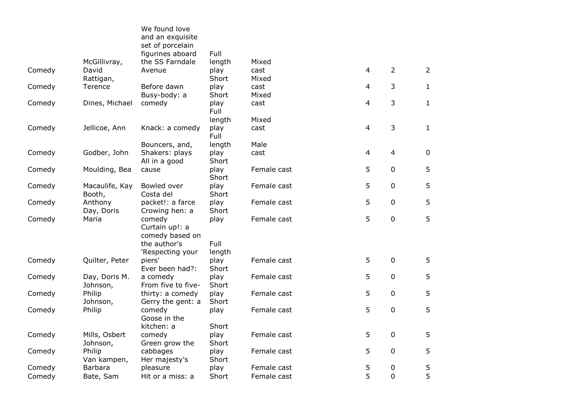|                          | We found love<br>and an exquisite<br>set of porcelain                                                                                                                             |                                                                                                                                                                                                                                                                                                                                        |                                                                                                                                                                                             |                                                                                                                                    |                                                                                                             |                                                                                                        |
|--------------------------|-----------------------------------------------------------------------------------------------------------------------------------------------------------------------------------|----------------------------------------------------------------------------------------------------------------------------------------------------------------------------------------------------------------------------------------------------------------------------------------------------------------------------------------|---------------------------------------------------------------------------------------------------------------------------------------------------------------------------------------------|------------------------------------------------------------------------------------------------------------------------------------|-------------------------------------------------------------------------------------------------------------|--------------------------------------------------------------------------------------------------------|
|                          |                                                                                                                                                                                   |                                                                                                                                                                                                                                                                                                                                        |                                                                                                                                                                                             |                                                                                                                                    |                                                                                                             |                                                                                                        |
| David                    | Avenue                                                                                                                                                                            | play                                                                                                                                                                                                                                                                                                                                   | cast                                                                                                                                                                                        |                                                                                                                                    | $\overline{2}$                                                                                              | $\overline{2}$                                                                                         |
| Rattigan,                |                                                                                                                                                                                   | Short                                                                                                                                                                                                                                                                                                                                  | Mixed                                                                                                                                                                                       |                                                                                                                                    |                                                                                                             |                                                                                                        |
| Terence                  | Before dawn                                                                                                                                                                       | play                                                                                                                                                                                                                                                                                                                                   | cast                                                                                                                                                                                        |                                                                                                                                    |                                                                                                             | $\mathbf{1}$                                                                                           |
|                          |                                                                                                                                                                                   |                                                                                                                                                                                                                                                                                                                                        |                                                                                                                                                                                             |                                                                                                                                    |                                                                                                             |                                                                                                        |
|                          |                                                                                                                                                                                   | Full                                                                                                                                                                                                                                                                                                                                   |                                                                                                                                                                                             |                                                                                                                                    |                                                                                                             | $\mathbf{1}$                                                                                           |
|                          |                                                                                                                                                                                   |                                                                                                                                                                                                                                                                                                                                        |                                                                                                                                                                                             |                                                                                                                                    |                                                                                                             |                                                                                                        |
|                          |                                                                                                                                                                                   | Full                                                                                                                                                                                                                                                                                                                                   |                                                                                                                                                                                             |                                                                                                                                    |                                                                                                             | $\mathbf{1}$                                                                                           |
|                          |                                                                                                                                                                                   |                                                                                                                                                                                                                                                                                                                                        |                                                                                                                                                                                             |                                                                                                                                    |                                                                                                             |                                                                                                        |
|                          | All in a good                                                                                                                                                                     | Short                                                                                                                                                                                                                                                                                                                                  |                                                                                                                                                                                             |                                                                                                                                    |                                                                                                             | $\mathbf 0$                                                                                            |
|                          | cause                                                                                                                                                                             | Short                                                                                                                                                                                                                                                                                                                                  |                                                                                                                                                                                             |                                                                                                                                    |                                                                                                             | 5                                                                                                      |
| Macaulife, Kay<br>Booth, | Bowled over<br>Costa del                                                                                                                                                          | play<br>Short                                                                                                                                                                                                                                                                                                                          | Female cast                                                                                                                                                                                 |                                                                                                                                    |                                                                                                             | 5                                                                                                      |
| Anthony                  | packet!: a farce                                                                                                                                                                  | play                                                                                                                                                                                                                                                                                                                                   | Female cast                                                                                                                                                                                 |                                                                                                                                    | $\mathbf 0$                                                                                                 | 5                                                                                                      |
| Maria                    | comedy<br>Curtain up!: a<br>comedy based on                                                                                                                                       | play                                                                                                                                                                                                                                                                                                                                   | Female cast                                                                                                                                                                                 |                                                                                                                                    | $\mathbf 0$                                                                                                 | 5                                                                                                      |
|                          |                                                                                                                                                                                   |                                                                                                                                                                                                                                                                                                                                        |                                                                                                                                                                                             |                                                                                                                                    |                                                                                                             |                                                                                                        |
| Quilter, Peter           | piers'                                                                                                                                                                            | play                                                                                                                                                                                                                                                                                                                                   | Female cast                                                                                                                                                                                 |                                                                                                                                    | $\mathbf 0$                                                                                                 | 5                                                                                                      |
|                          |                                                                                                                                                                                   |                                                                                                                                                                                                                                                                                                                                        |                                                                                                                                                                                             |                                                                                                                                    |                                                                                                             | 5                                                                                                      |
|                          |                                                                                                                                                                                   |                                                                                                                                                                                                                                                                                                                                        |                                                                                                                                                                                             |                                                                                                                                    |                                                                                                             |                                                                                                        |
| Philip                   |                                                                                                                                                                                   |                                                                                                                                                                                                                                                                                                                                        | Female cast                                                                                                                                                                                 |                                                                                                                                    | $\mathbf 0$                                                                                                 | 5                                                                                                      |
| Johnson,                 | Gerry the gent: a                                                                                                                                                                 | Short                                                                                                                                                                                                                                                                                                                                  |                                                                                                                                                                                             |                                                                                                                                    |                                                                                                             |                                                                                                        |
| Philip                   | comedy<br>Goose in the                                                                                                                                                            | play                                                                                                                                                                                                                                                                                                                                   | Female cast                                                                                                                                                                                 |                                                                                                                                    | $\pmb{0}$                                                                                                   | 5                                                                                                      |
|                          |                                                                                                                                                                                   |                                                                                                                                                                                                                                                                                                                                        |                                                                                                                                                                                             |                                                                                                                                    |                                                                                                             |                                                                                                        |
|                          |                                                                                                                                                                                   |                                                                                                                                                                                                                                                                                                                                        |                                                                                                                                                                                             |                                                                                                                                    |                                                                                                             | 5                                                                                                      |
|                          |                                                                                                                                                                                   |                                                                                                                                                                                                                                                                                                                                        |                                                                                                                                                                                             |                                                                                                                                    |                                                                                                             | 5                                                                                                      |
|                          |                                                                                                                                                                                   |                                                                                                                                                                                                                                                                                                                                        |                                                                                                                                                                                             |                                                                                                                                    |                                                                                                             |                                                                                                        |
| Barbara                  |                                                                                                                                                                                   |                                                                                                                                                                                                                                                                                                                                        |                                                                                                                                                                                             |                                                                                                                                    | 0                                                                                                           | 5                                                                                                      |
| Bate, Sam                | Hit or a miss: a                                                                                                                                                                  | Short                                                                                                                                                                                                                                                                                                                                  | Female cast                                                                                                                                                                                 |                                                                                                                                    | 0                                                                                                           | 5                                                                                                      |
|                          | McGillivray,<br>Dines, Michael<br>Jellicoe, Ann<br>Godber, John<br>Moulding, Bea<br>Day, Doris<br>Day, Doris M.<br>Johnson,<br>Mills, Osbert<br>Johnson,<br>Philip<br>Van kampen, | figurines aboard<br>the SS Farndale<br>Busy-body: a<br>comedy<br>Knack: a comedy<br>Bouncers, and,<br>Shakers: plays<br>Crowing hen: a<br>the author's<br>'Respecting your<br>Ever been had?:<br>a comedy<br>From five to five-<br>thirty: a comedy<br>kitchen: a<br>comedy<br>Green grow the<br>cabbages<br>Her majesty's<br>pleasure | Full<br>length<br>Short<br>play<br>length<br>play<br>length<br>play<br>play<br>Short<br>Full<br>length<br>Short<br>play<br>Short<br>play<br>Short<br>play<br>Short<br>play<br>Short<br>play | Mixed<br>Mixed<br>cast<br>Mixed<br>cast<br>Male<br>cast<br>Female cast<br>Female cast<br>Female cast<br>Female cast<br>Female cast | $\overline{4}$<br>4<br>4<br>4<br>$\overline{4}$<br>5<br>5<br>5<br>5<br>5<br>5<br>5<br>5<br>5<br>5<br>5<br>5 | 3<br>3<br>3<br>$\overline{4}$<br>$\mathbf 0$<br>$\pmb{0}$<br>$\mathbf 0$<br>$\mathbf 0$<br>$\mathbf 0$ |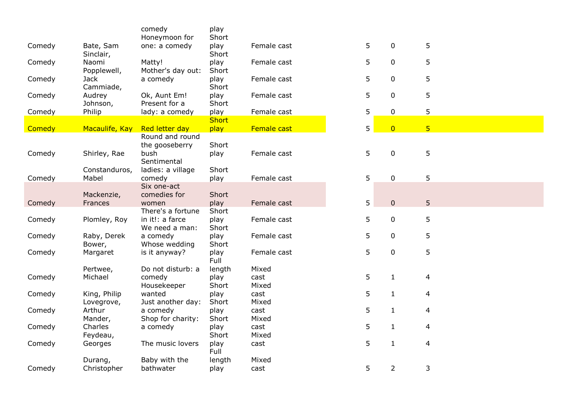|        |                          | comedy                                              | play                 |               |   |                |                |
|--------|--------------------------|-----------------------------------------------------|----------------------|---------------|---|----------------|----------------|
|        |                          | Honeymoon for                                       | Short                |               |   |                |                |
| Comedy | Bate, Sam<br>Sinclair,   | one: a comedy                                       | play<br>Short        | Female cast   | 5 | 0              | 5              |
| Comedy | Naomi<br>Popplewell,     | Matty!<br>Mother's day out:                         | play<br>Short        | Female cast   | 5 | 0              | 5              |
| Comedy | <b>Jack</b><br>Cammiade, | a comedy                                            | play<br>Short        | Female cast   | 5 | 0              | 5              |
| Comedy | Audrey<br>Johnson,       | Ok, Aunt Em!<br>Present for a                       | play<br>Short        | Female cast   | 5 | $\mathbf 0$    | 5              |
| Comedy | Philip                   | lady: a comedy                                      | play<br><b>Short</b> | Female cast   | 5 | $\pmb{0}$      | 5              |
|        |                          |                                                     |                      |               |   |                |                |
| Comedy | Macaulife, Kay           | Red letter day<br>Round and round<br>the gooseberry | play<br>Short        | Female cast   | 5 | $\overline{0}$ | $\overline{5}$ |
| Comedy | Shirley, Rae             | bush<br>Sentimental                                 | play                 | Female cast   | 5 | $\pmb{0}$      | 5              |
| Comedy | Constanduros,<br>Mabel   | ladies: a village<br>comedy                         | Short<br>play        | Female cast   | 5 | $\pmb{0}$      | 5              |
|        | Mackenzie,               | Six one-act<br>comedies for                         | Short                |               |   |                |                |
| Comedy | Frances                  | women                                               | play                 | Female cast   | 5 | $\pmb{0}$      | 5              |
|        |                          | There's a fortune                                   | Short                |               |   |                |                |
| Comedy | Plomley, Roy             | in it!: a farce<br>We need a man:                   | play<br>Short        | Female cast   | 5 | 0              | 5              |
| Comedy | Raby, Derek<br>Bower,    | a comedy<br>Whose wedding                           | play<br>Short        | Female cast   | 5 | $\mathbf 0$    | 5              |
| Comedy | Margaret                 | is it anyway?                                       | play<br>Full         | Female cast   | 5 | $\mathbf 0$    | 5              |
|        | Pertwee,                 | Do not disturb: a                                   | length               | Mixed         |   |                |                |
| Comedy | Michael                  | comedy<br>Housekeeper                               | play<br>Short        | cast<br>Mixed | 5 | $\mathbf{1}$   | 4              |
| Comedy | King, Philip             | wanted                                              | play                 | cast          | 5 | $\mathbf{1}$   | 4              |
|        | Lovegrove,               | Just another day:                                   | Short                | Mixed         |   |                |                |
| Comedy | Arthur                   | a comedy                                            | play                 | cast          | 5 | $\mathbf{1}$   | $\overline{4}$ |
|        | Mander,                  | Shop for charity:                                   | Short                | Mixed         |   |                |                |
| Comedy | Charles                  | a comedy                                            | play                 | cast          | 5 | $\mathbf{1}$   | 4              |
|        | Feydeau,                 |                                                     | Short                | Mixed         |   |                |                |
| Comedy | Georges                  | The music lovers                                    | play<br>Full         | cast          | 5 | $\mathbf{1}$   | 4              |
|        | Durang,                  | Baby with the                                       | length               | Mixed         |   |                |                |
| Comedy | Christopher              | bathwater                                           | play                 | cast          | 5 | $\overline{2}$ | 3              |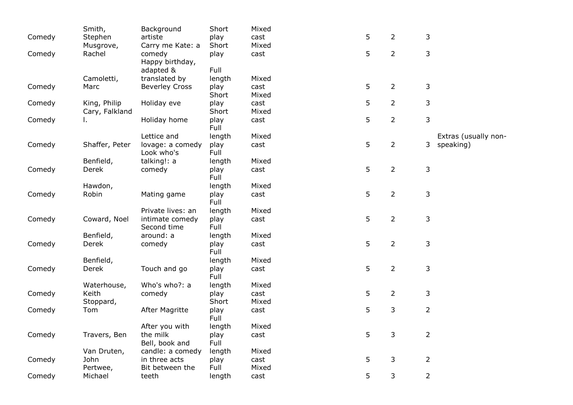|        | Smith,         | Background            | Short        | Mixed |   |                |                      |
|--------|----------------|-----------------------|--------------|-------|---|----------------|----------------------|
| Comedy | Stephen        | artiste               | play         | cast  | 5 | $\overline{2}$ | 3                    |
|        | Musgrove,      | Carry me Kate: a      | Short        | Mixed |   |                |                      |
| Comedy | Rachel         | comedy                | play         | cast  | 5 | $\overline{2}$ | 3                    |
|        |                | Happy birthday,       |              |       |   |                |                      |
|        |                | adapted &             | Full         |       |   |                |                      |
|        | Camoletti,     | translated by         | length       | Mixed |   |                |                      |
| Comedy | Marc           | <b>Beverley Cross</b> | play         | cast  | 5 | $\overline{2}$ | 3                    |
|        |                |                       | Short        | Mixed |   |                |                      |
| Comedy | King, Philip   | Holiday eve           | play         | cast  | 5 | $\overline{2}$ | 3                    |
|        | Cary, Falkland |                       | Short        | Mixed |   |                |                      |
| Comedy | L.             | Holiday home          | play         | cast  | 5 | $\overline{2}$ | 3                    |
|        |                |                       | Full         |       |   |                |                      |
|        |                | Lettice and           | length       | Mixed |   |                | Extras (usually non- |
| Comedy | Shaffer, Peter | lovage: a comedy      | play         | cast  | 5 | $\overline{2}$ | speaking)<br>3       |
|        |                | Look who's            | Full         |       |   |                |                      |
|        | Benfield,      | talking!: a           | length       | Mixed |   |                |                      |
| Comedy | Derek          | comedy                | play         | cast  | 5 | $\overline{2}$ | 3                    |
|        |                |                       | Full         |       |   |                |                      |
|        | Hawdon,        |                       | length       | Mixed |   |                |                      |
| Comedy | Robin          | Mating game           | play         | cast  | 5 | $\overline{2}$ | 3                    |
|        |                | Private lives: an     | Full         | Mixed |   |                |                      |
| Comedy | Coward, Noel   | intimate comedy       | length       | cast  | 5 | $\overline{2}$ | 3                    |
|        |                | Second time           | play<br>Full |       |   |                |                      |
|        | Benfield,      | around: a             | length       | Mixed |   |                |                      |
| Comedy | Derek          | comedy                | play         | cast  | 5 | $\overline{2}$ | 3                    |
|        |                |                       | Full         |       |   |                |                      |
|        | Benfield,      |                       | length       | Mixed |   |                |                      |
| Comedy | Derek          | Touch and go          | play         | cast  | 5 | $\overline{2}$ | 3                    |
|        |                |                       | Full         |       |   |                |                      |
|        | Waterhouse,    | Who's who?: a         | length       | Mixed |   |                |                      |
| Comedy | Keith          | comedy                | play         | cast  | 5 | $\overline{2}$ | 3                    |
|        | Stoppard,      |                       | Short        | Mixed |   |                |                      |
| Comedy | Tom            | After Magritte        | play         | cast  | 5 | 3              | $\overline{2}$       |
|        |                |                       | Full         |       |   |                |                      |
|        |                | After you with        | length       | Mixed |   |                |                      |
| Comedy | Travers, Ben   | the milk              | play         | cast  | 5 | 3              | $\overline{2}$       |
|        |                | Bell, book and        | Full         |       |   |                |                      |
|        | Van Druten,    | candle: a comedy      | length       | Mixed |   |                |                      |
| Comedy | John           | in three acts         | play         | cast  | 5 | $\mathsf{3}$   | $\overline{2}$       |
|        | Pertwee,       | Bit between the       | Full         | Mixed |   |                |                      |
| Comedy | Michael        | teeth                 | length       | cast  | 5 | 3              | $\overline{2}$       |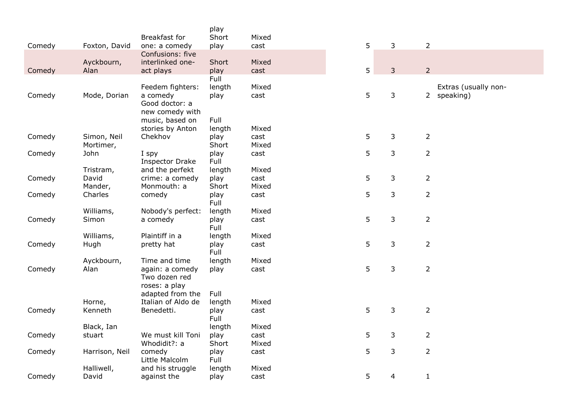|        |                    |                                      | play           |               |   |                |                          |
|--------|--------------------|--------------------------------------|----------------|---------------|---|----------------|--------------------------|
|        |                    | Breakfast for                        | Short          | Mixed         |   |                |                          |
| Comedy | Foxton, David      | one: a comedy                        | play           | cast          | 5 | 3              | $\overline{2}$           |
|        | Ayckbourn,         | Confusions: five<br>interlinked one- | Short          | Mixed         |   |                |                          |
| Comedy | Alan               | act plays                            | play           | cast          | 5 | 3              | $\overline{2}$           |
|        |                    |                                      | Full           |               |   |                |                          |
|        |                    | Feedem fighters:                     | length         | Mixed         |   |                | Extras (usually non-     |
| Comedy | Mode, Dorian       | a comedy                             | play           | cast          | 5 | 3              | speaking)<br>$2^{\circ}$ |
|        |                    | Good doctor: a<br>new comedy with    |                |               |   |                |                          |
|        |                    | music, based on                      | Full           |               |   |                |                          |
|        |                    | stories by Anton                     | length         | Mixed         |   |                |                          |
| Comedy | Simon, Neil        | Chekhov                              | play           | cast          | 5 | 3              | $\overline{2}$           |
|        | Mortimer,          |                                      | Short          | Mixed         |   |                |                          |
| Comedy | John               | I spy<br><b>Inspector Drake</b>      | play<br>Full   | cast          | 5 | 3              | $\overline{2}$           |
|        | Tristram,          | and the perfekt                      | length         | Mixed         |   |                |                          |
| Comedy | David              | crime: a comedy                      | play           | cast          | 5 | 3              | $\overline{2}$           |
|        | Mander,            | Monmouth: a                          | Short          | Mixed         |   |                |                          |
| Comedy | Charles            | comedy                               | play           | cast          | 5 | 3              | $\overline{2}$           |
|        |                    |                                      | Full           |               |   |                |                          |
| Comedy | Williams,<br>Simon | Nobody's perfect:<br>a comedy        | length<br>play | Mixed<br>cast | 5 | 3              | $\overline{2}$           |
|        |                    |                                      | Full           |               |   |                |                          |
|        | Williams,          | Plaintiff in a                       | length         | Mixed         |   |                |                          |
| Comedy | Hugh               | pretty hat                           | play           | cast          | 5 | 3              | $\overline{2}$           |
|        | Ayckbourn,         | Time and time                        | Full<br>length | Mixed         |   |                |                          |
| Comedy | Alan               | again: a comedy                      | play           | cast          | 5 | 3              | $\overline{2}$           |
|        |                    | Two dozen red                        |                |               |   |                |                          |
|        |                    | roses: a play                        |                |               |   |                |                          |
|        |                    | adapted from the                     | Full           |               |   |                |                          |
|        | Horne,             | Italian of Aldo de                   | length         | Mixed         |   |                |                          |
| Comedy | Kenneth            | Benedetti.                           | play<br>Full   | cast          | 5 | 3              | $\overline{2}$           |
|        | Black, Ian         |                                      | length         | Mixed         |   |                |                          |
| Comedy | stuart             | We must kill Toni                    | play           | cast          | 5 | 3              | $\overline{2}$           |
| Comedy | Harrison, Neil     | Whodidit?: a<br>comedy               | Short<br>play  | Mixed<br>cast | 5 | 3              | $\overline{2}$           |
|        |                    | Little Malcolm                       | Full           |               |   |                |                          |
|        | Halliwell,         | and his struggle                     | length         | Mixed         |   |                |                          |
| Comedy | David              | against the                          | play           | cast          | 5 | $\overline{4}$ | $\mathbf{1}$             |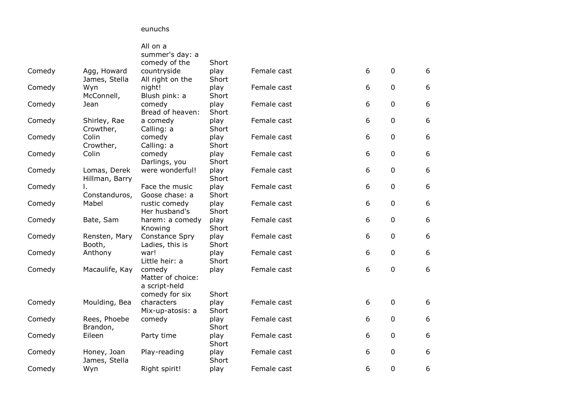eunuchs

|        |                                | All on a<br>summer's day: a                                    |               |             |   |             |   |
|--------|--------------------------------|----------------------------------------------------------------|---------------|-------------|---|-------------|---|
|        |                                | comedy of the                                                  | Short         |             |   |             |   |
| Comedy | Agg, Howard<br>James, Stella   | countryside<br>All right on the                                | play<br>Short | Female cast | 6 | $\mathbf 0$ | 6 |
| Comedy | Wyn<br>McConnell,              | night!<br>Blush pink: a                                        | play<br>Short | Female cast | 6 | $\mathbf 0$ | 6 |
| Comedy | Jean                           | comedy<br>Bread of heaven:                                     | play<br>Short | Female cast | 6 | 0           | 6 |
| Comedy | Shirley, Rae<br>Crowther,      | a comedy<br>Calling: a                                         | play<br>Short | Female cast | 6 | $\mathbf 0$ | 6 |
| Comedy | Colin<br>Crowther,             | comedy<br>Calling: a                                           | play<br>Short | Female cast | 6 | 0           | 6 |
| Comedy | Colin                          | comedy<br>Darlings, you                                        | play<br>Short | Female cast | 6 | $\mathbf 0$ | 6 |
| Comedy | Lomas, Derek<br>Hillman, Barry | were wonderful!                                                | play<br>Short | Female cast | 6 | 0           | 6 |
| Comedy | I.<br>Constanduros,            | Face the music<br>Goose chase: a                               | play<br>Short | Female cast | 6 | 0           | 6 |
| Comedy | Mabel                          | rustic comedy<br>Her husband's                                 | play<br>Short | Female cast | 6 | 0           | 6 |
| Comedy | Bate, Sam                      | harem: a comedy<br>Knowing                                     | play<br>Short | Female cast | 6 | $\mathbf 0$ | 6 |
| Comedy | Rensten, Mary<br>Booth,        | Constance Spry<br>Ladies, this is                              | play<br>Short | Female cast | 6 | 0           | 6 |
| Comedy | Anthony                        | war!<br>Little heir: a                                         | play<br>Short | Female cast | 6 | 0           | 6 |
| Comedy | Macaulife, Kay                 | comedy<br>Matter of choice:<br>a script-held<br>comedy for six | play<br>Short | Female cast | 6 | $\mathbf 0$ | 6 |
| Comedy | Moulding, Bea                  | characters<br>Mix-up-atosis: a                                 | play<br>Short | Female cast | 6 | $\mathbf 0$ | 6 |
| Comedy | Rees, Phoebe<br>Brandon,       | comedy                                                         | play<br>Short | Female cast | 6 | 0           | 6 |
| Comedy | Eileen                         | Party time                                                     | play<br>Short | Female cast | 6 | $\mathbf 0$ | 6 |
| Comedy | Honey, Joan<br>James, Stella   | Play-reading                                                   | play<br>Short | Female cast | 6 | $\mathbf 0$ | 6 |
| Comedy | Wyn                            | Right spirit!                                                  | play          | Female cast | 6 | 0           | 6 |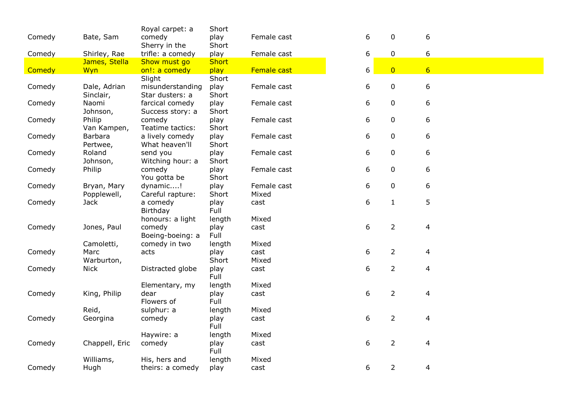| Bate, Sam    | comedy                                                                                                                     |                                                                                                                                                                                                            | Female cast                                                                                                                                                               | 6                                                                                          | $\mathbf 0$                          | 6                                                                                                                                   |                       |  |
|--------------|----------------------------------------------------------------------------------------------------------------------------|------------------------------------------------------------------------------------------------------------------------------------------------------------------------------------------------------------|---------------------------------------------------------------------------------------------------------------------------------------------------------------------------|--------------------------------------------------------------------------------------------|--------------------------------------|-------------------------------------------------------------------------------------------------------------------------------------|-----------------------|--|
|              | Sherry in the                                                                                                              |                                                                                                                                                                                                            |                                                                                                                                                                           |                                                                                            |                                      |                                                                                                                                     |                       |  |
| Shirley, Rae | trifle: a comedy                                                                                                           | play                                                                                                                                                                                                       | Female cast                                                                                                                                                               | 6                                                                                          | $\mathbf 0$                          | 6                                                                                                                                   |                       |  |
|              |                                                                                                                            | <b>Short</b>                                                                                                                                                                                               |                                                                                                                                                                           |                                                                                            |                                      |                                                                                                                                     |                       |  |
| Wyn          | on!: a comedy                                                                                                              | play                                                                                                                                                                                                       | Female cast                                                                                                                                                               | 6                                                                                          | $\overline{0}$                       | $6 \overline{6}$                                                                                                                    |                       |  |
|              | Slight                                                                                                                     | Short                                                                                                                                                                                                      |                                                                                                                                                                           |                                                                                            |                                      |                                                                                                                                     |                       |  |
| Dale, Adrian | misunderstanding                                                                                                           | play                                                                                                                                                                                                       | Female cast                                                                                                                                                               | 6                                                                                          | $\mathbf 0$                          | 6                                                                                                                                   |                       |  |
| Sinclair,    | Star dusters: a                                                                                                            | Short                                                                                                                                                                                                      |                                                                                                                                                                           |                                                                                            |                                      |                                                                                                                                     |                       |  |
| Naomi        | farcical comedy                                                                                                            | play                                                                                                                                                                                                       | Female cast                                                                                                                                                               | 6                                                                                          | $\mathbf 0$                          | 6                                                                                                                                   |                       |  |
| Johnson,     | Success story: a                                                                                                           | Short                                                                                                                                                                                                      |                                                                                                                                                                           |                                                                                            |                                      |                                                                                                                                     |                       |  |
| Philip       | comedy                                                                                                                     | play                                                                                                                                                                                                       | Female cast                                                                                                                                                               | 6                                                                                          | $\mathbf 0$                          | 6                                                                                                                                   |                       |  |
| Van Kampen,  | Teatime tactics:                                                                                                           |                                                                                                                                                                                                            |                                                                                                                                                                           |                                                                                            |                                      |                                                                                                                                     |                       |  |
| Barbara      | a lively comedy                                                                                                            | play                                                                                                                                                                                                       | Female cast                                                                                                                                                               | 6                                                                                          | 0                                    | 6                                                                                                                                   |                       |  |
| Pertwee,     | What heaven'll                                                                                                             | Short                                                                                                                                                                                                      |                                                                                                                                                                           |                                                                                            |                                      |                                                                                                                                     |                       |  |
| Roland       | send you                                                                                                                   | play                                                                                                                                                                                                       | Female cast                                                                                                                                                               | 6                                                                                          | 0                                    | 6                                                                                                                                   |                       |  |
| Johnson,     | Witching hour: a                                                                                                           | Short                                                                                                                                                                                                      |                                                                                                                                                                           |                                                                                            |                                      |                                                                                                                                     |                       |  |
| Philip       | comedy                                                                                                                     | play                                                                                                                                                                                                       | Female cast                                                                                                                                                               | 6                                                                                          | $\mathbf 0$                          | 6                                                                                                                                   |                       |  |
|              |                                                                                                                            |                                                                                                                                                                                                            |                                                                                                                                                                           |                                                                                            |                                      |                                                                                                                                     |                       |  |
| Bryan, Mary  | dynamic!                                                                                                                   | play                                                                                                                                                                                                       | Female cast                                                                                                                                                               | 6                                                                                          | $\mathbf 0$                          | 6                                                                                                                                   |                       |  |
| Popplewell,  | Careful rapture:                                                                                                           | Short                                                                                                                                                                                                      | Mixed                                                                                                                                                                     |                                                                                            |                                      |                                                                                                                                     |                       |  |
| <b>Jack</b>  | a comedy                                                                                                                   | play                                                                                                                                                                                                       | cast                                                                                                                                                                      |                                                                                            |                                      |                                                                                                                                     |                       |  |
|              |                                                                                                                            |                                                                                                                                                                                                            |                                                                                                                                                                           |                                                                                            |                                      |                                                                                                                                     |                       |  |
|              |                                                                                                                            | length                                                                                                                                                                                                     |                                                                                                                                                                           |                                                                                            |                                      |                                                                                                                                     |                       |  |
|              | comedy                                                                                                                     | play                                                                                                                                                                                                       | cast                                                                                                                                                                      |                                                                                            |                                      | 4                                                                                                                                   |                       |  |
|              | Boeing-boeing: a                                                                                                           |                                                                                                                                                                                                            |                                                                                                                                                                           |                                                                                            |                                      |                                                                                                                                     |                       |  |
|              |                                                                                                                            |                                                                                                                                                                                                            |                                                                                                                                                                           |                                                                                            |                                      |                                                                                                                                     |                       |  |
|              |                                                                                                                            |                                                                                                                                                                                                            |                                                                                                                                                                           |                                                                                            |                                      |                                                                                                                                     |                       |  |
|              |                                                                                                                            |                                                                                                                                                                                                            |                                                                                                                                                                           |                                                                                            |                                      |                                                                                                                                     |                       |  |
|              |                                                                                                                            |                                                                                                                                                                                                            |                                                                                                                                                                           |                                                                                            |                                      |                                                                                                                                     |                       |  |
|              |                                                                                                                            |                                                                                                                                                                                                            |                                                                                                                                                                           |                                                                                            |                                      |                                                                                                                                     |                       |  |
|              |                                                                                                                            |                                                                                                                                                                                                            |                                                                                                                                                                           |                                                                                            |                                      |                                                                                                                                     |                       |  |
|              |                                                                                                                            |                                                                                                                                                                                                            |                                                                                                                                                                           |                                                                                            |                                      |                                                                                                                                     |                       |  |
|              |                                                                                                                            |                                                                                                                                                                                                            |                                                                                                                                                                           |                                                                                            |                                      |                                                                                                                                     |                       |  |
|              |                                                                                                                            |                                                                                                                                                                                                            |                                                                                                                                                                           |                                                                                            |                                      |                                                                                                                                     |                       |  |
| Georgina     | comedy                                                                                                                     | play                                                                                                                                                                                                       |                                                                                                                                                                           |                                                                                            |                                      |                                                                                                                                     |                       |  |
|              |                                                                                                                            |                                                                                                                                                                                                            |                                                                                                                                                                           |                                                                                            |                                      |                                                                                                                                     |                       |  |
|              |                                                                                                                            |                                                                                                                                                                                                            |                                                                                                                                                                           |                                                                                            |                                      |                                                                                                                                     |                       |  |
|              |                                                                                                                            |                                                                                                                                                                                                            |                                                                                                                                                                           |                                                                                            |                                      | 4                                                                                                                                   |                       |  |
|              |                                                                                                                            |                                                                                                                                                                                                            |                                                                                                                                                                           |                                                                                            |                                      |                                                                                                                                     |                       |  |
| Williams,    | His, hers and                                                                                                              | length                                                                                                                                                                                                     | Mixed                                                                                                                                                                     |                                                                                            |                                      |                                                                                                                                     |                       |  |
| Hugh         | theirs: a comedy                                                                                                           | play                                                                                                                                                                                                       | cast                                                                                                                                                                      |                                                                                            |                                      | 4                                                                                                                                   |                       |  |
|              | James, Stella<br>Jones, Paul<br>Camoletti,<br>Marc<br>Warburton,<br><b>Nick</b><br>King, Philip<br>Reid,<br>Chappell, Eric | Royal carpet: a<br>Show must go<br>You gotta be<br>Birthday<br>honours: a light<br>comedy in two<br>acts<br>Distracted globe<br>Elementary, my<br>dear<br>Flowers of<br>sulphur: a<br>Haywire: a<br>comedy | Short<br>play<br>Short<br>Short<br>Short<br>Full<br>Full<br>length<br>play<br>Short<br>play<br>Full<br>length<br>play<br>Full<br>length<br>Full<br>length<br>play<br>Full | Mixed<br>Mixed<br>cast<br>Mixed<br>cast<br>Mixed<br>cast<br>Mixed<br>cast<br>Mixed<br>cast | 6<br>6<br>6<br>6<br>6<br>6<br>6<br>6 | $1\,$<br>$\overline{2}$<br>$\overline{2}$<br>$\overline{2}$<br>$\overline{2}$<br>$\overline{2}$<br>$\overline{2}$<br>$\overline{2}$ | 5<br>4<br>4<br>4<br>4 |  |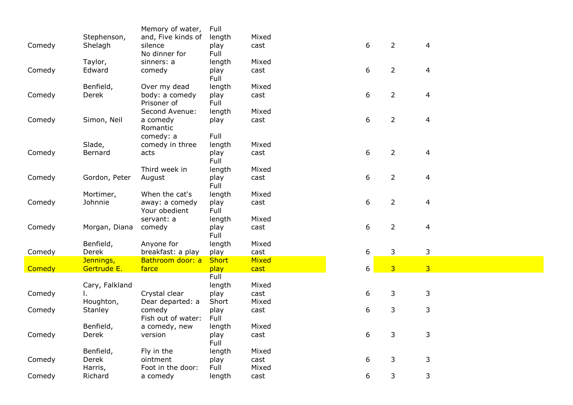|               |                    | Memory of water,                | Full           |               |   |                |                |
|---------------|--------------------|---------------------------------|----------------|---------------|---|----------------|----------------|
|               | Stephenson,        | and, Five kinds of              | length         | Mixed         |   |                |                |
| Comedy        | Shelagh            | silence                         | play           | cast          |   | 6              | $\overline{2}$ |
|               |                    | No dinner for                   | Full           |               |   |                |                |
|               | Taylor,            | sinners: a                      | length         | Mixed         |   |                |                |
| Comedy        | Edward             | comedy                          | play           | cast          |   | 6              | $\overline{2}$ |
|               |                    |                                 | Full           |               |   |                |                |
|               | Benfield,          | Over my dead                    | length         | Mixed         |   |                |                |
| Comedy        | Derek              | body: a comedy                  | play           | cast          | 6 |                | $\overline{2}$ |
|               |                    | Prisoner of                     | Full           |               |   |                |                |
|               |                    | Second Avenue:                  | length         | Mixed         |   |                |                |
| Comedy        | Simon, Neil        | a comedy<br>Romantic            | play           | cast          | 6 |                | $\overline{2}$ |
|               |                    | comedy: a                       | Full           |               |   |                |                |
|               | Slade,             | comedy in three                 | length         | Mixed         |   |                |                |
| Comedy        | Bernard            | acts                            | play           | cast          | 6 |                | $\overline{2}$ |
|               |                    |                                 | Full           |               |   |                |                |
|               |                    | Third week in                   | length         | Mixed         |   |                |                |
| Comedy        | Gordon, Peter      | August                          | play           | cast          | 6 | $\overline{2}$ |                |
|               |                    |                                 | Full           |               |   |                |                |
|               | Mortimer,          | When the cat's                  | length         | Mixed         |   |                |                |
| Comedy        | Johnnie            | away: a comedy                  | play           | cast          | 6 | $\overline{2}$ |                |
|               |                    | Your obedient                   | Full           |               |   |                |                |
|               |                    | servant: a                      | length         | Mixed         |   |                |                |
| Comedy        | Morgan, Diana      | comedy                          | play           | cast          | 6 | $\overline{2}$ |                |
|               | Benfield,          |                                 | Full           | Mixed         |   |                |                |
| Comedy        | Derek              | Anyone for<br>breakfast: a play | length<br>play | cast          | 6 | 3              |                |
|               | Jennings,          | Bathroom door: a                | <b>Short</b>   | Mixed         |   |                |                |
| <b>Comedy</b> | Gertrude E.        | farce                           | play           | cast          | 6 | 3 <sup>1</sup> |                |
|               |                    |                                 | Full           |               |   |                |                |
|               | Cary, Falkland     |                                 | length         | Mixed         |   |                |                |
| Comedy        |                    | Crystal clear                   | play           | cast          | 6 | 3              |                |
|               | Houghton,          | Dear departed: a                | Short          | Mixed         |   |                |                |
| Comedy        | <b>Stanley</b>     | comedy                          | play           | cast          | 6 | 3              |                |
|               |                    | Fish out of water:              | Full           |               |   |                |                |
|               | Benfield,          | a comedy, new                   | length         | Mixed         |   |                |                |
| Comedy        | Derek              | version                         | play           | cast          | 6 | 3              |                |
|               |                    |                                 | Full           |               |   |                |                |
|               | Benfield,          | Fly in the                      | length         | Mixed         |   |                |                |
| Comedy        | Derek              | ointment                        | play           | cast          | 6 | 3              |                |
| Comedy        | Harris,<br>Richard | Foot in the door:<br>a comedy   | Full<br>length | Mixed<br>cast | 6 | 3              |                |
|               |                    |                                 |                |               |   |                |                |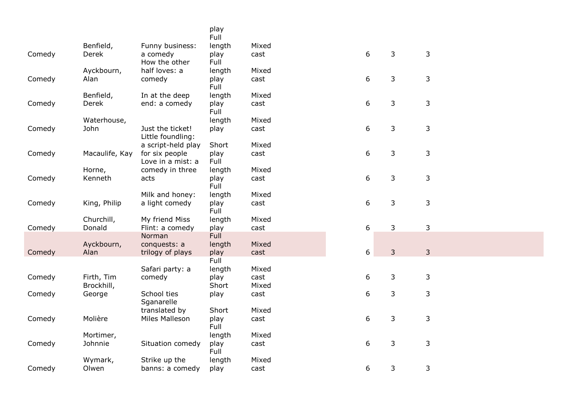| Full<br>Benfield,<br>length<br>Mixed<br>Funny business:<br>$\boldsymbol{6}$<br>3<br>3<br>play<br>Comedy<br>Derek<br>a comedy<br>cast<br>Full<br>How the other<br>half loves: a<br>Ayckbourn,<br>length<br>Mixed<br>6<br>3<br>3<br>Alan<br>Comedy<br>comedy<br>play<br>cast<br>Full<br>Benfield,<br>In at the deep<br>length<br>Mixed<br>6<br>3<br>3<br>Derek<br>end: a comedy<br>play<br>Comedy<br>cast<br>Full<br>length<br>Waterhouse,<br>Mixed<br>6<br>3<br>3<br>Comedy<br>John<br>Just the ticket!<br>play<br>cast<br>Little foundling:<br>a script-held play<br>Mixed<br>Short<br>6<br>3<br>3<br>Macaulife, Kay<br>Comedy<br>for six people<br>play<br>cast |
|------------------------------------------------------------------------------------------------------------------------------------------------------------------------------------------------------------------------------------------------------------------------------------------------------------------------------------------------------------------------------------------------------------------------------------------------------------------------------------------------------------------------------------------------------------------------------------------------------------------------------------------------------------------|
|                                                                                                                                                                                                                                                                                                                                                                                                                                                                                                                                                                                                                                                                  |
|                                                                                                                                                                                                                                                                                                                                                                                                                                                                                                                                                                                                                                                                  |
|                                                                                                                                                                                                                                                                                                                                                                                                                                                                                                                                                                                                                                                                  |
|                                                                                                                                                                                                                                                                                                                                                                                                                                                                                                                                                                                                                                                                  |
|                                                                                                                                                                                                                                                                                                                                                                                                                                                                                                                                                                                                                                                                  |
|                                                                                                                                                                                                                                                                                                                                                                                                                                                                                                                                                                                                                                                                  |
|                                                                                                                                                                                                                                                                                                                                                                                                                                                                                                                                                                                                                                                                  |
|                                                                                                                                                                                                                                                                                                                                                                                                                                                                                                                                                                                                                                                                  |
|                                                                                                                                                                                                                                                                                                                                                                                                                                                                                                                                                                                                                                                                  |
|                                                                                                                                                                                                                                                                                                                                                                                                                                                                                                                                                                                                                                                                  |
|                                                                                                                                                                                                                                                                                                                                                                                                                                                                                                                                                                                                                                                                  |
|                                                                                                                                                                                                                                                                                                                                                                                                                                                                                                                                                                                                                                                                  |
|                                                                                                                                                                                                                                                                                                                                                                                                                                                                                                                                                                                                                                                                  |
|                                                                                                                                                                                                                                                                                                                                                                                                                                                                                                                                                                                                                                                                  |
| Full<br>Love in a mist: a                                                                                                                                                                                                                                                                                                                                                                                                                                                                                                                                                                                                                                        |
| comedy in three<br>Mixed<br>Horne,<br>length<br>6<br>3<br>3<br>Kenneth                                                                                                                                                                                                                                                                                                                                                                                                                                                                                                                                                                                           |
| Comedy<br>acts<br>play<br>cast<br>Full                                                                                                                                                                                                                                                                                                                                                                                                                                                                                                                                                                                                                           |
| Milk and honey:<br>length<br>Mixed                                                                                                                                                                                                                                                                                                                                                                                                                                                                                                                                                                                                                               |
| 6<br>3<br>3<br>King, Philip<br>a light comedy<br>play<br>Comedy<br>cast                                                                                                                                                                                                                                                                                                                                                                                                                                                                                                                                                                                          |
| Full                                                                                                                                                                                                                                                                                                                                                                                                                                                                                                                                                                                                                                                             |
| Churchill,<br>My friend Miss<br>length<br>Mixed                                                                                                                                                                                                                                                                                                                                                                                                                                                                                                                                                                                                                  |
| 6<br>3<br>3<br>Donald<br>Flint: a comedy<br>Comedy<br>play<br>cast                                                                                                                                                                                                                                                                                                                                                                                                                                                                                                                                                                                               |
| Full<br>Norman                                                                                                                                                                                                                                                                                                                                                                                                                                                                                                                                                                                                                                                   |
| Mixed<br>Ayckbourn,<br>conquests: a<br>length                                                                                                                                                                                                                                                                                                                                                                                                                                                                                                                                                                                                                    |
| 6<br>$\overline{3}$<br>3<br>Alan<br>Comedy<br>trilogy of plays<br>play<br>cast                                                                                                                                                                                                                                                                                                                                                                                                                                                                                                                                                                                   |
| Full                                                                                                                                                                                                                                                                                                                                                                                                                                                                                                                                                                                                                                                             |
| Safari party: a<br>length<br>Mixed                                                                                                                                                                                                                                                                                                                                                                                                                                                                                                                                                                                                                               |
| 6<br>3<br>Firth, Tim<br>3<br>Comedy<br>comedy<br>play<br>cast                                                                                                                                                                                                                                                                                                                                                                                                                                                                                                                                                                                                    |
| Brockhill,<br>Short<br>Mixed                                                                                                                                                                                                                                                                                                                                                                                                                                                                                                                                                                                                                                     |
| 6<br>3<br>3<br>School ties<br>Comedy<br>George<br>play<br>cast                                                                                                                                                                                                                                                                                                                                                                                                                                                                                                                                                                                                   |
| Sganarelle                                                                                                                                                                                                                                                                                                                                                                                                                                                                                                                                                                                                                                                       |
| translated by<br>Short<br>Mixed                                                                                                                                                                                                                                                                                                                                                                                                                                                                                                                                                                                                                                  |
| 6<br>3<br>Molière<br>3<br>Miles Malleson<br>play<br>Comedy<br>cast                                                                                                                                                                                                                                                                                                                                                                                                                                                                                                                                                                                               |
| Full<br>Mortimer,<br>Mixed<br>length                                                                                                                                                                                                                                                                                                                                                                                                                                                                                                                                                                                                                             |
| 6<br>3<br>3<br>Johnnie<br>Situation comedy<br>play<br>Comedy<br>cast                                                                                                                                                                                                                                                                                                                                                                                                                                                                                                                                                                                             |
| Full                                                                                                                                                                                                                                                                                                                                                                                                                                                                                                                                                                                                                                                             |
| Wymark,<br>Strike up the<br>length<br>Mixed                                                                                                                                                                                                                                                                                                                                                                                                                                                                                                                                                                                                                      |
| 6<br>3<br>3<br>Comedy<br>banns: a comedy<br>Olwen<br>play<br>cast                                                                                                                                                                                                                                                                                                                                                                                                                                                                                                                                                                                                |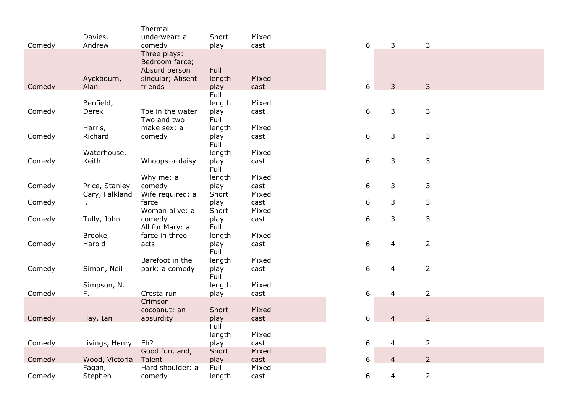|        |                | Thermal                           |                |       |   |                |                |
|--------|----------------|-----------------------------------|----------------|-------|---|----------------|----------------|
|        | Davies,        | underwear: a                      | Short          | Mixed |   |                |                |
| Comedy | Andrew         | comedy                            | play           | cast  | 6 | $\mathbf{3}$   | $\mathbf{3}$   |
|        |                | Three plays:<br>Bedroom farce;    |                |       |   |                |                |
|        |                | Absurd person                     | Full           |       |   |                |                |
|        | Ayckbourn,     | singular; Absent                  | length         | Mixed |   |                |                |
| Comedy | Alan           | friends                           | play           | cast  | 6 | $\overline{3}$ | $\overline{3}$ |
|        |                |                                   | Full           |       |   |                |                |
|        | Benfield,      |                                   | length         | Mixed |   |                |                |
| Comedy | Derek          | Toe in the water                  | play           | cast  | 6 | $\mathbf{3}$   | $\mathbf{3}$   |
|        |                | Two and two                       | Full           |       |   |                |                |
|        | Harris,        | make sex: a                       | length         | Mixed |   |                |                |
| Comedy | Richard        | comedy                            | play           | cast  | 6 | 3              | $\mathbf{3}$   |
|        |                |                                   | Full           |       |   |                |                |
|        | Waterhouse,    |                                   | length         | Mixed |   |                |                |
| Comedy | Keith          | Whoops-a-daisy                    | play           | cast  | 6 | $\mathbf{3}$   | 3              |
|        |                |                                   | Full           |       |   |                |                |
|        |                | Why me: a                         | length         | Mixed |   |                |                |
| Comedy | Price, Stanley | comedy                            | play           | cast  | 6 | 3              | 3              |
|        | Cary, Falkland | Wife required: a                  | Short          | Mixed |   |                |                |
| Comedy | L.             | farce                             | play           | cast  | 6 | 3              | 3              |
|        |                | Woman alive: a                    | Short          | Mixed |   |                |                |
| Comedy | Tully, John    | comedy                            | play           | cast  | 6 | 3              | 3              |
|        | Brooke,        | All for Mary: a<br>farce in three | Full           | Mixed |   |                |                |
| Comedy | Harold         | acts                              | length<br>play | cast  | 6 | 4              | $\overline{2}$ |
|        |                |                                   | Full           |       |   |                |                |
|        |                | Barefoot in the                   | length         | Mixed |   |                |                |
| Comedy | Simon, Neil    | park: a comedy                    | play           | cast  | 6 | 4              | $\overline{2}$ |
|        |                |                                   | Full           |       |   |                |                |
|        | Simpson, N.    |                                   | length         | Mixed |   |                |                |
| Comedy | F.             | Cresta run                        | play           | cast  | 6 | $\overline{4}$ | $\overline{2}$ |
|        |                | Crimson                           |                |       |   |                |                |
|        |                | cocoanut: an                      | Short          | Mixed |   |                |                |
| Comedy | Hay, Ian       | absurdity                         | play           | cast  | 6 | $\overline{4}$ | $\overline{2}$ |
|        |                |                                   | Full           |       |   |                |                |
|        |                |                                   | length         | Mixed |   |                |                |
| Comedy | Livings, Henry | Eh?                               | play           | cast  | 6 | 4              | $\overline{2}$ |
|        |                | Good fun, and,                    | Short          | Mixed |   |                |                |
| Comedy | Wood, Victoria | Talent                            | play           | cast  | 6 | $\overline{4}$ | $\overline{2}$ |
|        | Fagan,         | Hard shoulder: a                  | Full           | Mixed |   |                |                |
| Comedy | Stephen        | comedy                            | length         | cast  | 6 | 4              | $\overline{2}$ |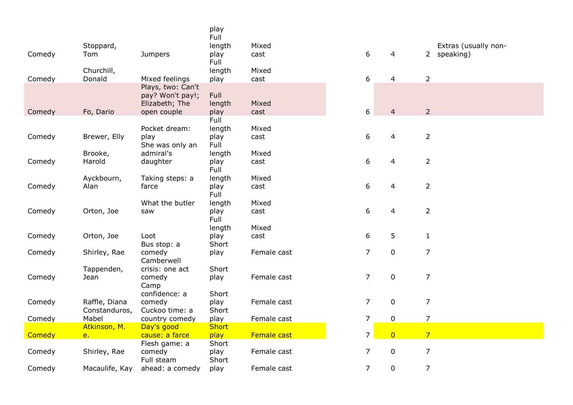|        |                  |                       | play<br>Full   |               |                  |                |                                     |
|--------|------------------|-----------------------|----------------|---------------|------------------|----------------|-------------------------------------|
| Comedy | Stoppard,<br>Tom | Jumpers               | length<br>play | Mixed<br>cast | $6\,$            | $\overline{4}$ | Extras (usually non-<br>2 speaking) |
|        |                  |                       | Full           |               |                  |                |                                     |
|        | Churchill,       |                       | length         | Mixed         |                  |                |                                     |
| Comedy | Donald           | Mixed feelings        | play           | cast          | 6                | $\overline{4}$ | $\overline{2}$                      |
|        |                  | Plays, two: Can't     |                |               |                  |                |                                     |
|        |                  | pay? Won't pay!;      | Full           |               |                  |                |                                     |
|        |                  | Elizabeth; The        | length         | Mixed         |                  |                |                                     |
| Comedy | Fo, Dario        | open couple           | play           | cast          | $\boldsymbol{6}$ | $\overline{4}$ | $\overline{2}$                      |
|        |                  |                       | Full           |               |                  |                |                                     |
|        |                  | Pocket dream:         | length         | Mixed         |                  |                |                                     |
| Comedy | Brewer, Elly     | play                  | play           | cast          | $\boldsymbol{6}$ | 4              | $\overline{2}$                      |
|        |                  | She was only an       | Full           |               |                  |                |                                     |
|        | Brooke,          | admiral's             | length         | Mixed         |                  |                |                                     |
| Comedy | Harold           | daughter              | play           | cast          | 6                | $\overline{4}$ | $\overline{2}$                      |
|        |                  |                       | Full           |               |                  |                |                                     |
|        | Ayckbourn,       | Taking steps: a       | length         | Mixed         |                  |                |                                     |
| Comedy | Alan             | farce                 | play           | cast          | $\boldsymbol{6}$ | 4              | $\overline{2}$                      |
|        |                  |                       | Full           |               |                  |                |                                     |
|        |                  | What the butler       | length         | Mixed         |                  |                |                                     |
| Comedy | Orton, Joe       | saw                   | play           | cast          | 6                | $\overline{4}$ | $\overline{2}$                      |
|        |                  |                       | Full           |               |                  |                |                                     |
|        |                  |                       | length         | Mixed         | 6                | 5              |                                     |
| Comedy | Orton, Joe       | Loot                  | play<br>Short  | cast          |                  |                | $\mathbf{1}$                        |
| Comedy | Shirley, Rae     | Bus stop: a<br>comedy | play           | Female cast   | $\overline{7}$   | $\pmb{0}$      | $\overline{7}$                      |
|        |                  | Camberwell            |                |               |                  |                |                                     |
|        | Tappenden,       | crisis: one act       | Short          |               |                  |                |                                     |
| Comedy | Jean             | comedy                | play           | Female cast   | $\overline{7}$   | $\pmb{0}$      | $\overline{7}$                      |
|        |                  | Camp                  |                |               |                  |                |                                     |
|        |                  | confidence: a         | Short          |               |                  |                |                                     |
| Comedy | Raffle, Diana    | comedy                | play           | Female cast   | $\overline{7}$   | $\mathbf 0$    | $\overline{7}$                      |
|        | Constanduros,    | Cuckoo time: a        | Short          |               |                  |                |                                     |
| Comedy | Mabel            | country comedy        | play           | Female cast   | $\overline{7}$   | $\pmb{0}$      | $\overline{7}$                      |
|        | Atkinson, M.     | Day's good            | <b>Short</b>   |               |                  |                |                                     |
| Comedy | e.               | cause: a farce        | play           | Female cast   | $\overline{7}$   | $\overline{0}$ | $\overline{7}$                      |
|        |                  | Flesh game: a         | Short          |               |                  |                |                                     |
| Comedy | Shirley, Rae     | comedy                | play           | Female cast   | $\overline{7}$   | $\pmb{0}$      | $\overline{7}$                      |
|        |                  | Full steam            | Short          |               |                  |                |                                     |
| Comedy | Macaulife, Kay   | ahead: a comedy       | play           | Female cast   | $\overline{7}$   | $\pmb{0}$      | $\overline{7}$                      |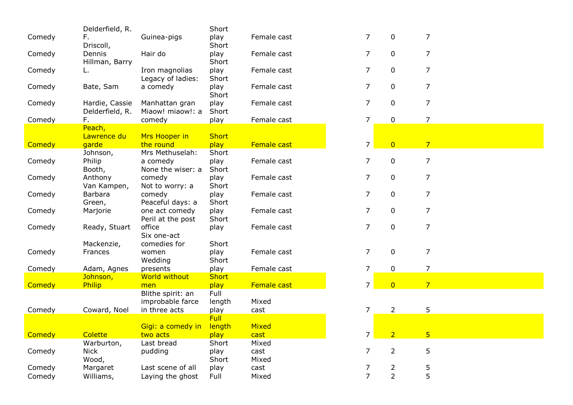|        | Delderfield, R.   |                               | Short         |             |                |                |                |
|--------|-------------------|-------------------------------|---------------|-------------|----------------|----------------|----------------|
| Comedy | F.                | Guinea-pigs                   | play          | Female cast | $\overline{7}$ | $\mathbf 0$    | 7              |
|        | Driscoll,         |                               | Short         |             |                |                |                |
| Comedy | Dennis            | Hair do                       | play          | Female cast | $\overline{7}$ | $\mathbf 0$    | $\overline{7}$ |
|        | Hillman, Barry    |                               | Short         |             |                |                |                |
| Comedy |                   | Iron magnolias                | play          | Female cast | $\overline{7}$ | $\mathbf 0$    | $\overline{7}$ |
|        |                   | Legacy of ladies:             | Short         |             |                |                |                |
| Comedy | Bate, Sam         | a comedy                      | play          | Female cast | $\overline{7}$ | $\mathbf 0$    | 7              |
|        |                   |                               | Short         |             |                |                |                |
| Comedy | Hardie, Cassie    | Manhattan gran                | play          | Female cast | 7              | $\mathbf 0$    | 7              |
|        | Delderfield, R.   | Miaow! miaow!: a              | Short         |             |                |                |                |
| Comedy | F.                | comedy                        | play          | Female cast | $\overline{7}$ | 0              | 7              |
|        | Peach,            |                               |               |             |                |                |                |
|        | Lawrence du       | Mrs Hooper in                 | <b>Short</b>  |             |                |                |                |
| Comedy | garde             | the round                     | play          | Female cast | $\overline{7}$ | $\overline{0}$ | 7 <sup>2</sup> |
|        | Johnson,          | Mrs Methuselah:               | Short         |             |                |                | 7              |
| Comedy | Philip            | a comedy<br>None the wiser: a | play<br>Short | Female cast | 7              | $\mathbf 0$    |                |
| Comedy | Booth,<br>Anthony | comedy                        | play          | Female cast | $\overline{7}$ | $\mathbf 0$    | 7              |
|        | Van Kampen,       | Not to worry: a               | Short         |             |                |                |                |
| Comedy | Barbara           | comedy                        | play          | Female cast | 7              | 0              | 7              |
|        | Green,            | Peaceful days: a              | Short         |             |                |                |                |
| Comedy | Marjorie          | one act comedy                | play          | Female cast | 7              | 0              | 7              |
|        |                   | Peril at the post             | Short         |             |                |                |                |
| Comedy | Ready, Stuart     | office                        | play          | Female cast | $\overline{7}$ | 0              | 7              |
|        |                   | Six one-act                   |               |             |                |                |                |
|        | Mackenzie,        | comedies for                  | Short         |             |                |                |                |
| Comedy | Frances           | women                         | play          | Female cast | $\overline{7}$ | $\mathbf 0$    | 7              |
|        |                   | Wedding                       | Short         |             |                |                |                |
| Comedy | Adam, Agnes       | presents                      | play          | Female cast | $\overline{7}$ | $\mathbf 0$    | 7              |
|        | Johnson,          | World without                 | <b>Short</b>  |             |                |                |                |
| Comedy | Philip            | men                           | play          | Female cast | $\overline{7}$ | $\overline{0}$ | 7 <sup>1</sup> |
|        |                   | Blithe spirit: an             | Full          |             |                |                |                |
|        |                   | improbable farce              | length        | Mixed       |                |                |                |
| Comedy | Coward, Noel      | in three acts                 | play          | cast        | $\overline{7}$ | $\overline{2}$ | 5              |
|        |                   |                               | Full          |             |                |                |                |
|        |                   | Gigi: a comedy in             | length        | Mixed       |                |                |                |
| Comedy | Colette           | two acts                      | play          | cast        | 7 <sup>1</sup> | $\overline{2}$ | 5 <sub>o</sub> |
|        | Warburton,        | Last bread                    | Short         | Mixed       |                |                |                |
| Comedy | <b>Nick</b>       | pudding                       | play          | cast        | 7              | $\overline{2}$ | 5              |
|        | Wood,             |                               | Short         | Mixed       |                |                |                |
| Comedy | Margaret          | Last scene of all             | play          | cast        | 7              | $\frac{2}{2}$  | 5              |
| Comedy | Williams,         | Laying the ghost              | Full          | Mixed       | $\overline{7}$ |                | 5              |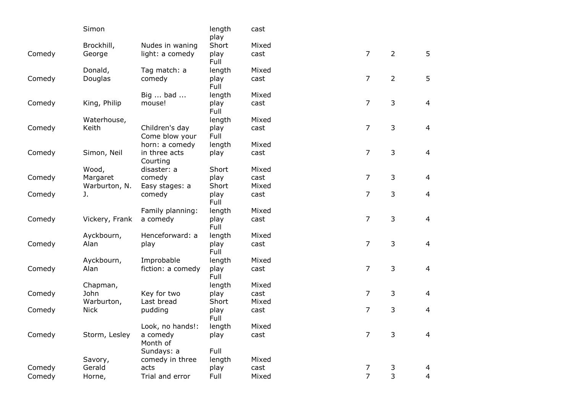|        | Simon              |                   | length<br>play | cast  |                |                |                |
|--------|--------------------|-------------------|----------------|-------|----------------|----------------|----------------|
|        | Brockhill,         | Nudes in waning   | Short          | Mixed |                |                |                |
| Comedy | George             | light: a comedy   | play           | cast  | $\overline{7}$ | $\overline{2}$ | 5              |
|        |                    |                   | Full           |       |                |                |                |
|        | Donald,            | Tag match: a      | length         | Mixed |                |                |                |
| Comedy | Douglas            | comedy            | play           | cast  | $\overline{7}$ | $\overline{2}$ | 5              |
|        |                    |                   | Full           |       |                |                |                |
|        |                    | Big  bad          | length         | Mixed |                |                |                |
| Comedy | King, Philip       | mouse!            | play           | cast  | 7              | 3              | $\overline{4}$ |
|        |                    |                   | Full           |       |                |                |                |
|        | Waterhouse,        |                   | length         | Mixed |                |                |                |
| Comedy | Keith              | Children's day    | play           | cast  | $\overline{7}$ | 3              | 4              |
|        |                    | Come blow your    | Full           |       |                |                |                |
|        |                    | horn: a comedy    | length         | Mixed |                |                |                |
| Comedy | Simon, Neil        | in three acts     | play           | cast  | $\overline{7}$ | 3              | 4              |
|        |                    | Courting          |                |       |                |                |                |
|        | Wood,              | disaster: a       | Short          | Mixed |                |                |                |
| Comedy | Margaret           | comedy            | play           | cast  | 7              | 3              | $\overline{4}$ |
|        | Warburton, N.      | Easy stages: a    | Short          | Mixed |                |                |                |
| Comedy | J.                 | comedy            | play           | cast  | 7              | 3              | $\overline{4}$ |
|        |                    |                   | Full           |       |                |                |                |
|        |                    | Family planning:  | length         | Mixed |                |                |                |
| Comedy | Vickery, Frank     | a comedy          | play           | cast  | 7              | 3              | $\overline{4}$ |
|        |                    |                   | Full           |       |                |                |                |
|        | Ayckbourn,         | Henceforward: a   | length         | Mixed |                |                |                |
| Comedy | Alan               | play              | play           | cast  | $\overline{7}$ | 3              | $\overline{4}$ |
|        |                    |                   | Full           |       |                |                |                |
|        | Ayckbourn,<br>Alan | Improbable        | length         | Mixed | 7              | 3              | $\overline{4}$ |
| Comedy |                    | fiction: a comedy | play<br>Full   | cast  |                |                |                |
|        | Chapman,           |                   | length         | Mixed |                |                |                |
| Comedy | John               | Key for two       | play           | cast  | 7              | 3              | 4              |
|        | Warburton,         | Last bread        | Short          | Mixed |                |                |                |
| Comedy | <b>Nick</b>        | pudding           | play           | cast  | 7              | 3              | 4              |
|        |                    |                   | Full           |       |                |                |                |
|        |                    | Look, no hands!:  | length         | Mixed |                |                |                |
| Comedy | Storm, Lesley      | a comedy          | play           | cast  | 7              | 3              | 4              |
|        |                    | Month of          |                |       |                |                |                |
|        |                    | Sundays: a        | Full           |       |                |                |                |
|        | Savory,            | comedy in three   | length         | Mixed |                |                |                |
| Comedy | Gerald             | acts              | play           | cast  | 7              | 3              | 4              |
| Comedy | Horne,             | Trial and error   | Full           | Mixed | $\overline{7}$ | 3              | $\overline{4}$ |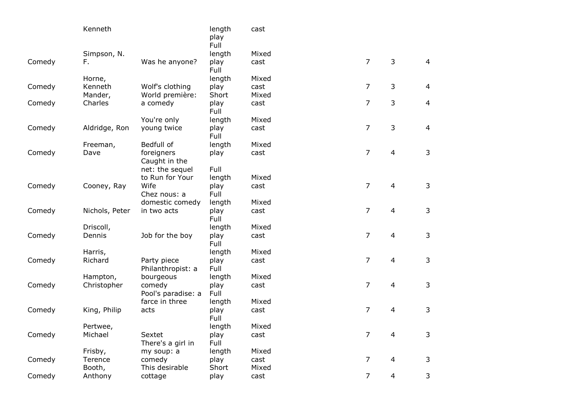|        | Kenneth        |                                  | length<br>play<br>Full | cast  |                |                |                |
|--------|----------------|----------------------------------|------------------------|-------|----------------|----------------|----------------|
|        | Simpson, N.    |                                  | length                 | Mixed |                |                |                |
| Comedy | F.             | Was he anyone?                   | play<br>Full           | cast  | $\overline{7}$ | 3              | $\overline{4}$ |
|        | Horne,         |                                  | length                 | Mixed |                |                |                |
| Comedy | Kenneth        | Wolf's clothing                  | play                   | cast  | $\overline{7}$ | 3              | $\overline{4}$ |
|        | Mander,        | World première:                  | Short                  | Mixed |                |                |                |
| Comedy | Charles        | a comedy                         | play<br>Full           | cast  | 7              | 3              | $\overline{4}$ |
|        |                | You're only                      | length                 | Mixed |                |                |                |
| Comedy | Aldridge, Ron  | young twice                      | play<br>Full           | cast  | 7              | 3              | $\overline{4}$ |
|        | Freeman,       | Bedfull of                       | length                 | Mixed |                |                |                |
| Comedy | Dave           | foreigners                       | play                   | cast  | $\overline{7}$ | $\overline{4}$ | $\mathsf{3}$   |
|        |                | Caught in the                    |                        |       |                |                |                |
|        |                | net: the sequel                  | Full                   |       |                |                |                |
|        |                | to Run for Your                  | length                 | Mixed |                |                |                |
| Comedy | Cooney, Ray    | Wife                             | play                   | cast  | $\overline{7}$ | $\overline{4}$ | $\mathsf{3}$   |
|        |                | Chez nous: a                     | Full                   |       |                |                |                |
|        |                | domestic comedy                  | length                 | Mixed |                |                |                |
| Comedy | Nichols, Peter | in two acts                      | play<br>Full           | cast  | $\overline{7}$ | $\overline{4}$ | $\mathsf 3$    |
|        | Driscoll,      |                                  | length                 | Mixed |                |                |                |
| Comedy | Dennis         | Job for the boy                  | play<br>Full           | cast  | $\overline{7}$ | $\overline{4}$ | $\mathsf 3$    |
|        | Harris,        |                                  | length                 | Mixed |                |                |                |
| Comedy | Richard        | Party piece<br>Philanthropist: a | play<br>Full           | cast  | $\overline{7}$ | $\overline{4}$ | $\mathsf 3$    |
|        | Hampton,       | bourgeous                        | length                 | Mixed |                |                |                |
| Comedy | Christopher    | comedy<br>Pool's paradise: a     | play<br>Full           | cast  | $\overline{7}$ | $\overline{4}$ | $\mathsf 3$    |
|        |                | farce in three                   | length                 | Mixed |                |                |                |
| Comedy | King, Philip   | acts                             | play<br>Full           | cast  | $\overline{7}$ | $\overline{4}$ | 3              |
|        | Pertwee,       |                                  | length                 | Mixed |                |                |                |
| Comedy | Michael        | Sextet<br>There's a girl in      | play<br>Full           | cast  | 7              | 4              | 3              |
|        | Frisby,        | my soup: a                       | length                 | Mixed |                |                |                |
| Comedy | Terence        | comedy                           | play                   | cast  | 7              | 4              | 3              |
|        | Booth,         | This desirable                   | Short                  | Mixed |                |                |                |
| Comedy | Anthony        | cottage                          | play                   | cast  | $\overline{7}$ | $\overline{4}$ | 3              |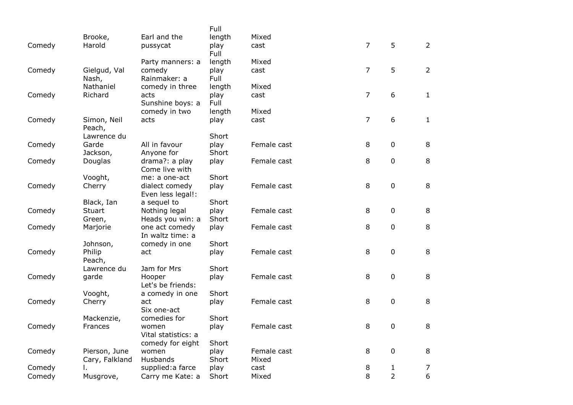|        |                    |                              | Full          |             |                |                |                |
|--------|--------------------|------------------------------|---------------|-------------|----------------|----------------|----------------|
|        | Brooke,            | Earl and the                 | length        | Mixed       |                |                |                |
| Comedy | Harold             | pussycat                     | play          | cast        | $\overline{7}$ | 5              | $\overline{2}$ |
|        |                    |                              | Full          |             |                |                |                |
|        |                    | Party manners: a             | length        | Mixed       | $\overline{7}$ | 5              | $2^{\circ}$    |
| Comedy | Gielgud, Val       | comedy<br>Rainmaker: a       | play<br>Full  | cast        |                |                |                |
|        | Nash,<br>Nathaniel | comedy in three              | length        | Mixed       |                |                |                |
| Comedy | Richard            | acts                         | play          | cast        | $\overline{7}$ | 6              | $\mathbf{1}$   |
|        |                    | Sunshine boys: a             | Full          |             |                |                |                |
|        |                    | comedy in two                | length        | Mixed       |                |                |                |
| Comedy | Simon, Neil        | acts                         | play          | cast        | $\overline{7}$ | 6              | $\mathbf{1}$   |
|        | Peach,             |                              |               |             |                |                |                |
|        | Lawrence du        |                              | Short         |             |                |                |                |
| Comedy | Garde              | All in favour                | play          | Female cast | 8              | $\pmb{0}$      | 8              |
|        | Jackson,           | Anyone for                   | Short         |             |                |                |                |
| Comedy | Douglas            | drama?: a play               | play          | Female cast | 8              | $\pmb{0}$      | 8              |
|        |                    | Come live with               |               |             |                |                |                |
|        | Vooght,            | me: a one-act                | Short         |             |                |                |                |
| Comedy | Cherry             | dialect comedy               | play          | Female cast | 8              | $\pmb{0}$      | 8              |
|        | Black, Ian         | Even less legal!:            |               |             |                |                |                |
| Comedy | Stuart             | a sequel to<br>Nothing legal | Short<br>play | Female cast | 8              | $\pmb{0}$      | 8              |
|        | Green,             | Heads you win: a             | Short         |             |                |                |                |
| Comedy | Marjorie           | one act comedy               | play          | Female cast | 8              | 0              | 8              |
|        |                    | In waltz time: a             |               |             |                |                |                |
|        | Johnson,           | comedy in one                | Short         |             |                |                |                |
| Comedy | Philip             | act                          | play          | Female cast | 8              | $\pmb{0}$      | 8              |
|        | Peach,             |                              |               |             |                |                |                |
|        | Lawrence du        | Jam for Mrs                  | Short         |             |                |                |                |
| Comedy | garde              | Hooper                       | play          | Female cast | 8              | 0              | 8              |
|        |                    | Let's be friends:            |               |             |                |                |                |
|        | Vooght,            | a comedy in one              | Short         |             |                |                |                |
| Comedy | Cherry             | act                          | play          | Female cast | 8              | $\pmb{0}$      | 8              |
|        | Mackenzie,         | Six one-act<br>comedies for  | Short         |             |                |                |                |
| Comedy | Frances            | women                        | play          | Female cast | 8              | 0              | 8              |
|        |                    | Vital statistics: a          |               |             |                |                |                |
|        |                    | comedy for eight             | Short         |             |                |                |                |
| Comedy | Pierson, June      | women                        | play          | Female cast | 8              | 0              | 8              |
|        | Cary, Falkland     | Husbands                     | Short         | Mixed       |                |                |                |
| Comedy |                    | supplied: a farce            | play          | cast        | 8              | 1              | 7              |
| Comedy | Musgrove,          | Carry me Kate: a             | Short         | Mixed       | 8              | $\overline{2}$ | $6\,$          |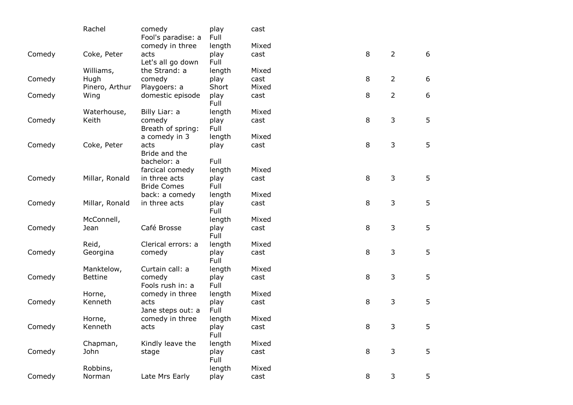|        | Rachel         | comedy<br>Fool's paradise: a | play<br>Full | cast  |         |                |   |
|--------|----------------|------------------------------|--------------|-------|---------|----------------|---|
|        |                | comedy in three              | length       | Mixed |         |                |   |
| Comedy | Coke, Peter    | acts<br>Let's all go down    | play<br>Full | cast  | 8       | $\overline{2}$ | 6 |
|        | Williams,      | the Strand: a                | length       | Mixed |         |                |   |
| Comedy | Hugh           | comedy                       | play         | cast  | 8       | $\overline{2}$ | 6 |
|        | Pinero, Arthur | Playgoers: a                 | Short        | Mixed |         |                |   |
| Comedy | Wing           | domestic episode             | play<br>Full | cast  | 8       | $\overline{2}$ | 6 |
|        | Waterhouse,    | Billy Liar: a                | length       | Mixed |         |                |   |
| Comedy | Keith          | comedy                       | play         | cast  | 8       | 3              | 5 |
|        |                | Breath of spring:            | Full         |       |         |                |   |
|        |                | a comedy in 3                | length       | Mixed |         |                |   |
| Comedy | Coke, Peter    | acts                         | play         | cast  | 8       | 3              | 5 |
|        |                | Bride and the                |              |       |         |                |   |
|        |                | bachelor: a                  | Full         |       |         |                |   |
|        |                | farcical comedy              | length       | Mixed |         |                |   |
| Comedy | Millar, Ronald | in three acts                | play         | cast  | 8       | 3              | 5 |
|        |                | <b>Bride Comes</b>           | Full         |       |         |                |   |
|        |                | back: a comedy               | length       | Mixed |         |                |   |
| Comedy | Millar, Ronald | in three acts                | play<br>Full | cast  | 8       | 3              | 5 |
|        | McConnell,     |                              | length       | Mixed |         |                |   |
| Comedy | Jean           | Café Brosse                  | play<br>Full | cast  | 8       | 3              | 5 |
|        | Reid,          | Clerical errors: a           | length       | Mixed |         |                |   |
| Comedy | Georgina       | comedy                       | play<br>Full | cast  | 8       | 3              | 5 |
|        | Manktelow,     | Curtain call: a              | length       | Mixed |         |                |   |
| Comedy | <b>Bettine</b> | comedy                       | play         | cast  | 8       | 3              | 5 |
|        |                | Fools rush in: a             | Full         |       |         |                |   |
|        | Horne,         | comedy in three              | length       | Mixed |         |                |   |
| Comedy | Kenneth        | acts<br>Jane steps out: a    | play<br>Full | cast  | 8       | 3              | 5 |
|        | Horne,         | comedy in three              | length       | Mixed |         |                |   |
| Comedy | Kenneth        | acts                         | play<br>Full | cast  | 8       | 3              | 5 |
|        | Chapman,       | Kindly leave the             | length       | Mixed |         |                |   |
| Comedy | John           | stage                        | play<br>Full | cast  | $\,8\,$ | 3              | 5 |
|        | Robbins,       |                              | length       | Mixed |         |                |   |
| Comedy | Norman         | Late Mrs Early               | play         | cast  | 8       | 3              | 5 |
|        |                |                              |              |       |         |                |   |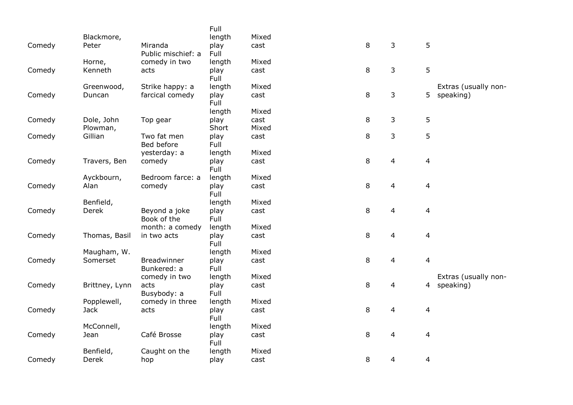|        |                |                                | Full           |       |   |                |                |                      |
|--------|----------------|--------------------------------|----------------|-------|---|----------------|----------------|----------------------|
|        | Blackmore,     |                                | length         | Mixed |   |                |                |                      |
| Comedy | Peter          | Miranda                        | play           | cast  | 8 | 3              | 5              |                      |
|        |                | Public mischief: a             | Full           |       |   |                |                |                      |
|        | Horne,         | comedy in two                  | length         | Mixed |   |                |                |                      |
| Comedy | Kenneth        | acts                           | play           | cast  | 8 | 3              | 5              |                      |
|        |                |                                | Full           |       |   |                |                |                      |
|        | Greenwood,     | Strike happy: a                | length         | Mixed |   |                |                | Extras (usually non- |
| Comedy | Duncan         | farcical comedy                | play           | cast  | 8 | $\mathsf{3}$   | 5              | speaking)            |
|        |                |                                | Full           |       |   |                |                |                      |
|        |                |                                | length         | Mixed |   |                |                |                      |
| Comedy | Dole, John     | Top gear                       | play           | cast  | 8 | 3              | 5              |                      |
|        | Plowman,       | Two fat men                    | Short          | Mixed |   |                |                |                      |
| Comedy | Gillian        | Bed before                     | play<br>Full   | cast  | 8 | 3              | 5              |                      |
|        |                | yesterday: a                   | length         | Mixed |   |                |                |                      |
| Comedy | Travers, Ben   | comedy                         | play           | cast  | 8 | $\overline{4}$ | 4              |                      |
|        |                |                                | Full           |       |   |                |                |                      |
|        | Ayckbourn,     | Bedroom farce: a               | length         | Mixed |   |                |                |                      |
| Comedy | Alan           | comedy                         | play           | cast  | 8 | 4              | 4              |                      |
|        |                |                                | Full           |       |   |                |                |                      |
|        | Benfield,      |                                | length         | Mixed |   |                |                |                      |
| Comedy | Derek          | Beyond a joke                  | play           | cast  | 8 | $\overline{4}$ | 4              |                      |
|        |                | Book of the                    | Full           |       |   |                |                |                      |
|        |                | month: a comedy                | length         | Mixed |   |                |                |                      |
| Comedy | Thomas, Basil  | in two acts                    | play           | cast  | 8 | $\overline{4}$ | $\overline{4}$ |                      |
|        |                |                                | Full           |       |   |                |                |                      |
|        | Maugham, W.    |                                | length         | Mixed |   |                |                |                      |
| Comedy | Somerset       | <b>Breadwinner</b>             | play           | cast  | 8 | $\overline{4}$ | $\overline{4}$ |                      |
|        |                | Bunkered: a                    | Full           |       |   |                |                |                      |
|        |                | comedy in two                  | length         | Mixed |   |                |                | Extras (usually non- |
| Comedy | Brittney, Lynn | acts                           | play           | cast  | 8 | 4              |                | 4 speaking)          |
|        | Popplewell,    | Busybody: a<br>comedy in three | Full<br>length | Mixed |   |                |                |                      |
| Comedy | <b>Jack</b>    | acts                           | play           | cast  | 8 | $\overline{4}$ | 4              |                      |
|        |                |                                | Full           |       |   |                |                |                      |
|        | McConnell,     |                                | length         | Mixed |   |                |                |                      |
| Comedy | Jean           | Café Brosse                    | play           | cast  | 8 | 4              | 4              |                      |
|        |                |                                | Full           |       |   |                |                |                      |
|        | Benfield,      | Caught on the                  | length         | Mixed |   |                |                |                      |
| Comedy | Derek          | hop                            | play           | cast  | 8 | 4              | 4              |                      |
|        |                |                                |                |       |   |                |                |                      |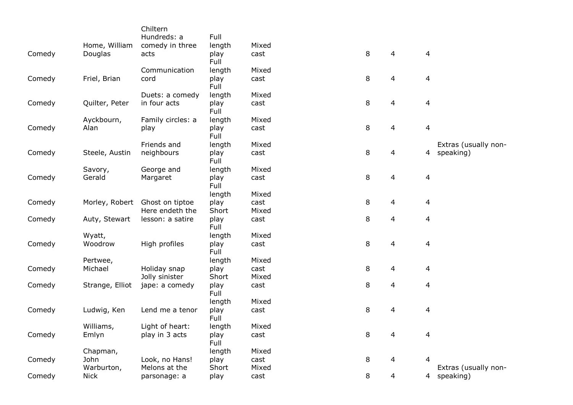|        |                 | Chiltern          |              |       |   |                |                |                      |
|--------|-----------------|-------------------|--------------|-------|---|----------------|----------------|----------------------|
|        |                 | Hundreds: a       | Full         |       |   |                |                |                      |
|        | Home, William   | comedy in three   | length       | Mixed |   |                |                |                      |
| Comedy | Douglas         | acts              | play         | cast  | 8 | 4              | $\overline{4}$ |                      |
|        |                 |                   | Full         |       |   |                |                |                      |
|        |                 | Communication     | length       | Mixed |   |                |                |                      |
| Comedy | Friel, Brian    | cord              | play<br>Full | cast  | 8 | 4              | 4              |                      |
|        |                 | Duets: a comedy   | length       | Mixed |   |                |                |                      |
| Comedy | Quilter, Peter  | in four acts      | play<br>Full | cast  | 8 | 4              | 4              |                      |
|        | Ayckbourn,      | Family circles: a | length       | Mixed |   |                |                |                      |
| Comedy | Alan            | play              | play<br>Full | cast  | 8 | 4              | 4              |                      |
|        |                 | Friends and       | length       | Mixed |   |                |                | Extras (usually non- |
| Comedy | Steele, Austin  | neighbours        | play<br>Full | cast  | 8 | 4              |                | 4 speaking)          |
|        | Savory,         | George and        | length       | Mixed |   |                |                |                      |
| Comedy | Gerald          | Margaret          | play         | cast  | 8 | $\overline{4}$ | 4              |                      |
|        |                 |                   | Full         |       |   |                |                |                      |
|        |                 |                   | length       | Mixed |   |                |                |                      |
| Comedy | Morley, Robert  | Ghost on tiptoe   | play         | cast  | 8 | 4              | 4              |                      |
|        |                 | Here endeth the   | Short        | Mixed |   |                |                |                      |
| Comedy | Auty, Stewart   | lesson: a satire  | play<br>Full | cast  | 8 | 4              | 4              |                      |
|        | Wyatt,          |                   | length       | Mixed |   |                |                |                      |
| Comedy | Woodrow         | High profiles     | play<br>Full | cast  | 8 | 4              | 4              |                      |
|        | Pertwee,        |                   | length       | Mixed |   |                |                |                      |
| Comedy | Michael         | Holiday snap      | play         | cast  | 8 | 4              | 4              |                      |
|        |                 | Jolly sinister    | Short        | Mixed |   |                |                |                      |
| Comedy | Strange, Elliot | jape: a comedy    | play<br>Full | cast  | 8 | 4              | 4              |                      |
|        |                 |                   | length       | Mixed |   |                |                |                      |
| Comedy | Ludwig, Ken     | Lend me a tenor   | play         | cast  | 8 | 4              | 4              |                      |
|        |                 |                   | Full         |       |   |                |                |                      |
|        | Williams,       | Light of heart:   | length       | Mixed |   |                |                |                      |
| Comedy | Emlyn           | play in 3 acts    | play<br>Full | cast  | 8 | 4              | 4              |                      |
|        | Chapman,        |                   | length       | Mixed |   |                |                |                      |
| Comedy | John            | Look, no Hans!    | play         | cast  | 8 | $\overline{4}$ | 4              |                      |
|        | Warburton,      | Melons at the     | Short        | Mixed |   |                |                | Extras (usually non- |
| Comedy | <b>Nick</b>     | parsonage: a      | play         | cast  | 8 | $\overline{4}$ |                | 4 speaking)          |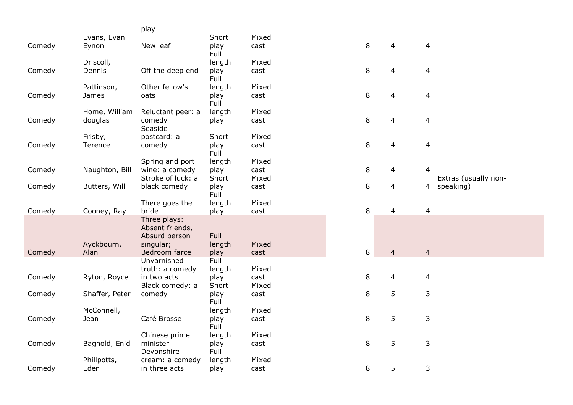|        |                | play                                                          |                |       |        |                |                          |
|--------|----------------|---------------------------------------------------------------|----------------|-------|--------|----------------|--------------------------|
|        | Evans, Evan    |                                                               | Short          | Mixed |        |                |                          |
| Comedy | Eynon          | New leaf                                                      | play<br>Full   | cast  | 8      | 4              | 4                        |
|        | Driscoll,      |                                                               | length         | Mixed |        |                |                          |
| Comedy | Dennis         | Off the deep end                                              | play<br>Full   | cast  | $\, 8$ | 4              | $\overline{\mathcal{A}}$ |
|        | Pattinson,     | Other fellow's                                                | length         | Mixed |        |                |                          |
| Comedy | James          | oats                                                          | play<br>Full   | cast  | $\, 8$ | 4              | $\overline{a}$           |
|        | Home, William  | Reluctant peer: a                                             | length         | Mixed |        |                |                          |
| Comedy | douglas        | comedy<br>Seaside                                             | play           | cast  | 8      | 4              | 4                        |
|        | Frisby,        | postcard: a                                                   | Short          | Mixed |        |                |                          |
| Comedy | Terence        | comedy                                                        | play<br>Full   | cast  | $\, 8$ | 4              | $\overline{4}$           |
|        |                | Spring and port                                               | length         | Mixed |        |                |                          |
| Comedy | Naughton, Bill | wine: a comedy                                                | play           | cast  | 8      | 4              | 4                        |
|        |                | Stroke of luck: a                                             | Short          | Mixed |        |                | Extras (usually non-     |
| Comedy | Butters, Will  | black comedy                                                  | play<br>Full   | cast  | $\, 8$ | 4              | speaking)<br>4           |
|        |                | There goes the                                                | length         | Mixed |        |                |                          |
| Comedy | Cooney, Ray    | bride                                                         | play           | cast  | $\, 8$ | $\overline{4}$ | $\overline{4}$           |
|        | Ayckbourn,     | Three plays:<br>Absent friends,<br>Absurd person<br>singular; | Full<br>length | Mixed |        |                |                          |
| Comedy | Alan           | Bedroom farce                                                 | play           | cast  | 8      | $\overline{4}$ | $\overline{4}$           |
|        |                | Unvarnished<br>truth: a comedy                                | Full<br>length | Mixed |        |                |                          |
| Comedy | Ryton, Royce   | in two acts                                                   | play           | cast  | 8      | 4              | 4                        |
|        |                | Black comedy: a                                               | Short          | Mixed |        |                |                          |
| Comedy | Shaffer, Peter | comedy                                                        | play<br>Full   | cast  | $\, 8$ | 5              | 3                        |
|        | McConnell,     |                                                               | length         | Mixed |        |                |                          |
| Comedy | Jean           | Café Brosse                                                   | play<br>Full   | cast  | 8      | 5              | 3                        |
|        |                | Chinese prime                                                 | length         | Mixed |        |                |                          |
| Comedy | Bagnold, Enid  | minister                                                      | play           | cast  | 8      | 5              | 3                        |
|        |                | Devonshire                                                    | Full           |       |        |                |                          |
|        | Phillpotts,    | cream: a comedy                                               | length         | Mixed |        |                |                          |
| Comedy | Eden           | in three acts                                                 | play           | cast  | 8      | 5              | 3                        |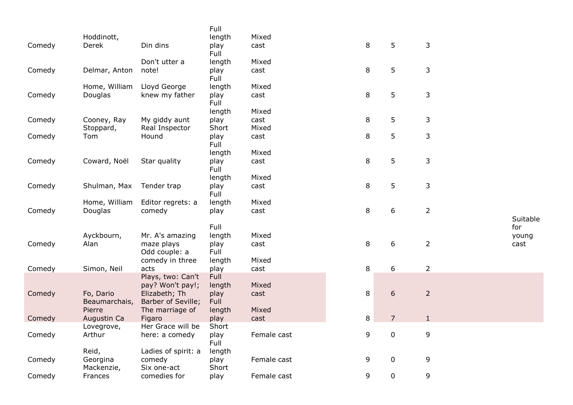|        |                   |                               | Full           |             |   |                |                |      |          |
|--------|-------------------|-------------------------------|----------------|-------------|---|----------------|----------------|------|----------|
|        | Hoddinott,        |                               | length         | Mixed       |   |                |                |      |          |
| Comedy | Derek             | Din dins                      | play<br>Full   | cast        | 8 | 5              | 3              |      |          |
|        |                   | Don't utter a                 | length         | Mixed       |   |                |                |      |          |
| Comedy | Delmar, Anton     | note!                         | play<br>Full   | cast        | 8 | 5              | 3              |      |          |
|        | Home, William     | Lloyd George                  | length         | Mixed       |   |                |                |      |          |
| Comedy | Douglas           | knew my father                | play<br>Full   | cast        | 8 | 5              | 3              |      |          |
|        |                   |                               | length         | Mixed       |   |                |                |      |          |
| Comedy | Cooney, Ray       | My giddy aunt                 | play           | cast        | 8 | 5              | 3              |      |          |
|        | Stoppard,         | Real Inspector                | Short          | Mixed       |   |                |                |      |          |
| Comedy | Tom               | Hound                         | play<br>Full   | cast        | 8 | 5              | 3              |      |          |
|        |                   |                               | length         | Mixed       |   |                |                |      |          |
| Comedy | Coward, Noël      | Star quality                  | play<br>Full   | cast        | 8 | 5              | 3              |      |          |
|        |                   |                               | length         | Mixed       |   |                |                |      |          |
| Comedy | Shulman, Max      | Tender trap                   | play           | cast        | 8 | 5              | 3              |      |          |
|        |                   |                               | Full           |             |   |                |                |      |          |
|        | Home, William     | Editor regrets: a             | length         | Mixed       |   |                |                |      |          |
| Comedy | Douglas           | comedy                        | play           | cast        | 8 | 6              | $\overline{2}$ |      |          |
|        |                   |                               |                |             |   |                |                |      | Suitable |
|        |                   |                               | Full           |             |   |                |                | for  |          |
|        | Ayckbourn,        | Mr. A's amazing               | length         | Mixed       |   |                |                |      | young    |
| Comedy | Alan              | maze plays                    | play           | cast        | 8 | 6              | $\overline{2}$ | cast |          |
|        |                   | Odd couple: a                 | Full           |             |   |                |                |      |          |
|        |                   | comedy in three               | length         | Mixed       |   |                |                |      |          |
| Comedy | Simon, Neil       | acts                          | play           | cast        | 8 | 6              | $\overline{2}$ |      |          |
|        |                   | Plays, two: Can't             | Full           |             |   |                |                |      |          |
|        |                   | pay? Won't pay!;              | length         | Mixed       |   |                |                |      |          |
| Comedy | Fo, Dario         | Elizabeth; Th                 | play           | cast        | 8 | 6              | $\overline{2}$ |      |          |
|        | Beaumarchais,     | Barber of Seville;            | Full           |             |   |                |                |      |          |
|        | Pierre            | The marriage of               | length         | Mixed       |   |                |                |      |          |
| Comedy | Augustin Ca       | Figaro                        | play           | cast        | 8 | 7              | $\mathbf{1}$   |      |          |
|        | Lovegrove,        | Her Grace will be             | Short          |             |   |                |                |      |          |
| Comedy | Arthur            | here: a comedy                | play<br>Full   | Female cast | 9 | 0              | 9              |      |          |
|        |                   |                               |                |             |   |                |                |      |          |
| Comedy | Reid,<br>Georgina | Ladies of spirit: a<br>comedy | length<br>play | Female cast | 9 | $\mathbf 0$    | 9              |      |          |
|        | Mackenzie,        | Six one-act                   | Short          |             |   |                |                |      |          |
| Comedy | Frances           | comedies for                  | play           | Female cast | 9 | $\overline{0}$ | 9              |      |          |
|        |                   |                               |                |             |   |                |                |      |          |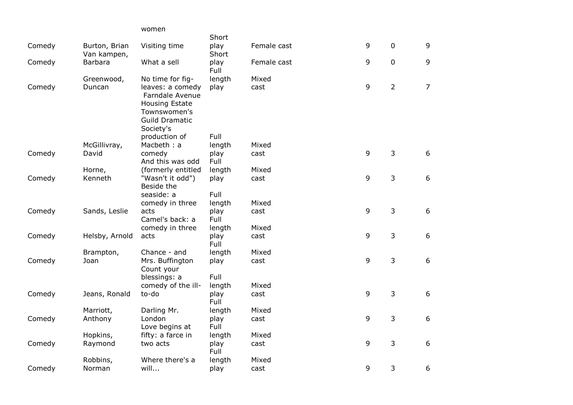|        |                              | women                                                                                                       |               |             |   |                |                |
|--------|------------------------------|-------------------------------------------------------------------------------------------------------------|---------------|-------------|---|----------------|----------------|
|        |                              |                                                                                                             | Short         |             |   |                |                |
| Comedy | Burton, Brian<br>Van kampen, | Visiting time                                                                                               | play<br>Short | Female cast | 9 | $\pmb{0}$      | 9              |
| Comedy | <b>Barbara</b>               | What a sell                                                                                                 | play<br>Full  | Female cast | 9 | $\mathbf 0$    | 9              |
|        | Greenwood,                   | No time for fig-                                                                                            | length        | Mixed       |   |                |                |
| Comedy | Duncan                       | leaves: a comedy<br>Farndale Avenue<br>Housing Estate<br>Townswomen's<br><b>Guild Dramatic</b><br>Society's | play          | cast        | 9 | $\overline{2}$ | $\overline{7}$ |
|        |                              | production of                                                                                               | Full          |             |   |                |                |
|        | McGillivray,                 | Macbeth: a                                                                                                  | length        | Mixed       |   |                |                |
| Comedy | David                        | comedy<br>And this was odd                                                                                  | play<br>Full  | cast        | 9 | 3              | 6              |
|        | Horne,                       | (formerly entitled                                                                                          | length        | Mixed       |   |                |                |
| Comedy | Kenneth                      | "Wasn't it odd")<br>Beside the                                                                              | play          | cast        | 9 | 3              | 6              |
|        |                              | seaside: a                                                                                                  | Full          |             |   |                |                |
|        |                              | comedy in three                                                                                             | length        | Mixed       |   |                |                |
| Comedy | Sands, Leslie                | acts<br>Camel's back: a                                                                                     | play<br>Full  | cast        | 9 | $\overline{3}$ | 6              |
|        |                              | comedy in three                                                                                             | length        | Mixed       |   |                |                |
| Comedy | Helsby, Arnold               | acts                                                                                                        | play<br>Full  | cast        | 9 | 3              | 6              |
|        | Brampton,                    | Chance - and                                                                                                | length        | Mixed       |   |                |                |
| Comedy | Joan                         | Mrs. Buffington<br>Count your                                                                               | play          | cast        | 9 | 3              | 6              |
|        |                              | blessings: a                                                                                                | Full          |             |   |                |                |
|        |                              | comedy of the ill-                                                                                          | length        | Mixed       |   |                |                |
| Comedy | Jeans, Ronald                | to-do                                                                                                       | play<br>Full  | cast        | 9 | 3              | 6              |
|        | Marriott,                    | Darling Mr.                                                                                                 | length        | Mixed       |   |                |                |
| Comedy | Anthony                      | London<br>Love begins at                                                                                    | play<br>Full  | cast        | 9 | 3              | 6              |
|        | Hopkins,                     | fifty: a farce in                                                                                           | length        | Mixed       |   |                |                |
| Comedy | Raymond                      | two acts                                                                                                    | play<br>Full  | cast        | 9 | 3              | 6              |
|        | Robbins,                     | Where there's a                                                                                             | length        | Mixed       |   |                |                |
| Comedy | Norman                       | will                                                                                                        | play          | cast        | 9 | 3              | 6              |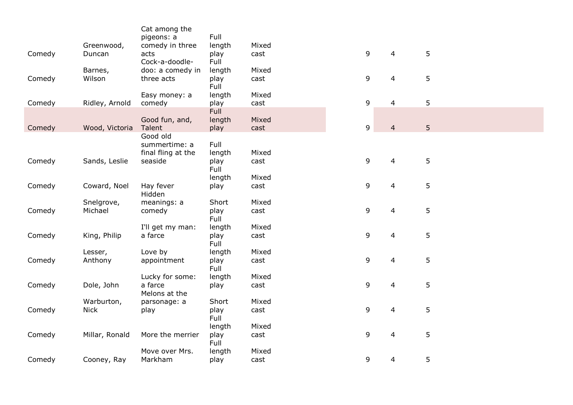|        |                | Cat among the                 |                |       |   |                |                |
|--------|----------------|-------------------------------|----------------|-------|---|----------------|----------------|
|        | Greenwood,     | pigeons: a<br>comedy in three | Full<br>length | Mixed |   |                |                |
| Comedy | Duncan         | acts                          | play           | cast  | 9 | $\overline{4}$ |                |
|        |                | Cock-a-doodle-                | Full           |       |   |                |                |
|        | Barnes,        | doo: a comedy in              | length         | Mixed |   |                |                |
| Comedy | Wilson         | three acts                    | play           | cast  | 9 | 4              |                |
|        |                |                               | Full           |       |   |                |                |
|        |                | Easy money: a                 | length         | Mixed |   |                |                |
| Comedy | Ridley, Arnold | comedy                        | play           | cast  | 9 | $\overline{4}$ |                |
|        |                | Good fun, and,                | Full<br>length | Mixed |   |                |                |
| Comedy | Wood, Victoria | Talent                        | play           | cast  | 9 | $\overline{4}$ |                |
|        |                | Good old                      |                |       |   |                |                |
|        |                | summertime: a                 | Full           |       |   |                |                |
|        |                | final fling at the            | length         | Mixed |   |                |                |
| Comedy | Sands, Leslie  | seaside                       | play           | cast  | 9 | 4              | 5              |
|        |                |                               | Full           |       |   |                |                |
|        |                |                               | length         | Mixed |   |                |                |
| Comedy | Coward, Noel   | Hay fever<br>Hidden           | play           | cast  | 9 | $\overline{4}$ | 5              |
|        | Snelgrove,     | meanings: a                   | Short          | Mixed |   |                |                |
| Comedy | Michael        | comedy                        | play<br>Full   | cast  | 9 | $\overline{4}$ | $5\phantom{.}$ |
|        |                | I'll get my man:              | length         | Mixed |   |                |                |
| Comedy | King, Philip   | a farce                       | play<br>Full   | cast  | 9 | $\overline{4}$ | 5              |
|        | Lesser,        | Love by                       | length         | Mixed |   |                |                |
| Comedy | Anthony        | appointment                   | play<br>Full   | cast  | 9 | $\overline{4}$ | 5              |
|        |                | Lucky for some:               | length         | Mixed |   |                |                |
| Comedy | Dole, John     | a farce<br>Melons at the      | play           | cast  | 9 | $\overline{4}$ | 5              |
|        | Warburton,     | parsonage: a                  | Short          | Mixed |   |                |                |
| Comedy | <b>Nick</b>    | play                          | play<br>Full   | cast  | 9 | 4              | 5              |
|        |                |                               | length         | Mixed |   |                |                |
| Comedy | Millar, Ronald | More the merrier              | play<br>Full   | cast  | 9 | 4              | 5              |
|        |                | Move over Mrs.                | length         | Mixed |   |                |                |
| Comedy | Cooney, Ray    | Markham                       | play           | cast  | 9 | 4              | 5              |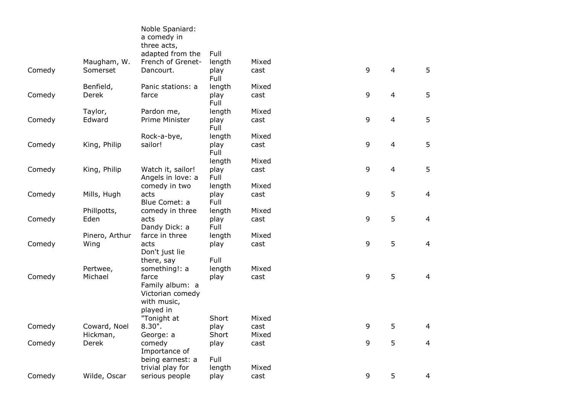|        |                          | Noble Spaniard:<br>a comedy in<br>three acts,<br>adapted from the | Full                   |                        |   |                |                |
|--------|--------------------------|-------------------------------------------------------------------|------------------------|------------------------|---|----------------|----------------|
| Comedy | Maugham, W.<br>Somerset  | French of Grenet-<br>Dancourt.                                    | length<br>play<br>Full | Mixed<br>cast          | 9 | $\overline{4}$ | 5              |
| Comedy | Benfield,<br>Derek       | Panic stations: a<br>farce                                        | length<br>play<br>Full | Mixed<br>cast          | 9 | $\overline{4}$ | 5              |
| Comedy | Taylor,<br>Edward        | Pardon me,<br>Prime Minister                                      | length<br>play<br>Full | Mixed<br>cast          | 9 | $\overline{4}$ | 5              |
| Comedy | King, Philip             | Rock-a-bye,<br>sailor!                                            | length<br>play<br>Full | Mixed<br>cast          | 9 | $\overline{4}$ | 5              |
| Comedy | King, Philip             | Watch it, sailor!<br>Angels in love: a                            | length<br>play<br>Full | Mixed<br>cast          | 9 | $\overline{4}$ | 5              |
| Comedy | Mills, Hugh              | comedy in two<br>acts<br>Blue Comet: a                            | length<br>play<br>Full | Mixed<br>cast          | 9 | 5              | $\overline{4}$ |
| Comedy | Phillpotts,<br>Eden      | comedy in three<br>acts<br>Dandy Dick: a                          | length<br>play<br>Full | Mixed<br>cast          | 9 | 5              | $\overline{4}$ |
| Comedy | Pinero, Arthur<br>Wing   | farce in three<br>acts<br>Don't just lie                          | length<br>play         | Mixed<br>cast          | 9 | 5              | $\overline{4}$ |
| Comedy | Pertwee,<br>Michael      | there, say<br>something!: a<br>farce                              | Full<br>length<br>play | Mixed<br>cast          | 9 | 5              | $\overline{4}$ |
|        |                          | Family album: a<br>Victorian comedy<br>with music,<br>played in   |                        |                        |   |                |                |
| Comedy | Coward, Noel<br>Hickman, | "Tonight at<br>$8.30$ ".<br>George: a                             | Short<br>play<br>Short | Mixed<br>cast<br>Mixed | 9 | 5              | 4              |
| Comedy | Derek                    | comedy<br>Importance of<br>being earnest: a                       | play<br>Full           | cast                   | 9 | 5              | 4              |
| Comedy | Wilde, Oscar             | trivial play for<br>serious people                                | length<br>play         | Mixed<br>cast          | 9 | 5              | $\overline{4}$ |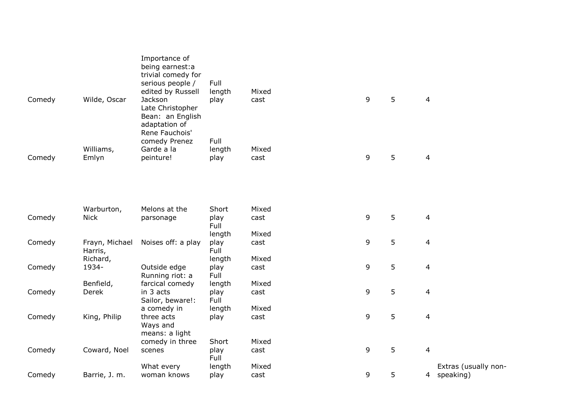| Comedy | Wilde, Oscar              | Importance of<br>being earnest:a<br>trivial comedy for<br>serious people /<br>edited by Russell<br>Jackson<br>Late Christopher<br>Bean: an English | Full<br>length<br>play | Mixed<br>cast | 9 | 5 | $\overline{4}$          |
|--------|---------------------------|----------------------------------------------------------------------------------------------------------------------------------------------------|------------------------|---------------|---|---|-------------------------|
| Comedy | Williams,<br>Emlyn        | adaptation of<br>Rene Fauchois'<br>comedy Prenez<br>Garde a la<br>peinture!                                                                        | Full<br>length<br>play | Mixed<br>cast | 9 | 5 | $\overline{4}$          |
|        |                           |                                                                                                                                                    |                        |               |   |   |                         |
|        | Warburton,                | Melons at the                                                                                                                                      | Short                  | Mixed         |   |   |                         |
| Comedy | <b>Nick</b>               | parsonage                                                                                                                                          | play<br>Full           | cast          | 9 | 5 | $\overline{\mathbf{4}}$ |
|        |                           |                                                                                                                                                    | length                 | Mixed         |   |   |                         |
| Comedy | Frayn, Michael<br>Harris, | Noises off: a play                                                                                                                                 | play<br>Full           | cast          | 9 | 5 | $\overline{4}$          |
|        | Richard,                  |                                                                                                                                                    | length                 | Mixed         |   |   |                         |
| Comedy | 1934-                     | Outside edge<br>Running riot: a                                                                                                                    | play<br>Full           | cast          | 9 | 5 | $\overline{4}$          |
|        | Benfield,                 | farcical comedy                                                                                                                                    | length                 | Mixed         |   |   |                         |
| Comedy | Derek                     | in 3 acts<br>Sailor, beware!:                                                                                                                      | play<br>Full           | cast          | 9 | 5 | $\overline{4}$          |
|        |                           | a comedy in                                                                                                                                        | length                 | Mixed         |   |   |                         |
| Comedy | King, Philip              | three acts<br>Ways and<br>means: a light                                                                                                           | play                   | cast          | 9 | 5 | $\overline{4}$          |
|        |                           | comedy in three                                                                                                                                    | Short                  | Mixed         |   |   |                         |
| Comedy | Coward, Noel              | scenes                                                                                                                                             | play<br>Full           | cast          | 9 | 5 | $\overline{\mathbf{4}}$ |
|        |                           | What every                                                                                                                                         | length                 | Mixed         |   |   | Extras (usually non-    |
| Comedy | Barrie, J. m.             | woman knows                                                                                                                                        | play                   | cast          | 9 | 5 | speaking)<br>4          |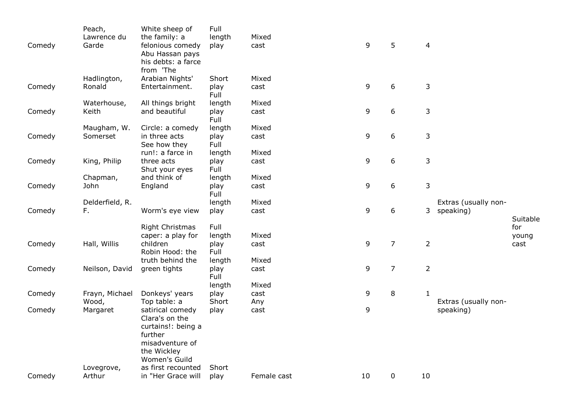| Comedy | Peach,<br>Lawrence du<br>Garde | White sheep of<br>the family: a<br>felonious comedy<br>Abu Hassan pays<br>his debts: a farce<br>from 'The                                    | Full<br>length<br>play         | Mixed<br>cast        | 9  | 5              | $\overline{4}$ |                                   |                      |
|--------|--------------------------------|----------------------------------------------------------------------------------------------------------------------------------------------|--------------------------------|----------------------|----|----------------|----------------|-----------------------------------|----------------------|
| Comedy | Hadlington,<br>Ronald          | Arabian Nights'<br>Entertainment.                                                                                                            | Short<br>play<br>Full          | Mixed<br>cast        | 9  | 6              | $\mathsf{3}$   |                                   |                      |
| Comedy | Waterhouse,<br>Keith           | All things bright<br>and beautiful                                                                                                           | length<br>play<br>Full         | Mixed<br>cast        | 9  | 6              | 3              |                                   |                      |
| Comedy | Maugham, W.<br>Somerset        | Circle: a comedy<br>in three acts<br>See how they                                                                                            | length<br>play<br>Full         | Mixed<br>cast        | 9  | 6              | 3              |                                   |                      |
| Comedy | King, Philip                   | run!: a farce in<br>three acts<br>Shut your eyes                                                                                             | length<br>play<br>Full         | Mixed<br>cast        | 9  | 6              | 3              |                                   |                      |
| Comedy | Chapman,<br>John               | and think of<br>England                                                                                                                      | length<br>play<br>Full         | Mixed<br>cast        | 9  | 6              | 3              |                                   |                      |
| Comedy | Delderfield, R.<br>F.          | Worm's eye view                                                                                                                              | length<br>play                 | Mixed<br>cast        | 9  | 6              | 3              | Extras (usually non-<br>speaking) | Suitable             |
| Comedy | Hall, Willis                   | <b>Right Christmas</b><br>caper: a play for<br>children<br>Robin Hood: the                                                                   | Full<br>length<br>play<br>Full | Mixed<br>cast        | 9  | $\overline{7}$ | $\overline{2}$ |                                   | for<br>young<br>cast |
| Comedy | Neilson, David                 | truth behind the<br>green tights                                                                                                             | length<br>play<br>Full         | Mixed<br>cast        | 9  | 7              | $\overline{2}$ |                                   |                      |
| Comedy | Frayn, Michael<br>Wood,        | Donkeys' years<br>Top table: a                                                                                                               | length<br>play<br>Short        | Mixed<br>cast<br>Any | 9  | 8              | 1              | Extras (usually non-              |                      |
| Comedy | Margaret                       | satirical comedy<br>Clara's on the<br>curtains!: being a<br>further<br>misadventure of<br>the Wickley<br>Women's Guild<br>as first recounted | play                           | cast                 | 9  |                |                | speaking)                         |                      |
| Comedy | Lovegrove,<br>Arthur           | in "Her Grace will                                                                                                                           | Short<br>play                  | Female cast          | 10 | 0              | 10             |                                   |                      |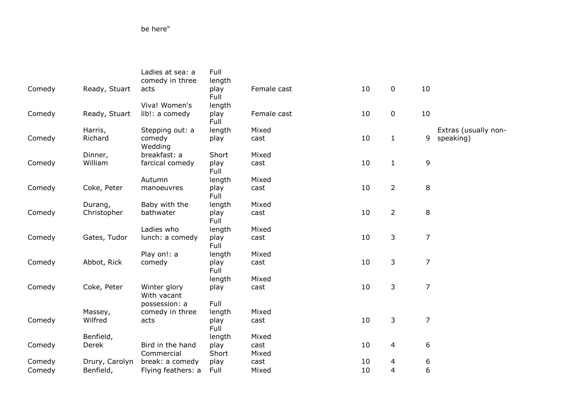be here"

|        |                | Ladies at sea: a<br>comedy in three | Full<br>length |             |    |                |                |                      |
|--------|----------------|-------------------------------------|----------------|-------------|----|----------------|----------------|----------------------|
| Comedy | Ready, Stuart  | acts                                | play<br>Full   | Female cast | 10 | 0              | 10             |                      |
|        |                | Viva! Women's                       | length         |             |    |                |                |                      |
| Comedy | Ready, Stuart  | lib!: a comedy                      | play<br>Full   | Female cast | 10 | $\mathbf 0$    | 10             |                      |
|        | Harris,        | Stepping out: a                     | length         | Mixed       |    |                |                | Extras (usually non- |
| Comedy | Richard        | comedy<br>Wedding                   | play           | cast        | 10 | $\mathbf{1}$   | 9              | speaking)            |
|        | Dinner,        | breakfast: a                        | Short          | Mixed       |    |                |                |                      |
| Comedy | William        | farcical comedy                     | play<br>Full   | cast        | 10 | $\mathbf{1}$   | 9              |                      |
|        |                | Autumn                              | length         | Mixed       |    |                |                |                      |
| Comedy | Coke, Peter    | manoeuvres                          | play<br>Full   | cast        | 10 | $\overline{2}$ | 8              |                      |
|        | Durang,        | Baby with the                       | length         | Mixed       |    |                |                |                      |
| Comedy | Christopher    | bathwater                           | play<br>Full   | cast        | 10 | $\overline{2}$ | 8              |                      |
|        |                | Ladies who                          | length         | Mixed       |    |                |                |                      |
| Comedy | Gates, Tudor   | lunch: a comedy                     | play<br>Full   | cast        | 10 | 3              | $\overline{7}$ |                      |
|        |                | Play on!: a                         | length         | Mixed       |    |                |                |                      |
| Comedy | Abbot, Rick    | comedy                              | play<br>Full   | cast        | 10 | 3              | $\overline{7}$ |                      |
|        |                |                                     | length         | Mixed       |    |                |                |                      |
| Comedy | Coke, Peter    | Winter glory<br>With vacant         | play           | cast        | 10 | 3              | $\overline{7}$ |                      |
|        |                | possession: a                       | Full           |             |    |                |                |                      |
|        | Massey,        | comedy in three                     | length         | Mixed       |    |                |                |                      |
| Comedy | Wilfred        | acts                                | play<br>Full   | cast        | 10 | 3              | $\overline{7}$ |                      |
|        | Benfield,      |                                     | length         | Mixed       |    |                |                |                      |
| Comedy | Derek          | Bird in the hand                    | play           | cast        | 10 | 4              | 6              |                      |
|        |                | Commercial                          | Short          | Mixed       |    |                |                |                      |
| Comedy | Drury, Carolyn | break: a comedy                     | play           | cast        | 10 | 4              | 6              |                      |
| Comedy | Benfield,      | Flying feathers: a                  | Full           | Mixed       | 10 | 4              | 6              |                      |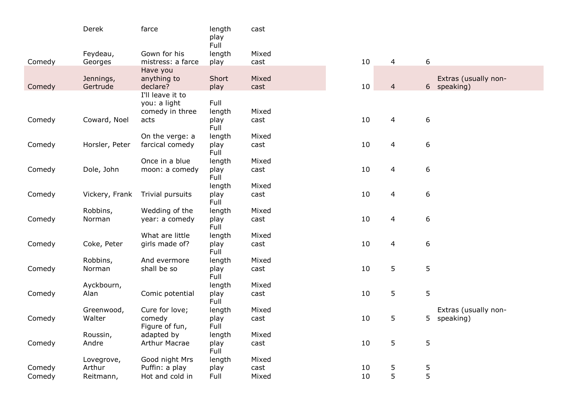|        | Derek          | farce                           | length<br>play<br>Full | cast  |    |                |                      |
|--------|----------------|---------------------------------|------------------------|-------|----|----------------|----------------------|
|        | Feydeau,       | Gown for his                    | length                 | Mixed |    |                |                      |
| Comedy | Georges        | mistress: a farce               | play                   | cast  | 10 | $\overline{4}$ | 6                    |
|        | Jennings,      | Have you<br>anything to         | Short                  | Mixed |    |                | Extras (usually non- |
| Comedy | Gertrude       | declare?<br>I'll leave it to    | play                   | cast  | 10 | $\overline{4}$ | 6 speaking)          |
|        |                | you: a light<br>comedy in three | Full<br>length         | Mixed |    |                |                      |
| Comedy | Coward, Noel   | acts                            | play<br>Full           | cast  | 10 | $\overline{4}$ | 6                    |
|        |                | On the verge: a                 | length                 | Mixed |    |                |                      |
| Comedy | Horsler, Peter | farcical comedy                 | play<br>Full           | cast  | 10 | $\overline{4}$ | 6                    |
|        |                | Once in a blue                  | length                 | Mixed |    |                |                      |
| Comedy | Dole, John     | moon: a comedy                  | play<br>Full           | cast  | 10 | $\overline{4}$ | 6                    |
|        |                |                                 | length                 | Mixed |    |                |                      |
| Comedy | Vickery, Frank | Trivial pursuits                | play<br>Full           | cast  | 10 | 4              | 6                    |
|        | Robbins,       | Wedding of the                  | length                 | Mixed |    |                |                      |
| Comedy | Norman         | year: a comedy                  | play<br>Full           | cast  | 10 | 4              | 6                    |
|        |                | What are little                 | length                 | Mixed |    |                |                      |
| Comedy | Coke, Peter    | girls made of?                  | play<br>Full           | cast  | 10 | 4              | 6                    |
|        | Robbins,       | And evermore                    | length                 | Mixed |    |                |                      |
| Comedy | Norman         | shall be so                     | play<br>Full           | cast  | 10 | 5              | 5                    |
|        | Ayckbourn,     |                                 | length                 | Mixed |    |                |                      |
| Comedy | Alan           | Comic potential                 | play<br>Full           | cast  | 10 | 5              | 5                    |
|        | Greenwood,     | Cure for love;                  | length                 | Mixed |    |                | Extras (usually non- |
| Comedy | Walter         | comedy<br>Figure of fun,        | play<br>Full           | cast  | 10 | 5              | speaking)<br>5.      |
|        | Roussin,       | adapted by                      | length                 | Mixed |    |                |                      |
| Comedy | Andre          | <b>Arthur Macrae</b>            | play<br>Full           | cast  | 10 | 5              | 5                    |
|        | Lovegrove,     | Good night Mrs                  | length                 | Mixed |    |                |                      |
| Comedy | Arthur         | Puffin: a play                  | play                   | cast  | 10 | $\frac{5}{5}$  | 5<br>5               |
| Comedy | Reitmann,      | Hot and cold in                 | Full                   | Mixed | 10 |                |                      |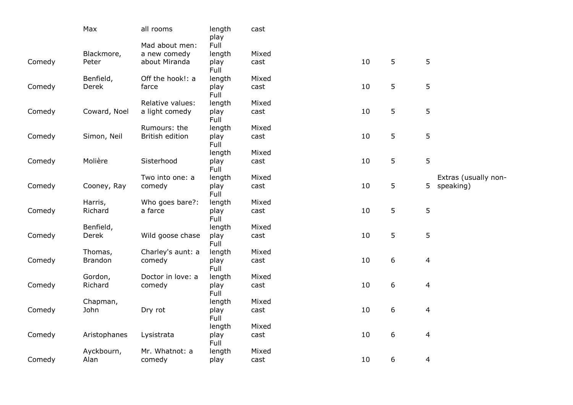|        | Max            | all rooms         | length<br>play | cast  |    |                  |                         |
|--------|----------------|-------------------|----------------|-------|----|------------------|-------------------------|
|        |                | Mad about men:    | Full           |       |    |                  |                         |
|        | Blackmore,     | a new comedy      | length         | Mixed |    |                  |                         |
| Comedy | Peter          | about Miranda     | play<br>Full   | cast  | 10 | 5                | 5                       |
|        | Benfield,      | Off the hook!: a  | length         | Mixed |    |                  |                         |
| Comedy | Derek          | farce             | play<br>Full   | cast  | 10 | 5                | 5                       |
|        |                | Relative values:  | length         | Mixed |    |                  |                         |
| Comedy | Coward, Noel   | a light comedy    | play<br>Full   | cast  | 10 | 5                | 5                       |
|        |                | Rumours: the      | length         | Mixed |    |                  |                         |
| Comedy | Simon, Neil    | British edition   | play<br>Full   | cast  | 10 | 5                | 5                       |
|        |                |                   | length         | Mixed |    |                  |                         |
| Comedy | Molière        | Sisterhood        | play<br>Full   | cast  | 10 | 5                | 5                       |
|        |                | Two into one: a   | length         | Mixed |    |                  | Extras (usually non-    |
| Comedy | Cooney, Ray    | comedy            | play<br>Full   | cast  | 10 | 5                | 5 speaking)             |
|        | Harris,        | Who goes bare?:   | length         | Mixed |    |                  |                         |
| Comedy | Richard        | a farce           | play<br>Full   | cast  | 10 | 5                | 5                       |
|        | Benfield,      |                   | length         | Mixed |    |                  |                         |
| Comedy | Derek          | Wild goose chase  | play<br>Full   | cast  | 10 | 5                | 5                       |
|        | Thomas,        | Charley's aunt: a | length         | Mixed |    |                  |                         |
| Comedy | <b>Brandon</b> | comedy            | play<br>Full   | cast  | 10 | 6                | $\overline{\mathbf{4}}$ |
|        | Gordon,        | Doctor in love: a | length         | Mixed |    |                  |                         |
| Comedy | Richard        | comedy            | play<br>Full   | cast  | 10 | 6                | 4                       |
|        | Chapman,       |                   | length         | Mixed |    |                  |                         |
| Comedy | John           | Dry rot           | play<br>Full   | cast  | 10 | $\boldsymbol{6}$ | 4                       |
|        |                |                   | length         | Mixed |    |                  |                         |
| Comedy | Aristophanes   | Lysistrata        | play<br>Full   | cast  | 10 | 6                | 4                       |
|        | Ayckbourn,     | Mr. Whatnot: a    | length         | Mixed |    |                  |                         |
| Comedy | Alan           | comedy            | play           | cast  | 10 | 6                | 4                       |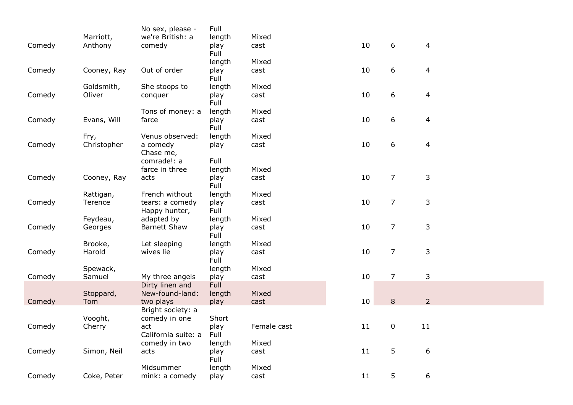|        |             | No sex, please -                 | Full         |             |    |                |                |
|--------|-------------|----------------------------------|--------------|-------------|----|----------------|----------------|
|        | Marriott,   | we're British: a                 | length       | Mixed       |    |                |                |
| Comedy | Anthony     | comedy                           | play<br>Full | cast        | 10 | 6              | $\overline{4}$ |
|        |             |                                  | length       | Mixed       |    |                |                |
| Comedy | Cooney, Ray | Out of order                     | play         | cast        | 10 | 6              | $\overline{4}$ |
|        |             |                                  | Full         |             |    |                |                |
|        | Goldsmith,  | She stoops to                    | length       | Mixed       |    |                |                |
| Comedy | Oliver      | conquer                          | play<br>Full | cast        | 10 | 6              | $\overline{4}$ |
|        |             | Tons of money: a                 | length       | Mixed       |    |                |                |
| Comedy | Evans, Will | farce                            | play<br>Full | cast        | 10 | 6              | $\overline{4}$ |
|        | Fry,        | Venus observed:                  | length       | Mixed       |    |                |                |
| Comedy | Christopher | a comedy<br>Chase me,            | play         | cast        | 10 | 6              | $\overline{4}$ |
|        |             | comrade!: a                      | Full         |             |    |                |                |
|        |             | farce in three                   | length       | Mixed       |    |                |                |
| Comedy | Cooney, Ray | acts                             | play<br>Full | cast        | 10 | $\overline{7}$ | 3              |
|        | Rattigan,   | French without                   | length       | Mixed       |    |                |                |
| Comedy | Terence     | tears: a comedy<br>Happy hunter, | play<br>Full | cast        | 10 | $\overline{7}$ | 3              |
|        | Feydeau,    | adapted by                       | length       | Mixed       |    |                |                |
| Comedy | Georges     | <b>Barnett Shaw</b>              | play<br>Full | cast        | 10 | $\overline{7}$ | 3              |
|        | Brooke,     | Let sleeping                     | length       | Mixed       |    |                |                |
| Comedy | Harold      | wives lie                        | play<br>Full | cast        | 10 | $\overline{7}$ | 3              |
|        | Spewack,    |                                  | length       | Mixed       |    |                |                |
| Comedy | Samuel      | My three angels                  | play         | cast        | 10 | $\overline{7}$ | 3              |
|        |             | Dirty linen and                  | Full         |             |    |                |                |
|        | Stoppard,   | New-found-land:                  | length       | Mixed       |    |                |                |
| Comedy | Tom         | two plays                        | play         | cast        | 10 | $\,8\,$        | $\overline{2}$ |
|        |             | Bright society: a                |              |             |    |                |                |
|        | Vooght,     | comedy in one                    | Short        |             |    |                |                |
| Comedy | Cherry      | act                              | play         | Female cast | 11 | $\bf{0}$       | 11             |
|        |             | California suite: a              | Full         |             |    |                |                |
|        |             | comedy in two                    | length       | Mixed       |    |                |                |
| Comedy | Simon, Neil | acts                             | play<br>Full | cast        | 11 | 5              | 6              |
|        |             | Midsummer                        | length       | Mixed       |    |                |                |
| Comedy | Coke, Peter | mink: a comedy                   | play         | cast        | 11 | 5              | 6              |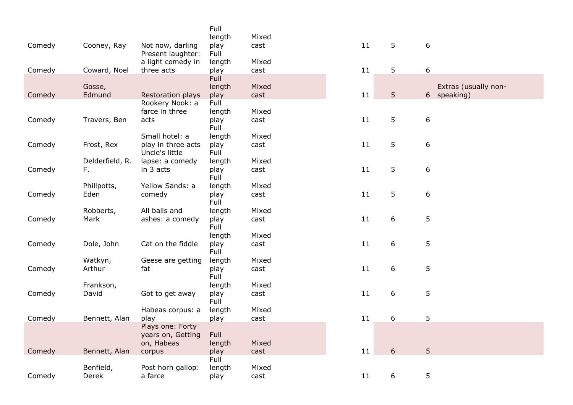|        |                 |                                 | Full           |       |    |                 |                      |
|--------|-----------------|---------------------------------|----------------|-------|----|-----------------|----------------------|
|        |                 |                                 | length         | Mixed |    |                 |                      |
| Comedy | Cooney, Ray     | Not now, darling                | play           | cast  | 11 | $5\overline{)}$ | 6                    |
|        |                 | Present laughter:               | Full           | Mixed |    |                 |                      |
| Comedy | Coward, Noel    | a light comedy in<br>three acts | length<br>play | cast  | 11 | 5 <sup>5</sup>  | 6                    |
|        |                 |                                 | Full           |       |    |                 |                      |
|        | Gosse,          |                                 | length         | Mixed |    |                 | Extras (usually non- |
| Comedy | Edmund          | Restoration plays               | play           | cast  | 11 | 5 <sup>5</sup>  | 6 speaking)          |
|        |                 | Rookery Nook: a                 | Full           |       |    |                 |                      |
|        |                 | farce in three                  | length         | Mixed |    |                 |                      |
| Comedy | Travers, Ben    | acts                            | play           | cast  | 11 | 5               | $6\,$                |
|        |                 |                                 | Full           |       |    |                 |                      |
|        |                 | Small hotel: a                  | length         | Mixed |    |                 |                      |
| Comedy | Frost, Rex      | play in three acts              | play           | cast  | 11 | 5               | 6                    |
|        |                 | Uncle's little                  | Full           |       |    |                 |                      |
|        | Delderfield, R. | lapse: a comedy                 | length         | Mixed |    |                 |                      |
| Comedy | F.              | in 3 acts                       | play           | cast  | 11 | 5               | 6                    |
|        |                 |                                 | Full           |       |    |                 |                      |
|        | Phillpotts,     | Yellow Sands: a                 | length         | Mixed | 11 | 5               |                      |
| Comedy | Eden            | comedy                          | play<br>Full   | cast  |    |                 | 6                    |
|        | Robberts,       | All balls and                   | length         | Mixed |    |                 |                      |
| Comedy | Mark            | ashes: a comedy                 | play           | cast  | 11 | 6               | 5                    |
|        |                 |                                 | Full           |       |    |                 |                      |
|        |                 |                                 | length         | Mixed |    |                 |                      |
| Comedy | Dole, John      | Cat on the fiddle               | play           | cast  | 11 | 6               | 5                    |
|        |                 |                                 | Full           |       |    |                 |                      |
|        | Watkyn,         | Geese are getting               | length         | Mixed |    |                 |                      |
| Comedy | Arthur          | fat                             | play           | cast  | 11 | 6               | 5                    |
|        |                 |                                 | Full           |       |    |                 |                      |
|        | Frankson,       |                                 | length         | Mixed |    |                 |                      |
| Comedy | David           | Got to get away                 | play           | cast  | 11 | 6               | 5                    |
|        |                 |                                 | Full           |       |    |                 |                      |
|        |                 | Habeas corpus: a                | length         | Mixed |    |                 |                      |
| Comedy | Bennett, Alan   | play                            | play           | cast  | 11 | 6               | 5                    |
|        |                 | Plays one: Forty                | Full           |       |    |                 |                      |
|        |                 | years on, Getting<br>on, Habeas | length         | Mixed |    |                 |                      |
| Comedy | Bennett, Alan   | corpus                          | play           | cast  | 11 | 6               | 5 <sup>1</sup>       |
|        |                 |                                 | Full           |       |    |                 |                      |
|        | Benfield,       | Post horn gallop:               | length         | Mixed |    |                 |                      |
| Comedy | Derek           | a farce                         | play           | cast  | 11 | 6               | 5                    |
|        |                 |                                 |                |       |    |                 |                      |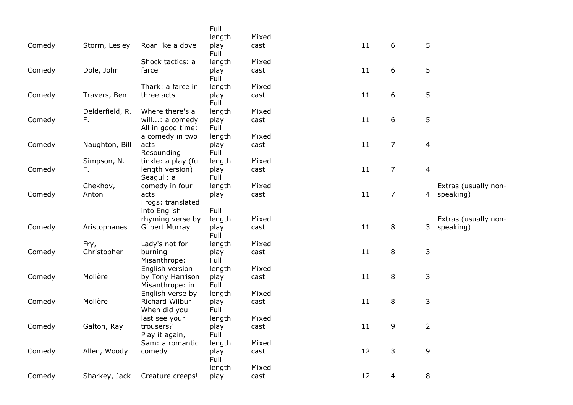|        |                     |                                     | Full           |               |    |                  |                                                     |
|--------|---------------------|-------------------------------------|----------------|---------------|----|------------------|-----------------------------------------------------|
|        |                     |                                     | length         | Mixed         |    |                  |                                                     |
| Comedy | Storm, Lesley       | Roar like a dove                    | play<br>Full   | cast          | 11 | 6                | 5                                                   |
|        |                     | Shock tactics: a                    | length         | Mixed         |    |                  |                                                     |
| Comedy | Dole, John          | farce                               | play<br>Full   | cast          | 11 | 6                | 5                                                   |
|        |                     | Thark: a farce in                   | length         | Mixed         |    |                  |                                                     |
| Comedy | Travers, Ben        | three acts                          | play<br>Full   | cast          | 11 | 6                | 5                                                   |
|        | Delderfield, R.     | Where there's a                     | length         | Mixed         |    |                  |                                                     |
| Comedy | F.                  | will: a comedy<br>All in good time: | play<br>Full   | cast          | 11 | $\boldsymbol{6}$ | 5                                                   |
|        |                     | a comedy in two                     | length         | Mixed         |    |                  |                                                     |
| Comedy | Naughton, Bill      | acts<br>Resounding                  | play<br>Full   | cast          | 11 | $\overline{7}$   | 4                                                   |
|        | Simpson, N.         | tinkle: a play (full                | length         | Mixed         |    |                  |                                                     |
| Comedy | F.                  | length version)<br>Seagull: a       | play<br>Full   | cast          | 11 | $\overline{7}$   | 4                                                   |
|        | Chekhov,            | comedy in four                      | length         | Mixed         |    |                  | Extras (usually non-                                |
| Comedy | Anton               | acts<br>Frogs: translated           | play<br>Full   | cast          | 11 | $\overline{7}$   | 4 speaking)                                         |
|        |                     | into English                        |                |               |    |                  |                                                     |
| Comedy | Aristophanes        | rhyming verse by<br>Gilbert Murray  | length<br>play | Mixed<br>cast | 11 | 8                | Extras (usually non-<br>3 <sup>1</sup><br>speaking) |
|        |                     |                                     | Full           |               |    |                  |                                                     |
| Comedy | Fry,<br>Christopher | Lady's not for<br>burning           | length<br>play | Mixed<br>cast | 11 | $\, 8$           | 3                                                   |
|        |                     | Misanthrope:                        | Full           |               |    |                  |                                                     |
|        |                     | English version                     | length         | Mixed         |    |                  |                                                     |
| Comedy | Molière             | by Tony Harrison<br>Misanthrope: in | play<br>Full   | cast          | 11 | $\,8\,$          | 3                                                   |
|        |                     | English verse by                    | length         | Mixed         |    |                  |                                                     |
| Comedy | Molière             | Richard Wilbur<br>When did you      | play<br>Full   | cast          | 11 | 8                | 3                                                   |
|        |                     | last see your                       | length         | Mixed         |    |                  |                                                     |
| Comedy | Galton, Ray         | trousers?<br>Play it again,         | play<br>Full   | cast          | 11 | 9                | $\overline{2}$                                      |
|        |                     | Sam: a romantic                     | length         | Mixed         |    |                  |                                                     |
| Comedy | Allen, Woody        | comedy                              | play<br>Full   | cast          | 12 | 3                | 9                                                   |
|        |                     |                                     | length         | Mixed         |    |                  |                                                     |
| Comedy | Sharkey, Jack       | Creature creeps!                    | play           | cast          | 12 | 4                | 8                                                   |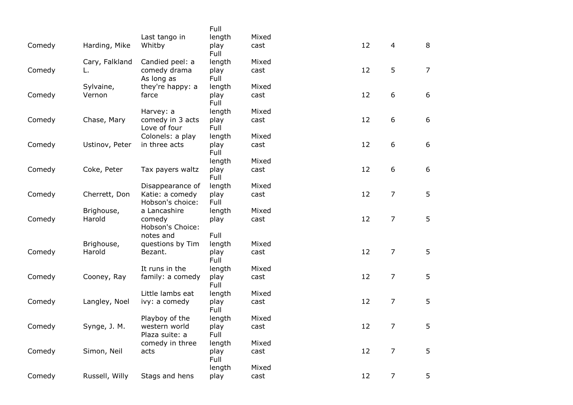|        |                |                                     | Full         |       |    |                  |                |
|--------|----------------|-------------------------------------|--------------|-------|----|------------------|----------------|
|        |                | Last tango in                       | length       | Mixed |    |                  |                |
| Comedy | Harding, Mike  | Whitby                              | play<br>Full | cast  | 12 | $\overline{4}$   | 8              |
|        | Cary, Falkland | Candied peel: a                     | length       | Mixed |    |                  |                |
| Comedy |                | comedy drama<br>As long as          | play<br>Full | cast  | 12 | 5                | $\overline{7}$ |
|        | Sylvaine,      | they're happy: a                    | length       | Mixed |    |                  |                |
| Comedy | Vernon         | farce                               | play<br>Full | cast  | 12 | 6                | 6              |
|        |                | Harvey: a                           | length       | Mixed |    |                  |                |
| Comedy | Chase, Mary    | comedy in 3 acts<br>Love of four    | play<br>Full | cast  | 12 | $\boldsymbol{6}$ | $6\phantom{a}$ |
|        |                | Colonels: a play                    | length       | Mixed |    |                  |                |
| Comedy | Ustinov, Peter | in three acts                       | play<br>Full | cast  | 12 | 6                | 6              |
|        |                |                                     | length       | Mixed |    |                  |                |
| Comedy | Coke, Peter    | Tax payers waltz                    | play<br>Full | cast  | 12 | $\boldsymbol{6}$ | 6              |
|        |                | Disappearance of                    | length       | Mixed |    |                  |                |
| Comedy | Cherrett, Don  | Katie: a comedy<br>Hobson's choice: | play<br>Full | cast  | 12 | $\overline{7}$   | 5              |
|        | Brighouse,     | a Lancashire                        | length       | Mixed |    |                  |                |
| Comedy | Harold         | comedy<br>Hobson's Choice:          | play         | cast  | 12 | $\overline{7}$   | 5              |
|        |                | notes and                           | Full         |       |    |                  |                |
|        | Brighouse,     | questions by Tim                    | length       | Mixed |    |                  |                |
| Comedy | Harold         | Bezant.                             | play<br>Full | cast  | 12 | $\overline{7}$   | 5              |
|        |                | It runs in the                      | length       | Mixed |    |                  |                |
| Comedy | Cooney, Ray    | family: a comedy                    | play<br>Full | cast  | 12 | $\overline{7}$   | 5              |
|        |                | Little lambs eat                    | length       | Mixed |    |                  |                |
| Comedy | Langley, Noel  | ivy: a comedy                       | play<br>Full | cast  | 12 | $\overline{7}$   | 5              |
|        |                | Playboy of the                      | length       | Mixed |    |                  |                |
| Comedy | Synge, J. M.   | western world<br>Plaza suite: a     | play<br>Full | cast  | 12 | $\overline{7}$   | 5              |
|        |                | comedy in three                     | length       | Mixed |    |                  |                |
| Comedy | Simon, Neil    | acts                                | play<br>Full | cast  | 12 | $\overline{7}$   | 5              |
|        |                |                                     | length       | Mixed |    |                  |                |
| Comedy | Russell, Willy | Stags and hens                      | play         | cast  | 12 | $\overline{7}$   | 5              |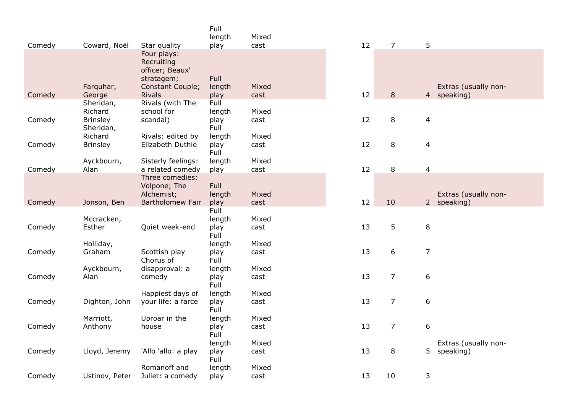|        |                              |                                                                                | Full<br>length         | Mixed         |    |                |                |                                   |
|--------|------------------------------|--------------------------------------------------------------------------------|------------------------|---------------|----|----------------|----------------|-----------------------------------|
| Comedy | Coward, Noël                 | Star quality                                                                   | play                   | cast          | 12 | $\overline{7}$ | 5              |                                   |
|        |                              | Four plays:<br>Recruiting<br>officer; Beaux'<br>stratagem;<br>Constant Couple; | Full                   | Mixed         |    |                |                | Extras (usually non-              |
| Comedy | Farquhar,<br>George          | <b>Rivals</b>                                                                  | length<br>play         | cast          | 12 | 8              | 4              | speaking)                         |
|        | Sheridan,<br>Richard         | Rivals (with The<br>school for                                                 | Full<br>length         | Mixed         |    |                |                |                                   |
| Comedy | <b>Brinsley</b><br>Sheridan, | scandal)                                                                       | play<br>Full           | cast          | 12 | 8              | 4              |                                   |
|        | Richard                      | Rivals: edited by                                                              | length                 | Mixed         |    |                |                |                                   |
| Comedy | <b>Brinsley</b>              | Elizabeth Duthie                                                               | play<br>Full           | cast          | 12 | 8              | 4              |                                   |
| Comedy | Ayckbourn,<br>Alan           | Sisterly feelings:<br>a related comedy                                         | length<br>play         | Mixed<br>cast | 12 | 8              | 4              |                                   |
|        |                              | Three comedies:                                                                |                        |               |    |                |                |                                   |
|        |                              | Volpone; The                                                                   | Full                   |               |    |                |                |                                   |
| Comedy | Jonson, Ben                  | Alchemist;<br>Bartholomew Fair                                                 | length<br>play         | Mixed<br>cast | 12 | 10             | 2 <sup>7</sup> | Extras (usually non-<br>speaking) |
|        |                              |                                                                                | Full                   |               |    |                |                |                                   |
|        | Mccracken,                   |                                                                                | length                 | Mixed         |    |                |                |                                   |
| Comedy | Esther                       | Quiet week-end                                                                 | play<br>Full           | cast          | 13 | 5              | 8              |                                   |
|        | Holliday,                    |                                                                                | length                 | Mixed         |    |                |                |                                   |
| Comedy | Graham                       | Scottish play<br>Chorus of                                                     | play<br>Full           | cast          | 13 | 6              | $\overline{7}$ |                                   |
|        | Ayckbourn,                   | disapproval: a                                                                 | length                 | Mixed         |    |                |                |                                   |
| Comedy | Alan                         | comedy                                                                         | play<br>Full           | cast          | 13 | 7              | 6              |                                   |
| Comedy | Dighton, John                | Happiest days of<br>your life: a farce                                         | length<br>play<br>Full | Mixed<br>cast | 13 | 7              | 6              |                                   |
|        | Marriott,                    | Uproar in the                                                                  | length                 | Mixed         |    |                |                |                                   |
| Comedy | Anthony                      | house                                                                          | play<br>Full           | cast          | 13 | $\overline{7}$ | 6              |                                   |
|        |                              |                                                                                | length                 | Mixed         |    |                |                | Extras (usually non-              |
| Comedy | Lloyd, Jeremy                | 'Allo 'allo: a play                                                            | play<br>Full           | cast          | 13 | 8              | 5              | speaking)                         |
|        |                              | Romanoff and                                                                   | length                 | Mixed         |    |                |                |                                   |
| Comedy | Ustinov, Peter               | Juliet: a comedy                                                               | play                   | cast          | 13 | 10             | 3              |                                   |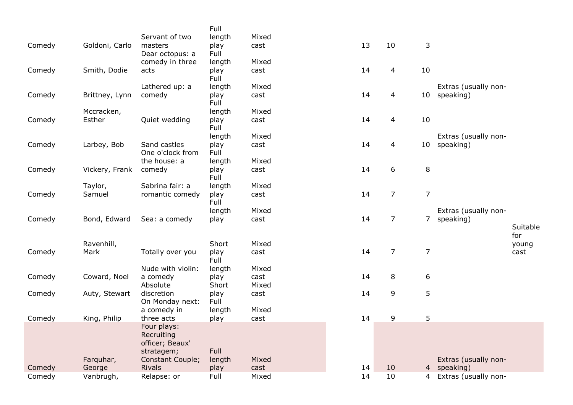|        |                |                                       | Full           |               |    |                 |                |                        |          |
|--------|----------------|---------------------------------------|----------------|---------------|----|-----------------|----------------|------------------------|----------|
|        |                | Servant of two                        | length         | Mixed         |    |                 |                |                        |          |
| Comedy | Goldoni, Carlo | masters                               | play           | cast          | 13 | 10              | 3              |                        |          |
|        |                | Dear octopus: a                       | Full           |               |    |                 |                |                        |          |
|        |                | comedy in three                       | length         | Mixed         |    |                 |                |                        |          |
| Comedy | Smith, Dodie   | acts                                  | play<br>Full   | cast          | 14 | $\overline{4}$  | 10             |                        |          |
|        |                | Lathered up: a                        | length         | Mixed         |    |                 |                | Extras (usually non-   |          |
| Comedy | Brittney, Lynn | comedy                                | play<br>Full   | cast          | 14 | 4               | 10             | speaking)              |          |
|        | Mccracken,     |                                       | length         | Mixed         |    |                 |                |                        |          |
| Comedy | Esther         | Quiet wedding                         | play<br>Full   | cast          | 14 | $\overline{4}$  | 10             |                        |          |
|        |                |                                       | length         | Mixed         |    |                 |                | Extras (usually non-   |          |
| Comedy | Larbey, Bob    | Sand castles                          | play<br>Full   | cast          | 14 | 4               | 10             | speaking)              |          |
|        |                | One o'clock from<br>the house: a      |                |               |    |                 |                |                        |          |
| Comedy | Vickery, Frank | comedy                                | length<br>play | Mixed<br>cast | 14 | 6               | $\,8\,$        |                        |          |
|        |                |                                       | Full           |               |    |                 |                |                        |          |
|        | Taylor,        | Sabrina fair: a                       | length         | Mixed         |    |                 |                |                        |          |
| Comedy | Samuel         | romantic comedy                       | play<br>Full   | cast          | 14 | $\overline{7}$  | $\overline{7}$ |                        |          |
|        |                |                                       | length         | Mixed         |    |                 |                | Extras (usually non-   |          |
| Comedy | Bond, Edward   | Sea: a comedy                         | play           | cast          | 14 | $\overline{7}$  | $\overline{7}$ | speaking)              |          |
|        |                |                                       |                |               |    |                 |                |                        | Suitable |
|        |                |                                       |                |               |    |                 |                |                        | for      |
|        | Ravenhill,     |                                       | Short          | Mixed         |    |                 |                |                        | young    |
| Comedy | Mark           | Totally over you                      | play<br>Full   | cast          | 14 | $\overline{7}$  | $\overline{7}$ |                        | cast     |
|        |                | Nude with violin:                     | length         | Mixed         |    |                 |                |                        |          |
| Comedy | Coward, Noel   | a comedy                              | play           | cast          | 14 | 8               | 6              |                        |          |
|        |                | Absolute                              | Short          | Mixed         |    |                 |                |                        |          |
| Comedy | Auty, Stewart  | discretion<br>On Monday next:         | play<br>Full   | cast          | 14 | 9               | 5              |                        |          |
|        |                | a comedy in                           | length         | Mixed         |    |                 |                |                        |          |
| Comedy | King, Philip   | three acts                            | play           | cast          | 14 | 9               | 5              |                        |          |
|        |                | Four plays:                           |                |               |    |                 |                |                        |          |
|        |                | Recruiting                            |                |               |    |                 |                |                        |          |
|        |                | officer; Beaux'                       | Full           |               |    |                 |                |                        |          |
|        | Farquhar,      | stratagem;<br><b>Constant Couple;</b> |                | Mixed         |    |                 |                | Extras (usually non-   |          |
| Comedy | George         | <b>Rivals</b>                         | length<br>play | cast          | 14 | 10              |                | 4 speaking)            |          |
| Comedy | Vanbrugh,      | Relapse: or                           | Full           | Mixed         | 14 | 10 <sup>°</sup> |                | 4 Extras (usually non- |          |
|        |                |                                       |                |               |    |                 |                |                        |          |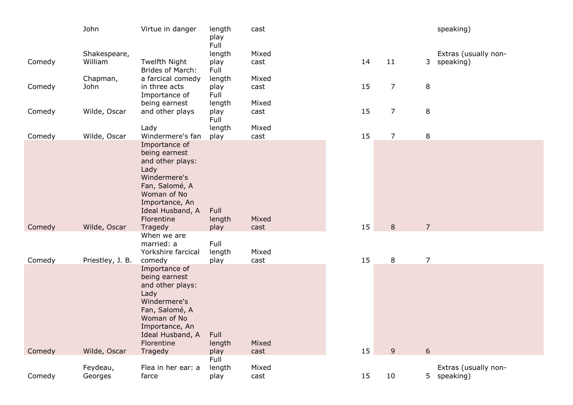|        | John                    | Virtue in danger                                                                                                                                                | length<br>play<br>Full | cast          |    |                |                | speaking)                           |
|--------|-------------------------|-----------------------------------------------------------------------------------------------------------------------------------------------------------------|------------------------|---------------|----|----------------|----------------|-------------------------------------|
| Comedy | Shakespeare,<br>William | Twelfth Night<br><b>Brides of March:</b>                                                                                                                        | length<br>play<br>Full | Mixed<br>cast | 14 | 11             | 3              | Extras (usually non-<br>speaking)   |
| Comedy | Chapman,<br>John        | a farcical comedy<br>in three acts<br>Importance of                                                                                                             | length<br>play<br>Full | Mixed<br>cast | 15 | $\overline{7}$ | $\,8\,$        |                                     |
| Comedy | Wilde, Oscar            | being earnest<br>and other plays                                                                                                                                | length<br>play<br>Full | Mixed<br>cast | 15 | $\overline{7}$ | $\,8\,$        |                                     |
| Comedy | Wilde, Oscar            | Lady<br>Windermere's fan                                                                                                                                        | length<br>play         | Mixed<br>cast | 15 | $\overline{7}$ | 8              |                                     |
|        |                         | Importance of<br>being earnest<br>and other plays:<br>Lady<br>Windermere's<br>Fan, Salomé, A<br>Woman of No<br>Importance, An<br>Ideal Husband, A<br>Florentine | Full<br>length         | Mixed         |    |                |                |                                     |
| Comedy | Wilde, Oscar            | Tragedy<br>When we are<br>married: a<br>Yorkshire farcical                                                                                                      | play<br>Full<br>length | cast<br>Mixed | 15 | 8              | $\overline{7}$ |                                     |
| Comedy | Priestley, J. B.        | comedy                                                                                                                                                          | play                   | cast          | 15 | 8              | $\overline{7}$ |                                     |
|        |                         | Importance of<br>being earnest<br>and other plays:<br>Lady<br>Windermere's<br>Fan, Salomé, A<br>Woman of No<br>Importance, An<br>Ideal Husband, A<br>Florentine | Full<br>length         | Mixed         |    |                |                |                                     |
| Comedy | Wilde, Oscar            | Tragedy                                                                                                                                                         | play<br>Full           | cast          | 15 | 9              | $6\phantom{a}$ |                                     |
| Comedy | Feydeau,<br>Georges     | Flea in her ear: a<br>farce                                                                                                                                     | length<br>play         | Mixed<br>cast | 15 | 10             |                | Extras (usually non-<br>5 speaking) |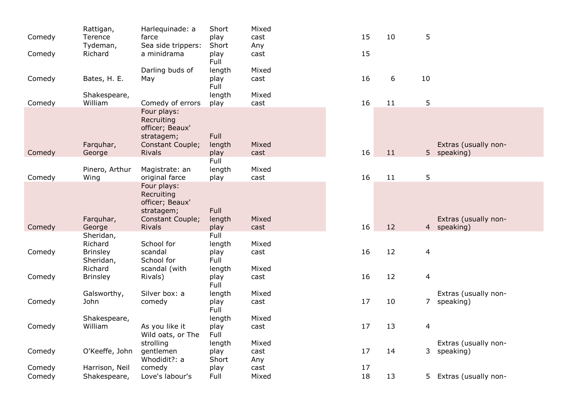| Comedy | Rattigan,<br>Terence         | Harlequinade: a<br>farce                                                       | Short<br>play          | Mixed<br>cast | 15 | 10 | 5  |                                     |
|--------|------------------------------|--------------------------------------------------------------------------------|------------------------|---------------|----|----|----|-------------------------------------|
|        | Tydeman,                     | Sea side trippers:                                                             | Short                  | Any           |    |    |    |                                     |
| Comedy | Richard                      | a minidrama                                                                    | play<br>Full           | cast          | 15 |    |    |                                     |
|        |                              | Darling buds of                                                                | length                 | Mixed         |    |    |    |                                     |
| Comedy | Bates, H. E.                 | May                                                                            | play<br>Full           | cast          | 16 | 6  | 10 |                                     |
| Comedy | Shakespeare,<br>William      | Comedy of errors                                                               | length<br>play         | Mixed<br>cast | 16 | 11 | 5  |                                     |
|        | Farquhar,                    | Four plays:<br>Recruiting<br>officer; Beaux'<br>stratagem;<br>Constant Couple; | Full<br>length         | Mixed         |    |    |    | Extras (usually non-                |
| Comedy | George                       | <b>Rivals</b>                                                                  | play                   | cast          | 16 | 11 |    | 5 speaking)                         |
|        |                              |                                                                                | Full                   |               |    |    |    |                                     |
| Comedy | Pinero, Arthur<br>Wing       | Magistrate: an<br>original farce                                               | length<br>play         | Mixed<br>cast | 16 | 11 | 5  |                                     |
|        |                              | Four plays:<br>Recruiting<br>officer; Beaux'<br>stratagem;                     | Full                   |               |    |    |    |                                     |
| Comedy | Farguhar,<br>George          | Constant Couple;<br><b>Rivals</b>                                              | length<br>play         | Mixed<br>cast | 16 | 12 |    | Extras (usually non-<br>4 speaking) |
|        | Sheridan,<br>Richard         | School for                                                                     | Full<br>length         | Mixed         |    |    |    |                                     |
| Comedy | <b>Brinsley</b><br>Sheridan, | scandal<br>School for                                                          | play<br>Full           | cast          | 16 | 12 | 4  |                                     |
| Comedy | Richard<br><b>Brinsley</b>   | scandal (with<br>Rivals)                                                       | length<br>play         | Mixed<br>cast | 16 | 12 | 4  |                                     |
|        |                              |                                                                                | Full                   |               |    |    |    |                                     |
| Comedy | Galsworthy,<br>John          | Silver box: a<br>comedy                                                        | length<br>play<br>Full | Mixed<br>cast | 17 | 10 |    | Extras (usually non-<br>7 speaking) |
|        | Shakespeare,                 |                                                                                | length                 | Mixed         |    |    |    |                                     |
| Comedy | William                      | As you like it<br>Wild oats, or The                                            | play<br>Full           | cast          | 17 | 13 | 4  |                                     |
| Comedy | O'Keeffe, John               | strolling<br>gentlemen                                                         | length<br>play         | Mixed<br>cast | 17 | 14 |    | Extras (usually non-<br>3 speaking) |
|        |                              | Whodidit?: a                                                                   | Short                  | Any           |    |    |    |                                     |
| Comedy | Harrison, Neil               | comedy                                                                         | play                   | cast          | 17 |    |    |                                     |
| Comedy | Shakespeare,                 | Love's labour's                                                                | Full                   | Mixed         | 18 | 13 |    | 5 Extras (usually non-              |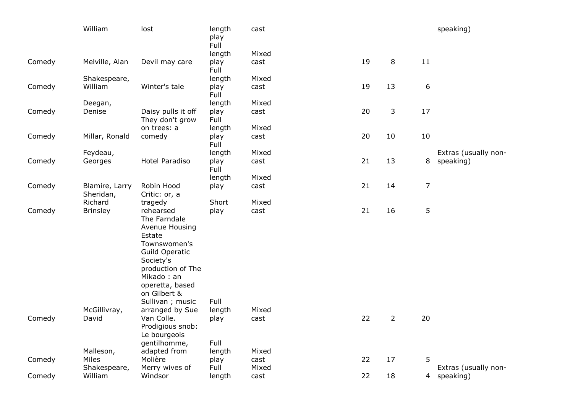|        | William                         | lost                                                                                                                                                                                                              | length<br>play<br>Full | cast          |    |                |                | speaking)            |
|--------|---------------------------------|-------------------------------------------------------------------------------------------------------------------------------------------------------------------------------------------------------------------|------------------------|---------------|----|----------------|----------------|----------------------|
|        |                                 |                                                                                                                                                                                                                   | length                 | Mixed         |    |                |                |                      |
| Comedy | Melville, Alan                  | Devil may care                                                                                                                                                                                                    | play<br>Full           | cast          | 19 | 8              | 11             |                      |
|        | Shakespeare,                    |                                                                                                                                                                                                                   | length                 | Mixed         |    |                |                |                      |
| Comedy | William                         | Winter's tale                                                                                                                                                                                                     | play<br>Full           | cast          | 19 | 13             | 6              |                      |
|        | Deegan,                         |                                                                                                                                                                                                                   | length                 | Mixed         |    |                |                |                      |
| Comedy | Denise                          | Daisy pulls it off<br>They don't grow                                                                                                                                                                             | play<br>Full           | cast          | 20 | 3              | 17             |                      |
|        |                                 | on trees: a                                                                                                                                                                                                       | length                 | Mixed         |    |                |                |                      |
| Comedy | Millar, Ronald                  | comedy                                                                                                                                                                                                            | play<br>Full           | cast          | 20 | 10             | 10             |                      |
|        | Feydeau,                        |                                                                                                                                                                                                                   | length                 | Mixed         |    |                |                | Extras (usually non- |
| Comedy | Georges                         | Hotel Paradiso                                                                                                                                                                                                    | play<br>Full           | cast          | 21 | 13             | 8              | speaking)            |
|        |                                 |                                                                                                                                                                                                                   | length                 | Mixed         |    |                |                |                      |
| Comedy | Blamire, Larry<br>Sheridan,     | Robin Hood<br>Critic: or, a                                                                                                                                                                                       | play                   | cast          | 21 | 14             | $\overline{7}$ |                      |
|        | Richard                         | tragedy                                                                                                                                                                                                           | Short                  | Mixed         |    |                |                |                      |
| Comedy | <b>Brinsley</b><br>McGillivray, | rehearsed<br>The Farndale<br>Avenue Housing<br>Estate<br>Townswomen's<br>Guild Operatic<br>Society's<br>production of The<br>Mikado: an<br>operetta, based<br>on Gilbert &<br>Sullivan ; music<br>arranged by Sue | play<br>Full<br>length | cast<br>Mixed | 21 | 16             | 5              |                      |
| Comedy | David                           | Van Colle.                                                                                                                                                                                                        | play                   | cast          | 22 | $\overline{2}$ | 20             |                      |
|        |                                 | Prodigious snob:<br>Le bourgeois<br>gentilhomme,                                                                                                                                                                  | Full                   |               |    |                |                |                      |
|        | Malleson,                       | adapted from                                                                                                                                                                                                      | length                 | Mixed         |    |                |                |                      |
| Comedy | Miles                           | Molière                                                                                                                                                                                                           | play                   | cast          | 22 | 17             | 5              |                      |
|        | Shakespeare,                    | Merry wives of                                                                                                                                                                                                    | Full                   | Mixed         |    |                |                | Extras (usually non- |
| Comedy | William                         | Windsor                                                                                                                                                                                                           | length                 | cast          | 22 | 18             |                | 4 speaking)          |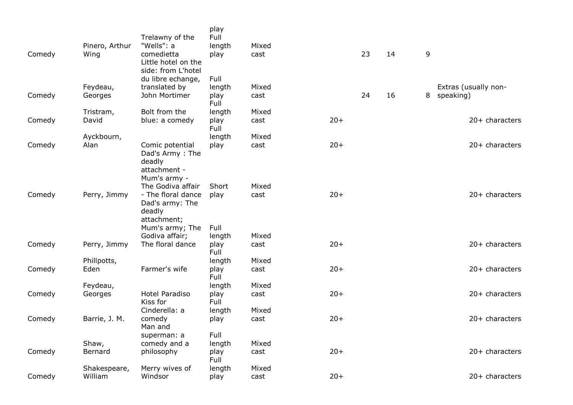| Comedy | Pinero, Arthur<br>Wing  | Trelawny of the<br>"Wells": a<br>comedietta<br>Little hotel on the<br>side: from L'hotel | play<br>Full<br>length<br>play | Mixed<br>cast |       | 23 | 14 | 9 |                      |
|--------|-------------------------|------------------------------------------------------------------------------------------|--------------------------------|---------------|-------|----|----|---|----------------------|
|        | Feydeau,                | du libre echange,<br>translated by                                                       | Full<br>length                 | Mixed         |       |    |    |   | Extras (usually non- |
| Comedy | Georges                 | John Mortimer                                                                            | play<br>Full                   | cast          |       | 24 | 16 | 8 | speaking)            |
|        | Tristram,               | Bolt from the                                                                            | length                         | Mixed         |       |    |    |   |                      |
| Comedy | David                   | blue: a comedy                                                                           | play<br>Full                   | cast          | $20+$ |    |    |   | 20+ characters       |
|        | Ayckbourn,              |                                                                                          | length                         | Mixed         |       |    |    |   |                      |
| Comedy | Alan                    | Comic potential<br>Dad's Army: The<br>deadly<br>attachment -                             | play                           | cast          | $20+$ |    |    |   | 20+ characters       |
|        |                         | Mum's army -                                                                             |                                |               |       |    |    |   |                      |
| Comedy | Perry, Jimmy            | The Godiva affair<br>- The floral dance<br>Dad's army: The<br>deadly                     | Short<br>play                  | Mixed<br>cast | $20+$ |    |    |   | $20+$ characters     |
|        |                         | attachment;<br>Mum's army; The<br>Godiva affair;                                         | Full<br>length                 | Mixed         |       |    |    |   |                      |
| Comedy | Perry, Jimmy            | The floral dance                                                                         | play<br>Full                   | cast          | $20+$ |    |    |   | $20+$ characters     |
|        | Phillpotts,             |                                                                                          | length                         | Mixed         |       |    |    |   |                      |
| Comedy | Eden                    | Farmer's wife                                                                            | play<br>Full                   | cast          | $20+$ |    |    |   | 20+ characters       |
|        | Feydeau,                |                                                                                          | length                         | Mixed         |       |    |    |   |                      |
| Comedy | Georges                 | <b>Hotel Paradiso</b><br>Kiss for                                                        | play<br>Full                   | cast          | $20+$ |    |    |   | 20+ characters       |
|        |                         | Cinderella: a                                                                            | length                         | Mixed         |       |    |    |   |                      |
| Comedy | Barrie, J. M.           | comedy<br>Man and                                                                        | play                           | cast          | $20+$ |    |    |   | 20+ characters       |
|        |                         | superman: a                                                                              | Full                           |               |       |    |    |   |                      |
| Comedy | Shaw,<br>Bernard        | comedy and a<br>philosophy                                                               | length<br>play                 | Mixed<br>cast | $20+$ |    |    |   | 20+ characters       |
|        |                         |                                                                                          | Full                           |               |       |    |    |   |                      |
| Comedy | Shakespeare,<br>William | Merry wives of<br>Windsor                                                                | length<br>play                 | Mixed<br>cast | $20+$ |    |    |   | $20+$ characters     |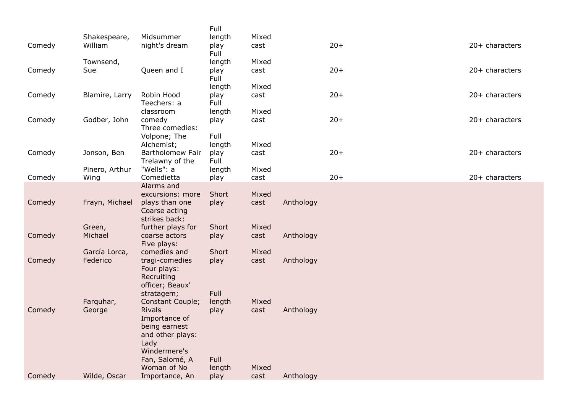|        |                |                                       | Full           |               |           |       |                  |
|--------|----------------|---------------------------------------|----------------|---------------|-----------|-------|------------------|
|        | Shakespeare,   | Midsummer                             | length         | Mixed         |           |       |                  |
| Comedy | William        | night's dream                         | play<br>Full   | cast          |           | $20+$ | $20+$ characters |
|        | Townsend,      |                                       | length         | Mixed         |           |       |                  |
| Comedy | Sue            | Queen and I                           | play           | cast          |           | $20+$ | 20+ characters   |
|        |                |                                       | Full           |               |           |       |                  |
|        |                |                                       | length         | Mixed         |           |       |                  |
| Comedy | Blamire, Larry | Robin Hood<br>Teechers: a             | play<br>Full   | cast          |           | $20+$ | $20+$ characters |
|        |                | classroom                             | length         | Mixed         |           |       |                  |
| Comedy | Godber, John   | comedy                                | play           | cast          |           | $20+$ | $20+$ characters |
|        |                | Three comedies:                       |                |               |           |       |                  |
|        |                | Volpone; The                          | Full           |               |           |       |                  |
| Comedy | Jonson, Ben    | Alchemist;<br><b>Bartholomew Fair</b> | length<br>play | Mixed<br>cast |           | $20+$ | $20+$ characters |
|        |                | Trelawny of the                       | Full           |               |           |       |                  |
|        | Pinero, Arthur | "Wells": a                            | length         | Mixed         |           |       |                  |
| Comedy | Wing           | Comedietta                            | play           | cast          |           | $20+$ | $20+$ characters |
|        |                | Alarms and                            |                |               |           |       |                  |
| Comedy | Frayn, Michael | excursions: more<br>plays than one    | Short<br>play  | Mixed<br>cast | Anthology |       |                  |
|        |                | Coarse acting                         |                |               |           |       |                  |
|        |                | strikes back:                         |                |               |           |       |                  |
|        | Green,         | further plays for                     | Short          | Mixed         |           |       |                  |
| Comedy | Michael        | coarse actors<br>Five plays:          | play           | cast          | Anthology |       |                  |
|        | García Lorca,  | comedies and                          | Short          | Mixed         |           |       |                  |
| Comedy | Federico       | tragi-comedies                        | play           | cast          | Anthology |       |                  |
|        |                | Four plays:                           |                |               |           |       |                  |
|        |                | Recruiting                            |                |               |           |       |                  |
|        |                | officer; Beaux'<br>stratagem;         | Full           |               |           |       |                  |
|        | Farquhar,      | Constant Couple;                      | length         | Mixed         |           |       |                  |
| Comedy | George         | <b>Rivals</b>                         | play           | cast          | Anthology |       |                  |
|        |                | Importance of                         |                |               |           |       |                  |
|        |                | being earnest                         |                |               |           |       |                  |
|        |                | and other plays:<br>Lady              |                |               |           |       |                  |
|        |                | Windermere's                          |                |               |           |       |                  |
|        |                | Fan, Salomé, A                        | Full           |               |           |       |                  |
|        |                | Woman of No                           | length         | Mixed         |           |       |                  |
| Comedy | Wilde, Oscar   | Importance, An                        | play           | cast          | Anthology |       |                  |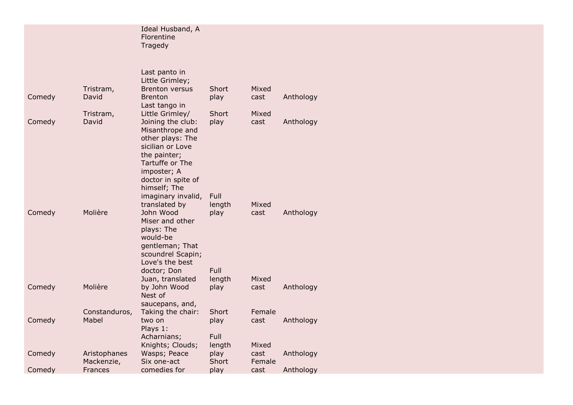|        |               | Ideal Husband, A<br>Florentine<br>Tragedy |        |        |           |
|--------|---------------|-------------------------------------------|--------|--------|-----------|
|        |               |                                           |        |        |           |
|        |               |                                           |        |        |           |
|        |               | Last panto in                             |        |        |           |
|        | Tristram,     | Little Grimley;<br><b>Brenton versus</b>  | Short  | Mixed  |           |
| Comedy | David         | <b>Brenton</b>                            | play   | cast   | Anthology |
|        |               | Last tango in                             |        |        |           |
|        | Tristram,     | Little Grimley/                           | Short  | Mixed  |           |
| Comedy | David         | Joining the club:                         | play   | cast   | Anthology |
|        |               | Misanthrope and                           |        |        |           |
|        |               | other plays: The                          |        |        |           |
|        |               | sicilian or Love                          |        |        |           |
|        |               | the painter;                              |        |        |           |
|        |               | Tartuffe or The                           |        |        |           |
|        |               | imposter; A                               |        |        |           |
|        |               | doctor in spite of                        |        |        |           |
|        |               | himself; The                              |        |        |           |
|        |               | imaginary invalid,                        | Full   |        |           |
|        |               | translated by                             | length | Mixed  |           |
| Comedy | Molière       | John Wood                                 | play   | cast   | Anthology |
|        |               | Miser and other                           |        |        |           |
|        |               | plays: The<br>would-be                    |        |        |           |
|        |               | gentleman; That                           |        |        |           |
|        |               | scoundrel Scapin;                         |        |        |           |
|        |               | Love's the best                           |        |        |           |
|        |               | doctor; Don                               | Full   |        |           |
|        |               | Juan, translated                          | length | Mixed  |           |
| Comedy | Molière       | by John Wood                              | play   | cast   | Anthology |
|        |               | Nest of                                   |        |        |           |
|        |               | saucepans, and,                           |        |        |           |
|        | Constanduros, | Taking the chair:                         | Short  | Female |           |
| Comedy | Mabel         | two on                                    | play   | cast   | Anthology |
|        |               | Plays 1:                                  |        |        |           |
|        |               | Acharnians;                               | Full   |        |           |
|        |               | Knights; Clouds;                          | length | Mixed  |           |
| Comedy | Aristophanes  | Wasps; Peace                              | play   | cast   | Anthology |
|        | Mackenzie,    | Six one-act                               | Short  | Female |           |
| Comedy | Frances       | comedies for                              | play   | cast   | Anthology |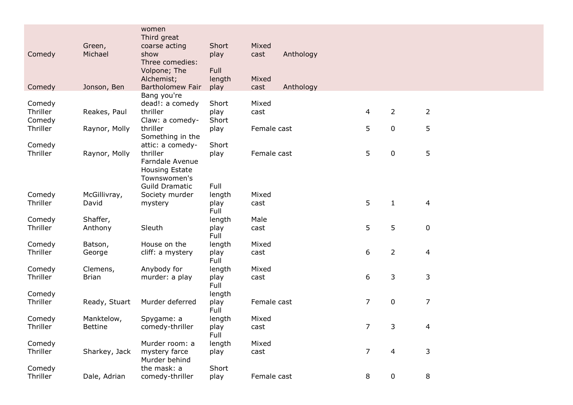|                    |                   | women                            |                |               |           |                |                |                |
|--------------------|-------------------|----------------------------------|----------------|---------------|-----------|----------------|----------------|----------------|
|                    | Green,            | Third great                      | Short          | Mixed         |           |                |                |                |
| Comedy             | Michael           | coarse acting<br>show            | play           | cast          | Anthology |                |                |                |
|                    |                   | Three comedies:                  |                |               |           |                |                |                |
|                    |                   | Volpone; The                     | Full           |               |           |                |                |                |
|                    |                   | Alchemist;                       | length         | Mixed         |           |                |                |                |
| Comedy             | Jonson, Ben       | <b>Bartholomew Fair</b>          | play           | cast          | Anthology |                |                |                |
|                    |                   | Bang you're                      |                |               |           |                |                |                |
| Comedy             |                   | dead!: a comedy                  | Short          | Mixed         |           |                |                |                |
| Thriller           | Reakes, Paul      | thriller                         | play           | cast          |           | 4              | $\overline{2}$ | $\overline{2}$ |
| Comedy             |                   | Claw: a comedy-                  | Short          |               |           |                |                |                |
| Thriller           | Raynor, Molly     | thriller                         | play           | Female cast   |           | 5              | $\mathbf 0$    | 5              |
|                    |                   | Something in the                 |                |               |           |                |                |                |
| Comedy<br>Thriller |                   | attic: a comedy-<br>thriller     | Short          |               |           | 5              |                |                |
|                    | Raynor, Molly     | Farndale Avenue                  | play           | Female cast   |           |                | $\mathbf 0$    | 5              |
|                    |                   | Housing Estate                   |                |               |           |                |                |                |
|                    |                   | Townswomen's                     |                |               |           |                |                |                |
|                    |                   | <b>Guild Dramatic</b>            | Full           |               |           |                |                |                |
| Comedy             | McGillivray,      | Society murder                   | length         | Mixed         |           |                |                |                |
| Thriller           | David             | mystery                          | play           | cast          |           | 5              | $\mathbf{1}$   | $\overline{4}$ |
|                    |                   |                                  | Full           |               |           |                |                |                |
| Comedy             | Shaffer,          |                                  | length         | Male          |           |                |                |                |
| Thriller           | Anthony           | Sleuth                           | play           | cast          |           | 5              | 5              | $\pmb{0}$      |
|                    |                   |                                  | Full           |               |           |                |                |                |
| Comedy<br>Thriller | Batson,<br>George | House on the<br>cliff: a mystery | length<br>play | Mixed<br>cast |           | 6              | $\overline{2}$ | $\overline{4}$ |
|                    |                   |                                  | Full           |               |           |                |                |                |
| Comedy             | Clemens,          | Anybody for                      | length         | Mixed         |           |                |                |                |
| Thriller           | <b>Brian</b>      | murder: a play                   | play           | cast          |           | 6              | $\mathsf{3}$   | 3              |
|                    |                   |                                  | Full           |               |           |                |                |                |
| Comedy             |                   |                                  | length         |               |           |                |                |                |
| Thriller           | Ready, Stuart     | Murder deferred                  | play           | Female cast   |           | $\overline{7}$ | $\mathbf 0$    | $\overline{7}$ |
|                    |                   |                                  | Full           |               |           |                |                |                |
| Comedy             | Manktelow,        | Spygame: a                       | length         | Mixed         |           |                |                |                |
| Thriller           | <b>Bettine</b>    | comedy-thriller                  | play<br>Full   | cast          |           | 7              | 3              | 4              |
| Comedy             |                   | Murder room: a                   | length         | Mixed         |           |                |                |                |
| Thriller           | Sharkey, Jack     | mystery farce                    | play           | cast          |           | $\overline{7}$ | 4              | 3              |
|                    |                   | Murder behind                    |                |               |           |                |                |                |
| Comedy             |                   | the mask: a                      | Short          |               |           |                |                |                |
| Thriller           | Dale, Adrian      | comedy-thriller                  | play           | Female cast   |           | 8              | $\mathbf 0$    | 8              |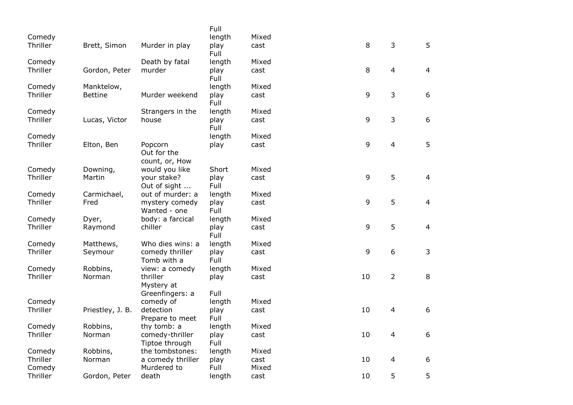| Comedy   |                  |                                          | Full<br>length | Mixed |    |                |                |
|----------|------------------|------------------------------------------|----------------|-------|----|----------------|----------------|
| Thriller | Brett, Simon     | Murder in play                           | play<br>Full   | cast  | 8  | 3              | 5              |
| Comedy   |                  | Death by fatal                           | length         | Mixed |    |                |                |
| Thriller | Gordon, Peter    | murder                                   | play<br>Full   | cast  | 8  | $\overline{4}$ | $\overline{4}$ |
| Comedy   | Manktelow,       |                                          | length         | Mixed |    |                |                |
| Thriller | <b>Bettine</b>   | Murder weekend                           | play<br>Full   | cast  | 9  | 3              | 6              |
| Comedy   |                  | Strangers in the                         | length         | Mixed |    |                |                |
| Thriller | Lucas, Victor    | house                                    | play<br>Full   | cast  | 9  | 3              | 6              |
| Comedy   |                  |                                          | length         | Mixed |    |                |                |
| Thriller | Elton, Ben       | Popcorn<br>Out for the<br>count, or, How | play           | cast  | 9  | $\overline{4}$ | 5              |
| Comedy   | Downing,         | would you like                           | Short          | Mixed |    |                |                |
| Thriller | Martin           | your stake?<br>Out of sight              | play<br>Full   | cast  | 9  | 5              | $\overline{4}$ |
| Comedy   | Carmichael,      | out of murder: a                         | length         | Mixed |    |                |                |
| Thriller | Fred             | mystery comedy<br>Wanted - one           | play<br>Full   | cast  | 9  | 5              | $\overline{4}$ |
| Comedy   | Dyer,            | body: a farcical                         | length         | Mixed |    |                |                |
| Thriller | Raymond          | chiller                                  | play<br>Full   | cast  | 9  | 5              | $\overline{4}$ |
| Comedy   | Matthews,        | Who dies wins: a                         | length         | Mixed |    |                |                |
| Thriller | Seymour          | comedy thriller<br>Tomb with a           | play<br>Full   | cast  | 9  | 6              | 3              |
| Comedy   | Robbins,         | view: a comedy                           | length         | Mixed |    |                |                |
| Thriller | Norman           | thriller<br>Mystery at                   | play           | cast  | 10 | $\overline{2}$ | 8              |
| Comedy   |                  | Greenfingers: a                          | Full           | Mixed |    |                |                |
| Thriller | Priestley, J. B. | comedy of<br>detection                   | length<br>play | cast  | 10 | $\overline{4}$ | 6              |
|          |                  | Prepare to meet                          | Full           |       |    |                |                |
| Comedy   | Robbins,         | thy tomb: a                              | length         | Mixed |    |                |                |
| Thriller | Norman           | comedy-thriller<br>Tiptoe through        | play<br>Full   | cast  | 10 | 4              | 6              |
| Comedy   | Robbins,         | the tombstones:                          | length         | Mixed |    |                |                |
| Thriller | Norman           | a comedy thriller                        | play           | cast  | 10 | $\overline{4}$ | 6              |
| Comedy   |                  | Murdered to                              | Full           | Mixed |    |                |                |
| Thriller | Gordon, Peter    | death                                    | length         | cast  | 10 | 5              | 5              |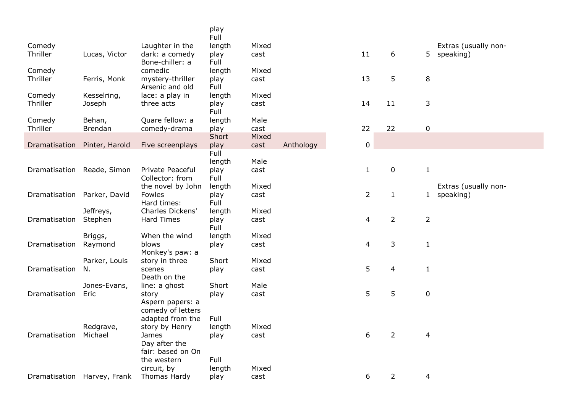|                              |                             |                                       | play<br>Full  |               |           |                |                |                |                      |
|------------------------------|-----------------------------|---------------------------------------|---------------|---------------|-----------|----------------|----------------|----------------|----------------------|
| Comedy                       |                             | Laughter in the                       | length        | Mixed         |           |                |                |                | Extras (usually non- |
| Thriller                     | Lucas, Victor               | dark: a comedy<br>Bone-chiller: a     | play<br>Full  | cast          |           | 11             | 6              |                | 5 speaking)          |
| Comedy                       |                             | comedic                               | length        | Mixed         |           | 13             | 5              |                |                      |
| Thriller                     | Ferris, Monk                | mystery-thriller<br>Arsenic and old   | play<br>Full  | cast          |           |                |                | $\,8\,$        |                      |
| Comedy                       | Kesselring,                 | lace: a play in                       | length        | Mixed         |           |                |                |                |                      |
| Thriller                     | Joseph                      | three acts                            | play<br>Full  | cast          |           | 14             | 11             | 3              |                      |
| Comedy                       | Behan,                      | Quare fellow: a                       | length        | Male          |           |                |                |                |                      |
| Thriller                     | <b>Brendan</b>              | comedy-drama                          | play          | cast          |           | 22             | 22             | 0              |                      |
| Dramatisation Pinter, Harold |                             | Five screenplays                      | Short<br>play | Mixed<br>cast | Anthology | $\pmb{0}$      |                |                |                      |
|                              |                             |                                       | Full          |               |           |                |                |                |                      |
|                              |                             |                                       | length        | Male          |           |                |                |                |                      |
| Dramatisation Reade, Simon   |                             | Private Peaceful                      | play          | cast          |           | $\mathbf{1}$   | $\pmb{0}$      | $\mathbf{1}$   |                      |
|                              |                             | Collector: from                       | Full          |               |           |                |                |                |                      |
|                              |                             | the novel by John                     | length        | Mixed         |           |                |                |                | Extras (usually non- |
| Dramatisation Parker, David  |                             | Fowles<br>Hard times:                 | play<br>Full  | cast          |           | $\overline{2}$ | $\mathbf{1}$   |                | 1 speaking)          |
|                              | Jeffreys,                   | Charles Dickens'                      | length        | Mixed         |           |                |                |                |                      |
| Dramatisation                | Stephen                     | <b>Hard Times</b>                     | play<br>Full  | cast          |           | 4              | $\overline{2}$ | $\overline{2}$ |                      |
|                              | Briggs,                     | When the wind                         | length        | Mixed         |           |                |                |                |                      |
| Dramatisation                | Raymond                     | blows<br>Monkey's paw: a              | play          | cast          |           | 4              | $\mathsf 3$    | $\mathbf{1}$   |                      |
|                              | Parker, Louis               | story in three                        | Short         | Mixed         |           |                |                |                |                      |
| Dramatisation                | N.                          | scenes<br>Death on the                | play          | cast          |           | 5              | $\overline{4}$ | $\mathbf{1}$   |                      |
|                              | Jones-Evans,                | line: a ghost                         | Short         | Male          |           |                |                |                |                      |
| Dramatisation                | Eric                        | story                                 | play          | cast          |           | 5              | 5              | $\mathbf 0$    |                      |
|                              |                             | Aspern papers: a<br>comedy of letters |               |               |           |                |                |                |                      |
|                              |                             | adapted from the                      | Full          |               |           |                |                |                |                      |
|                              | Redgrave,                   | story by Henry                        | length        | Mixed         |           |                |                |                |                      |
| Dramatisation                | Michael                     | James                                 | play          | cast          |           | 6              | $\overline{2}$ | 4              |                      |
|                              |                             | Day after the                         |               |               |           |                |                |                |                      |
|                              |                             | fair: based on On                     |               |               |           |                |                |                |                      |
|                              |                             | the western                           | Full          |               |           |                |                |                |                      |
|                              |                             | circuit, by                           | length        | Mixed         |           |                |                |                |                      |
|                              | Dramatisation Harvey, Frank | Thomas Hardy                          | play          | cast          |           | 6              | $\overline{2}$ | 4              |                      |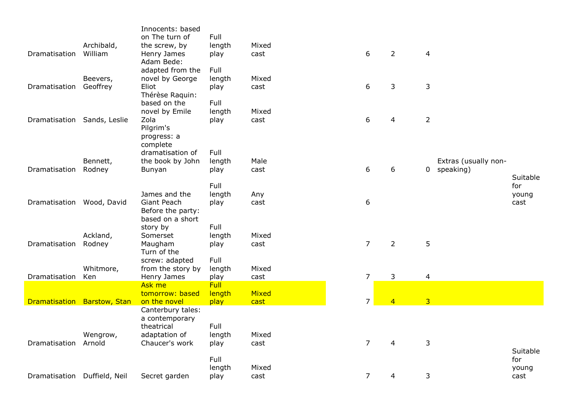|                              |                       | Innocents: based<br>on The turn of                        | Full                   |               |                |                |                                                  |               |
|------------------------------|-----------------------|-----------------------------------------------------------|------------------------|---------------|----------------|----------------|--------------------------------------------------|---------------|
| Dramatisation                | Archibald,<br>William | the screw, by<br>Henry James<br>Adam Bede:                | length<br>play         | Mixed<br>cast | 6              | $\overline{2}$ | $\overline{\mathbf{4}}$                          |               |
| Dramatisation                | Beevers,<br>Geoffrey  | adapted from the<br>novel by George<br>Eliot              | Full<br>length<br>play | Mixed<br>cast | 6              | 3              | 3                                                |               |
| Dramatisation Sands, Leslie  |                       | Thérèse Raquin:<br>based on the<br>novel by Emile<br>Zola | Full<br>length<br>play | Mixed<br>cast | 6              | $\overline{4}$ | $\overline{2}$                                   |               |
|                              |                       | Pilgrim's<br>progress: a<br>complete                      |                        |               |                |                |                                                  |               |
|                              |                       | dramatisation of                                          | Full                   |               |                |                |                                                  |               |
| Dramatisation                | Bennett,<br>Rodney    | the book by John<br>Bunyan                                | length<br>play         | Male<br>cast  | 6              | 6              | Extras (usually non-<br>speaking)<br>$\mathbf 0$ | Suitable      |
|                              |                       |                                                           | Full                   |               |                |                |                                                  | for           |
| Dramatisation Wood, David    |                       | James and the<br>Giant Peach<br>Before the party:         | length<br>play         | Any<br>cast   | 6              |                |                                                  | young<br>cast |
|                              |                       | based on a short<br>story by                              | Full                   |               |                |                |                                                  |               |
| Dramatisation                | Ackland,<br>Rodney    | Somerset<br>Maugham<br>Turn of the                        | length<br>play         | Mixed<br>cast | $\overline{7}$ | $\overline{2}$ | 5                                                |               |
| Dramatisation                | Whitmore,<br>Ken      | screw: adapted<br>from the story by<br>Henry James        | Full<br>length<br>play | Mixed<br>cast | $\overline{7}$ | 3              | $\overline{\mathbf{4}}$                          |               |
|                              |                       | Ask me                                                    | <b>Full</b>            |               |                |                |                                                  |               |
| Dramatisation Barstow, Stan  |                       | tomorrow: based<br>on the novel                           | length<br>play         | Mixed<br>cast | $\overline{7}$ | $\overline{4}$ | $\overline{3}$                                   |               |
|                              |                       | Canterbury tales:<br>a contemporary                       |                        |               |                |                |                                                  |               |
|                              | Wengrow,              | theatrical<br>adaptation of                               | Full<br>length         | Mixed         |                |                |                                                  |               |
| Dramatisation                | Arnold                | Chaucer's work                                            | play                   | cast          | $\overline{7}$ | $\overline{4}$ | 3                                                | Suitable      |
|                              |                       |                                                           | Full<br>length         | Mixed         |                |                |                                                  | for<br>young  |
| Dramatisation Duffield, Neil |                       | Secret garden                                             | play                   | cast          | $\overline{7}$ | 4              | 3                                                | cast          |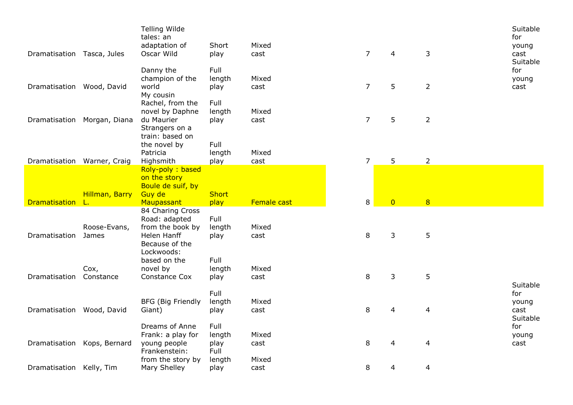| Dramatisation Tasca, Jules  |                              | <b>Telling Wilde</b><br>tales: an<br>adaptation of<br>Oscar Wild                                     | Short<br>play                  | Mixed<br>cast          | $\overline{7}$ | 4              | 3              | Suitable<br>for<br>young<br>cast<br>Suitable |
|-----------------------------|------------------------------|------------------------------------------------------------------------------------------------------|--------------------------------|------------------------|----------------|----------------|----------------|----------------------------------------------|
| Dramatisation Wood, David   |                              | Danny the<br>champion of the<br>world<br>My cousin                                                   | Full<br>length<br>play         | Mixed<br>cast          | $\overline{7}$ | 5              | $\overline{2}$ | for<br>young<br>cast                         |
|                             | Dramatisation Morgan, Diana  | Rachel, from the<br>novel by Daphne<br>du Maurier<br>Strangers on a<br>train: based on               | Full<br>length<br>play         | Mixed<br>cast          | $\overline{7}$ | 5              | $\overline{2}$ |                                              |
|                             |                              | the novel by<br>Patricia                                                                             | Full<br>length                 | Mixed                  |                |                |                |                                              |
| Dramatisation Warner, Craig |                              | Highsmith                                                                                            | play                           | cast                   | $\overline{7}$ | 5              | $\overline{2}$ |                                              |
|                             | Hillman, Barry               | Roly-poly: based<br>on the story<br>Boule de suif, by<br>Guy de                                      | <b>Short</b>                   |                        |                |                |                |                                              |
|                             |                              |                                                                                                      |                                |                        |                |                |                |                                              |
| Dramatisation L.            |                              | Maupassant                                                                                           | play                           | Female cast            | 8              | $\overline{0}$ | 8              |                                              |
| Dramatisation               | Roose-Evans,<br><b>James</b> | 84 Charing Cross<br>Road: adapted<br>from the book by<br>Helen Hanff<br>Because of the<br>Lockwoods: | Full<br>length<br>play         | Mixed<br>cast          | 8              | 3              | 5              |                                              |
| Dramatisation               | Cox,<br>Constance            | based on the<br>novel by<br>Constance Cox                                                            | Full<br>length<br>play         | Mixed<br>cast          | 8              | 3              | 5              |                                              |
| Dramatisation Wood, David   |                              | <b>BFG (Big Friendly</b><br>Giant)                                                                   | Full<br>length<br>play         | Mixed<br>cast          | 8              | 4              | 4              | Suitable<br>for<br>young<br>cast<br>Suitable |
| Dramatisation               | Kops, Bernard                | Dreams of Anne<br>Frank: a play for<br>young people<br>Frankenstein:<br>from the story by            | Full<br>length<br>play<br>Full | Mixed<br>cast<br>Mixed | 8              | 4              | 4              | for<br>young<br>cast                         |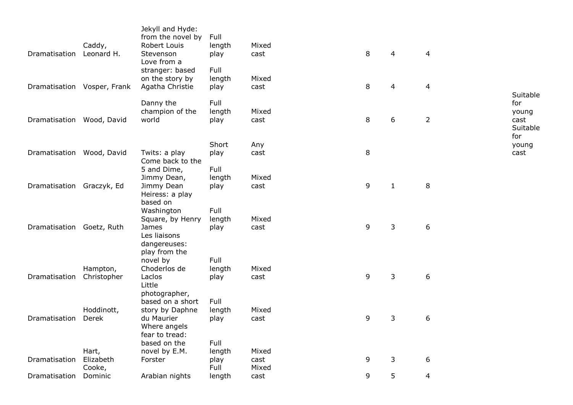| Dramatisation               | Caddy,<br>Leonard H.         | Jekyll and Hyde:<br>from the novel by<br>Robert Louis<br>Stevenson<br>Love from a        | Full<br>length<br>play         | Mixed<br>cast          | 8       | $\overline{4}$ | 4                       |                                         |
|-----------------------------|------------------------------|------------------------------------------------------------------------------------------|--------------------------------|------------------------|---------|----------------|-------------------------|-----------------------------------------|
| Dramatisation Vosper, Frank |                              | stranger: based<br>on the story by<br>Agatha Christie                                    | Full<br>length<br>play         | Mixed<br>cast          | 8       | $\overline{4}$ | $\overline{\mathbf{4}}$ | Suitable                                |
| Dramatisation Wood, David   |                              | Danny the<br>champion of the<br>world                                                    | Full<br>length<br>play         | Mixed<br>cast          | 8       | 6              | $\overline{2}$          | for<br>young<br>cast<br>Suitable<br>for |
| Dramatisation Wood, David   |                              | Twits: a play<br>Come back to the                                                        | Short<br>play                  | Any<br>cast            | $\,8\,$ |                |                         | young<br>cast                           |
| Dramatisation Graczyk, Ed   |                              | 5 and Dime,<br>Jimmy Dean,<br>Jimmy Dean<br>Heiress: a play<br>based on                  | Full<br>length<br>play         | Mixed<br>cast          | 9       | $\mathbf{1}$   | 8                       |                                         |
| Dramatisation Goetz, Ruth   |                              | Washington<br>Square, by Henry<br>James<br>Les liaisons<br>dangereuses:<br>play from the | Full<br>length<br>play         | Mixed<br>cast          | 9       | 3              | 6                       |                                         |
| Dramatisation               | Hampton,<br>Christopher      | novel by<br>Choderlos de<br>Laclos<br>Little<br>photographer,                            | Full<br>length<br>play         | Mixed<br>cast          | 9       | 3              | 6                       |                                         |
| Dramatisation               | Hoddinott,<br>Derek          | based on a short<br>story by Daphne<br>du Maurier<br>Where angels<br>fear to tread:      | Full<br>length<br>play         | Mixed<br>cast          | 9       | $\mathsf{3}$   | 6                       |                                         |
| Dramatisation               | Hart,<br>Elizabeth<br>Cooke, | based on the<br>novel by E.M.<br>Forster                                                 | Full<br>length<br>play<br>Full | Mixed<br>cast<br>Mixed | 9       | 3              | 6                       |                                         |
| Dramatisation               | Dominic                      | Arabian nights                                                                           | length                         | cast                   | 9       | 5              | 4                       |                                         |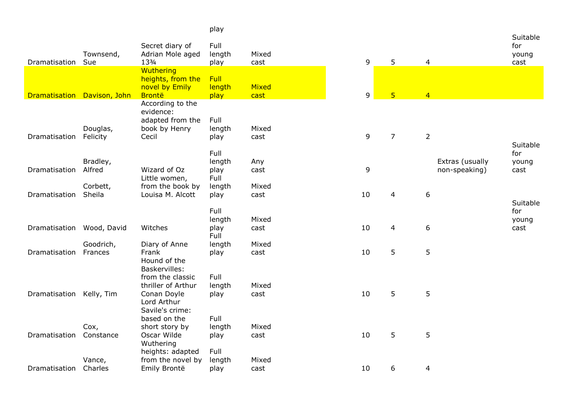|                             |                   |                                     | play           |               |    |                |                 |                 |               |
|-----------------------------|-------------------|-------------------------------------|----------------|---------------|----|----------------|-----------------|-----------------|---------------|
|                             |                   |                                     |                |               |    |                |                 |                 | Suitable      |
|                             | Townsend,         | Secret diary of<br>Adrian Mole aged | Full<br>length | Mixed         |    |                |                 |                 | for<br>young  |
| Dramatisation               | Sue               | 133/4                               | play           | cast          | 9  | 5              | $\overline{4}$  |                 | cast          |
|                             |                   | Wuthering                           |                |               |    |                |                 |                 |               |
|                             |                   | heights, from the                   | Full           |               |    |                |                 |                 |               |
|                             |                   | novel by Emily                      | length         | Mixed         |    |                |                 |                 |               |
| Dramatisation Davison, John |                   | <b>Brontë</b>                       | play           | cast          | 9  | $\overline{5}$ | $\overline{4}$  |                 |               |
|                             |                   | According to the<br>evidence:       |                |               |    |                |                 |                 |               |
|                             |                   | adapted from the                    | Full           |               |    |                |                 |                 |               |
|                             | Douglas,          | book by Henry                       | length         | Mixed         |    |                |                 |                 |               |
| Dramatisation               | Felicity          | Cecil                               | play           | cast          | 9  | $\overline{7}$ | $\overline{2}$  |                 |               |
|                             |                   |                                     |                |               |    |                |                 |                 | Suitable      |
|                             | Bradley,          |                                     | Full<br>length |               |    |                |                 | Extras (usually | for           |
| Dramatisation               | Alfred            | Wizard of Oz                        | play           | Any<br>cast   | 9  |                |                 | non-speaking)   | young<br>cast |
|                             |                   | Little women,                       | Full           |               |    |                |                 |                 |               |
|                             | Corbett,          | from the book by                    | length         | Mixed         |    |                |                 |                 |               |
| Dramatisation               | Sheila            | Louisa M. Alcott                    | play           | cast          | 10 | $\overline{4}$ | $6\phantom{1}6$ |                 |               |
|                             |                   |                                     |                |               |    |                |                 |                 | Suitable      |
|                             |                   |                                     | Full<br>length | Mixed         |    |                |                 |                 | for           |
| Dramatisation Wood, David   |                   | Witches                             | play           | cast          | 10 | $\overline{4}$ | 6               |                 | young<br>cast |
|                             |                   |                                     | Full           |               |    |                |                 |                 |               |
|                             | Goodrich,         | Diary of Anne                       | length         | Mixed         |    |                |                 |                 |               |
| Dramatisation               | Frances           | Frank                               | play           | cast          | 10 | 5              | $5\phantom{.}$  |                 |               |
|                             |                   | Hound of the                        |                |               |    |                |                 |                 |               |
|                             |                   | Baskervilles:<br>from the classic   | Full           |               |    |                |                 |                 |               |
|                             |                   | thriller of Arthur                  | length         | Mixed         |    |                |                 |                 |               |
| Dramatisation               | Kelly, Tim        | Conan Doyle                         | play           | cast          | 10 | 5              | 5               |                 |               |
|                             |                   | Lord Arthur                         |                |               |    |                |                 |                 |               |
|                             |                   | Savile's crime:                     |                |               |    |                |                 |                 |               |
|                             |                   | based on the                        | Full           |               |    |                |                 |                 |               |
| Dramatisation               | Cox,<br>Constance | short story by<br>Oscar Wilde       | length         | Mixed<br>cast | 10 | 5              | 5               |                 |               |
|                             |                   | Wuthering                           | play           |               |    |                |                 |                 |               |
|                             |                   | heights: adapted                    | Full           |               |    |                |                 |                 |               |
|                             | Vance,            | from the novel by                   | length         | Mixed         |    |                |                 |                 |               |
| Dramatisation               | Charles           | Emily Brontë                        | play           | cast          | 10 | 6              | 4               |                 |               |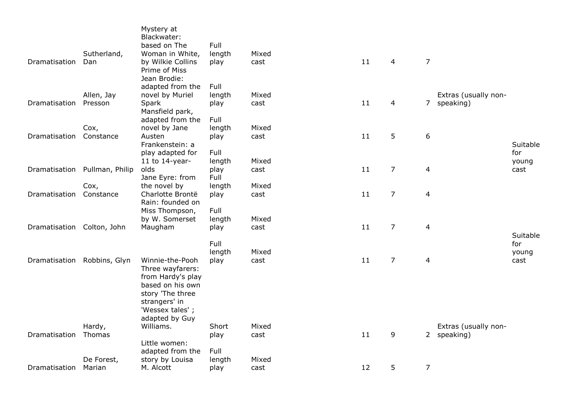| Dramatisation              | Sutherland,<br>Dan | Mystery at<br>Blackwater:<br>based on The<br>Woman in White,<br>by Wilkie Collins<br>Prime of Miss | Full<br>length<br>play | Mixed<br>cast | 11 | $\overline{4}$ | $\overline{7}$           |                      |                 |
|----------------------------|--------------------|----------------------------------------------------------------------------------------------------|------------------------|---------------|----|----------------|--------------------------|----------------------|-----------------|
|                            | Allen, Jay         | Jean Brodie:<br>adapted from the<br>novel by Muriel                                                | Full<br>length         | Mixed         |    |                |                          | Extras (usually non- |                 |
| Dramatisation              | Presson            | Spark                                                                                              | play                   | cast          | 11 | $\overline{4}$ | $\overline{7}$           | speaking)            |                 |
|                            | Cox,               | Mansfield park,<br>adapted from the<br>novel by Jane                                               | Full<br>length         | Mixed         |    |                |                          |                      |                 |
| Dramatisation              | Constance          | Austen<br>Frankenstein: a                                                                          | play                   | cast          | 11 | 5              | 6                        |                      | Suitable        |
|                            |                    | play adapted for                                                                                   | Full                   |               |    |                |                          |                      | for             |
|                            |                    | 11 to $14$ -year-                                                                                  | length                 | Mixed         |    |                |                          |                      | young           |
| Dramatisation              | Pullman, Philip    | olds<br>Jane Eyre: from                                                                            | play<br>Full           | cast          | 11 | $\overline{7}$ | 4                        |                      | cast            |
|                            | Cox,               | the novel by                                                                                       | length                 | Mixed         |    |                |                          |                      |                 |
| Dramatisation              | Constance          | Charlotte Brontë                                                                                   | play                   | cast          | 11 | $\overline{7}$ | $\overline{\mathcal{L}}$ |                      |                 |
|                            |                    | Rain: founded on<br>Miss Thompson,                                                                 | Full                   |               |    |                |                          |                      |                 |
|                            |                    | by W. Somerset                                                                                     | length                 | Mixed         |    |                |                          |                      |                 |
| Dramatisation Colton, John |                    | Maugham                                                                                            | play                   | cast          | 11 | $\overline{7}$ | 4                        |                      |                 |
|                            |                    |                                                                                                    | Full                   |               |    |                |                          |                      | Suitable<br>for |
|                            |                    |                                                                                                    | length                 | Mixed         |    |                |                          |                      | young           |
| Dramatisation              | Robbins, Glyn      | Winnie-the-Pooh                                                                                    | play                   | cast          | 11 | $\overline{7}$ | 4                        |                      | cast            |
|                            |                    | Three wayfarers:<br>from Hardy's play                                                              |                        |               |    |                |                          |                      |                 |
|                            |                    | based on his own                                                                                   |                        |               |    |                |                          |                      |                 |
|                            |                    | story 'The three                                                                                   |                        |               |    |                |                          |                      |                 |
|                            |                    | strangers' in<br>'Wessex tales';                                                                   |                        |               |    |                |                          |                      |                 |
|                            |                    | adapted by Guy                                                                                     |                        |               |    |                |                          |                      |                 |
|                            | Hardy,             | Williams.                                                                                          | Short                  | Mixed         |    |                |                          | Extras (usually non- |                 |
| Dramatisation              | Thomas             | Little women:                                                                                      | play                   | cast          | 11 | 9              |                          | 2 speaking)          |                 |
|                            |                    | adapted from the                                                                                   | Full                   |               |    |                |                          |                      |                 |
|                            | De Forest,         | story by Louisa                                                                                    | length                 | Mixed         |    |                |                          |                      |                 |
| Dramatisation              | Marian             | M. Alcott                                                                                          | play                   | cast          | 12 | 5              | $\overline{7}$           |                      |                 |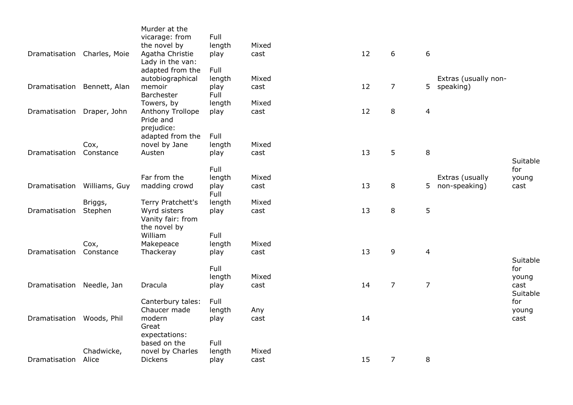| Dramatisation Charles, Moie |                    | Murder at the<br>vicarage: from<br>the novel by<br>Agatha Christie<br>Lady in the van: | Full<br>length<br>play         | Mixed<br>cast | 12 | 6              | 6                       |                                   |                                  |
|-----------------------------|--------------------|----------------------------------------------------------------------------------------|--------------------------------|---------------|----|----------------|-------------------------|-----------------------------------|----------------------------------|
| Dramatisation Bennett, Alan |                    | adapted from the<br>autobiographical<br>memoir<br>Barchester                           | Full<br>length<br>play<br>Full | Mixed<br>cast | 12 | $\overline{7}$ | 5                       | Extras (usually non-<br>speaking) |                                  |
| Dramatisation               | Draper, John       | Towers, by<br>Anthony Trollope<br>Pride and<br>prejudice:                              | length<br>play                 | Mixed<br>cast | 12 | 8              | $\overline{4}$          |                                   |                                  |
| Dramatisation               | Cox,<br>Constance  | adapted from the<br>novel by Jane<br>Austen                                            | Full<br>length<br>play         | Mixed<br>cast | 13 | 5              | 8                       |                                   |                                  |
| Dramatisation               | Williams, Guy      | Far from the<br>madding crowd                                                          | Full<br>length<br>play         | Mixed<br>cast | 13 | 8              | 5                       | Extras (usually<br>non-speaking)  | Suitable<br>for<br>young<br>cast |
| Dramatisation               | Briggs,<br>Stephen | Terry Pratchett's<br>Wyrd sisters<br>Vanity fair: from                                 | Full<br>length<br>play         | Mixed<br>cast | 13 | 8              | 5                       |                                   |                                  |
| Dramatisation               | Cox,<br>Constance  | the novel by<br>William<br>Makepeace<br>Thackeray                                      | Full<br>length<br>play         | Mixed<br>cast | 13 | 9              | $\overline{\mathbf{4}}$ |                                   |                                  |
| Dramatisation Needle, Jan   |                    | Dracula                                                                                | Full<br>length<br>play         | Mixed<br>cast | 14 | $\overline{7}$ | $\overline{7}$          |                                   | Suitable<br>for<br>young<br>cast |
| Dramatisation               | Woods, Phil        | Canterbury tales:<br>Chaucer made<br>modern                                            | Full<br>length<br>play         | Any<br>cast   | 14 |                |                         |                                   | Suitable<br>for<br>young<br>cast |
|                             | Chadwicke,         | Great<br>expectations:<br>based on the<br>novel by Charles                             | Full<br>length                 | Mixed         |    |                |                         |                                   |                                  |
| Dramatisation               | Alice              | <b>Dickens</b>                                                                         | play                           | cast          | 15 | $\overline{7}$ | 8                       |                                   |                                  |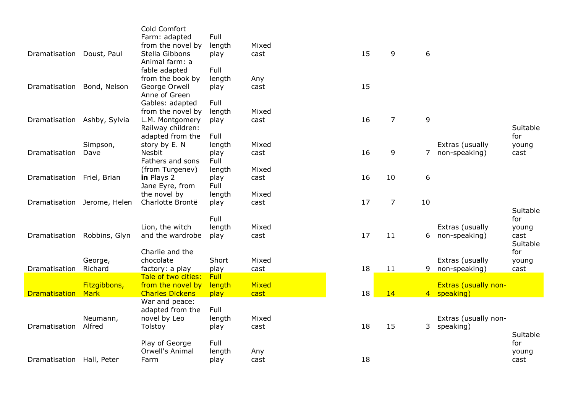|                            |                      | Cold Comfort<br>Farm: adapted               | Full           |                      |    |                |    |                                            |          |
|----------------------------|----------------------|---------------------------------------------|----------------|----------------------|----|----------------|----|--------------------------------------------|----------|
|                            |                      | from the novel by                           | length         | Mixed                |    |                |    |                                            |          |
| Dramatisation              | Doust, Paul          | Stella Gibbons                              | play           | cast                 | 15 | 9              | 6  |                                            |          |
|                            |                      | Animal farm: a                              |                |                      |    |                |    |                                            |          |
|                            |                      | fable adapted                               | Full           |                      |    |                |    |                                            |          |
|                            |                      | from the book by                            | length         | Any                  |    |                |    |                                            |          |
| Dramatisation              | Bond, Nelson         | George Orwell                               | play           | cast                 | 15 |                |    |                                            |          |
|                            |                      | Anne of Green                               |                |                      |    |                |    |                                            |          |
|                            |                      | Gables: adapted                             | Full           |                      |    |                |    |                                            |          |
|                            |                      | from the novel by                           | length         | Mixed                |    |                |    |                                            |          |
| Dramatisation              | Ashby, Sylvia        | L.M. Montgomery                             | play           | cast                 | 16 | $\overline{7}$ | 9  |                                            |          |
|                            |                      | Railway children:                           |                |                      |    |                |    |                                            | Suitable |
|                            |                      | adapted from the                            | Full           |                      |    |                |    |                                            | for      |
|                            | Simpson,             | story by E. N                               | length         | Mixed                |    |                |    | Extras (usually                            | young    |
| Dramatisation              | Dave                 | Nesbit<br>Fathers and sons                  | play<br>Full   | cast                 | 16 | 9              | 7  | non-speaking)                              | cast     |
|                            |                      | (from Turgenev)                             | length         | Mixed                |    |                |    |                                            |          |
| Dramatisation Friel, Brian |                      | in Plays 2                                  | play           | cast                 | 16 | 10             | 6  |                                            |          |
|                            |                      | Jane Eyre, from                             | Full           |                      |    |                |    |                                            |          |
|                            |                      | the novel by                                | length         | Mixed                |    |                |    |                                            |          |
| Dramatisation              | Jerome, Helen        | Charlotte Brontë                            | play           | cast                 | 17 | $\overline{7}$ | 10 |                                            |          |
|                            |                      |                                             |                |                      |    |                |    |                                            | Suitable |
|                            |                      |                                             | Full           |                      |    |                |    |                                            | for      |
|                            |                      | Lion, the witch                             | length         | Mixed                |    |                |    | Extras (usually                            | young    |
| Dramatisation              | Robbins, Glyn        | and the wardrobe                            | play           | cast                 | 17 | 11             | 6  | non-speaking)                              | cast     |
|                            |                      |                                             |                |                      |    |                |    |                                            | Suitable |
|                            |                      | Charlie and the                             |                |                      |    |                |    |                                            | for      |
|                            | George,              | chocolate                                   | Short          | Mixed                |    |                |    | Extras (usually                            | young    |
| Dramatisation              | Richard              | factory: a play                             | play           | cast                 | 18 | 11             | 9  | non-speaking)                              | cast     |
|                            |                      | Tale of two cities:                         | <b>Full</b>    |                      |    |                |    |                                            |          |
| <b>Dramatisation</b>       | Fitzgibbons,<br>Mark | from the novel by<br><b>Charles Dickens</b> | length<br>play | <b>Mixed</b><br>cast | 18 | 14             |    | <b>Extras (usually non-</b><br>4 speaking) |          |
|                            |                      | War and peace:                              |                |                      |    |                |    |                                            |          |
|                            |                      | adapted from the                            | Full           |                      |    |                |    |                                            |          |
|                            | Neumann,             | novel by Leo                                | length         | Mixed                |    |                |    | Extras (usually non-                       |          |
| Dramatisation              | Alfred               | Tolstoy                                     | play           | cast                 | 18 | 15             | 3  | speaking)                                  |          |
|                            |                      |                                             |                |                      |    |                |    |                                            | Suitable |
|                            |                      | Play of George                              | Full           |                      |    |                |    |                                            | for      |
|                            |                      | Orwell's Animal                             | length         | Any                  |    |                |    |                                            | young    |
| Dramatisation Hall, Peter  |                      | Farm                                        | play           | cast                 | 18 |                |    |                                            | cast     |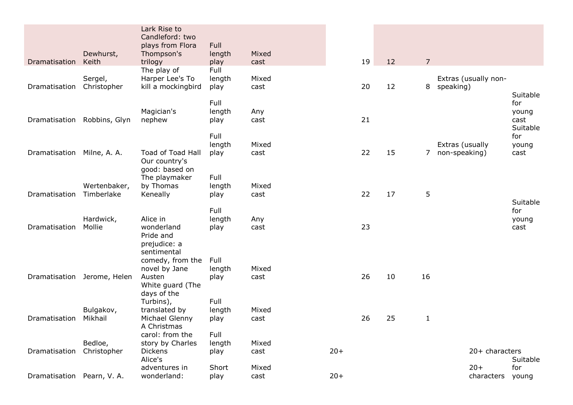|                            | Dewhurst,                  | Lark Rise to<br>Candleford: two<br>plays from Flora<br>Thompson's | Full<br>length         | Mixed         |       |    |                |                                   |                                              |
|----------------------------|----------------------------|-------------------------------------------------------------------|------------------------|---------------|-------|----|----------------|-----------------------------------|----------------------------------------------|
| Dramatisation              | Keith                      | trilogy<br>The play of                                            | play<br>Full           | cast          | 19    | 12 | $\overline{7}$ |                                   |                                              |
| Dramatisation              | Sergel,<br>Christopher     | Harper Lee's To<br>kill a mockingbird                             | length<br>play         | Mixed<br>cast | 20    | 12 | 8              | Extras (usually non-<br>speaking) |                                              |
| Dramatisation              | Robbins, Glyn              | Magician's<br>nephew                                              | Full<br>length<br>play | Any<br>cast   | 21    |    |                |                                   | Suitable<br>for<br>young<br>cast<br>Suitable |
| Dramatisation Milne, A. A. |                            | Toad of Toad Hall<br>Our country's                                | Full<br>length<br>play | Mixed<br>cast | 22    | 15 | $7^{\circ}$    | Extras (usually<br>non-speaking)  | for<br>young<br>cast                         |
| Dramatisation              | Wertenbaker,<br>Timberlake | good: based on<br>The playmaker<br>by Thomas<br>Keneally          | Full<br>length<br>play | Mixed<br>cast | 22    | 17 | 5              |                                   | Suitable                                     |
| Dramatisation              | Hardwick,<br>Mollie        | Alice in<br>wonderland<br>Pride and<br>prejudice: a               | Full<br>length<br>play | Any<br>cast   | 23    |    |                |                                   | for<br>young<br>cast                         |
| Dramatisation              | Jerome, Helen              | sentimental<br>comedy, from the<br>novel by Jane<br>Austen        | Full<br>length<br>play | Mixed<br>cast | 26    | 10 | 16             |                                   |                                              |
|                            |                            | White guard (The<br>days of the<br>Turbins),                      | Full                   |               |       |    |                |                                   |                                              |
| Dramatisation              | Bulgakov,<br>Mikhail       | translated by<br>Michael Glenny<br>A Christmas                    | length<br>play         | Mixed<br>cast | 26    | 25 | $\mathbf{1}$   |                                   |                                              |
|                            | Bedloe,                    | carol: from the                                                   | Full                   |               |       |    |                |                                   |                                              |
| Dramatisation              | Christopher                | story by Charles<br><b>Dickens</b>                                | length<br>play         | Mixed<br>cast | $20+$ |    |                | 20+ characters                    |                                              |
|                            |                            | Alice's                                                           |                        |               |       |    |                |                                   | Suitable                                     |
| Dramatisation Pearn, V.A.  |                            | adventures in<br>wonderland:                                      | Short<br>play          | Mixed<br>cast | $20+$ |    |                | $20+$<br>characters               | for<br>young                                 |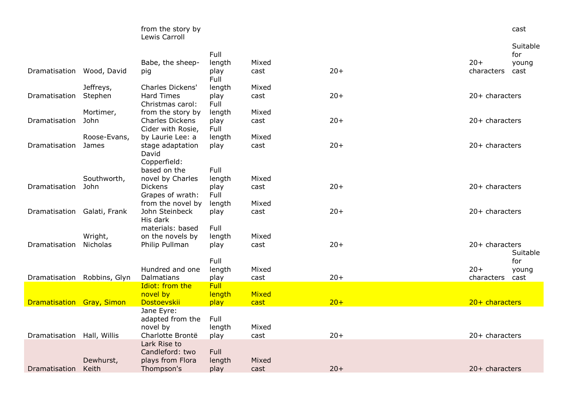|                             |              | from the story by<br>Lewis Carroll          |              |       |       |                  | cast            |
|-----------------------------|--------------|---------------------------------------------|--------------|-------|-------|------------------|-----------------|
|                             |              |                                             | Full         |       |       |                  | Suitable<br>for |
|                             |              | Babe, the sheep-                            | length       | Mixed |       | $20+$            | young           |
| Dramatisation Wood, David   |              | pig                                         | play<br>Full | cast  | $20+$ | characters       | cast            |
|                             | Jeffreys,    | <b>Charles Dickens'</b>                     | length       | Mixed |       |                  |                 |
| Dramatisation               | Stephen      | <b>Hard Times</b><br>Christmas carol:       | play<br>Full | cast  | $20+$ | $20+$ characters |                 |
|                             | Mortimer,    | from the story by                           | length       | Mixed |       |                  |                 |
| Dramatisation               | John         | <b>Charles Dickens</b><br>Cider with Rosie, | play<br>Full | cast  | $20+$ | 20+ characters   |                 |
|                             | Roose-Evans, | by Laurie Lee: a                            | length       | Mixed |       |                  |                 |
| Dramatisation               | James        | stage adaptation<br>David<br>Copperfield:   | play         | cast  | $20+$ | $20+$ characters |                 |
|                             |              | based on the                                | Full         |       |       |                  |                 |
|                             | Southworth,  | novel by Charles                            | length       | Mixed |       |                  |                 |
| Dramatisation               | John         | <b>Dickens</b>                              | play         | cast  | $20+$ | 20+ characters   |                 |
|                             |              | Grapes of wrath:                            | Full         |       |       |                  |                 |
|                             |              | from the novel by                           | length       | Mixed |       |                  |                 |
| Dramatisation Galati, Frank |              | John Steinbeck<br>His dark                  | play         | cast  | $20+$ | $20+$ characters |                 |
|                             |              | materials: based                            | Full         |       |       |                  |                 |
|                             | Wright,      | on the novels by                            | length       | Mixed |       |                  |                 |
| Dramatisation               | Nicholas     | Philip Pullman                              | play         | cast  | $20+$ | $20+$ characters | Suitable        |
|                             |              |                                             | Full         |       |       |                  | for             |
|                             |              | Hundred and one                             | length       | Mixed |       | $20+$            | young           |
| Dramatisation Robbins, Glyn |              | Dalmatians                                  | play         | cast  | $20+$ | characters       | cast            |
|                             |              | Idiot: from the                             | <b>Full</b>  |       |       |                  |                 |
|                             |              | novel by                                    | length       | Mixed |       |                  |                 |
| Dramatisation Gray, Simon   |              | Dostoevskii                                 | play         | cast  | $20+$ | 20+ characters   |                 |
|                             |              | Jane Eyre:<br>adapted from the              | Full         |       |       |                  |                 |
|                             |              | novel by                                    | length       | Mixed |       |                  |                 |
| Dramatisation               | Hall, Willis | Charlotte Brontë                            | play         | cast  | $20+$ | 20+ characters   |                 |
|                             |              | Lark Rise to<br>Candleford: two             | Full         |       |       |                  |                 |
|                             | Dewhurst,    | plays from Flora                            | length       | Mixed |       |                  |                 |

cast 20+ 20+ characters

Dramatisation

Dewhurst, Keith

plays from Flora Thompson's

play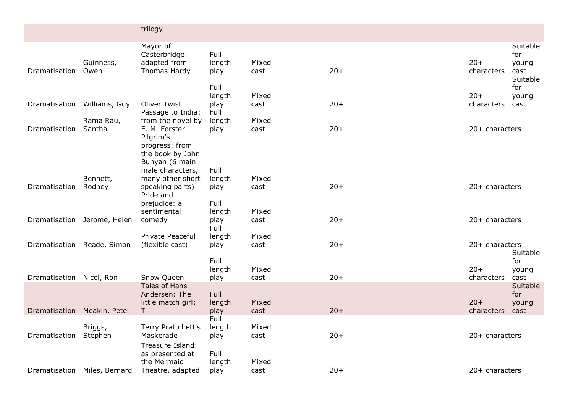|                              |                    | trilogy                                                                            |                                |               |       |                     |                                              |
|------------------------------|--------------------|------------------------------------------------------------------------------------|--------------------------------|---------------|-------|---------------------|----------------------------------------------|
| Dramatisation                | Guinness,<br>Owen  | Mayor of<br>Casterbridge:<br>adapted from<br>Thomas Hardy                          | Full<br>length<br>play         | Mixed<br>cast | $20+$ | $20+$<br>characters | Suitable<br>for<br>young<br>cast<br>Suitable |
| Dramatisation                | Williams, Guy      | <b>Oliver Twist</b>                                                                | Full<br>length<br>play         | Mixed<br>cast | $20+$ | $20+$<br>characters | for<br>young<br>cast                         |
|                              | Rama Rau,          | Passage to India:<br>from the novel by                                             | Full<br>length                 | Mixed         |       |                     |                                              |
| Dramatisation                | Santha             | E. M. Forster<br>Pilgrim's<br>progress: from<br>the book by John<br>Bunyan (6 main | play                           | cast          | $20+$ | $20+$ characters    |                                              |
| Dramatisation                | Bennett,<br>Rodney | male characters,<br>many other short<br>speaking parts)<br>Pride and               | Full<br>length<br>play         | Mixed<br>cast | $20+$ | 20+ characters      |                                              |
| Dramatisation Jerome, Helen  |                    | prejudice: a<br>sentimental<br>comedy                                              | Full<br>length<br>play<br>Full | Mixed<br>cast | $20+$ | $20+$ characters    |                                              |
| Dramatisation Reade, Simon   |                    | Private Peaceful<br>(flexible cast)                                                | length<br>play<br>Full         | Mixed<br>cast | $20+$ | 20+ characters      | Suitable<br>for                              |
| Dramatisation Nicol, Ron     |                    | Snow Queen                                                                         | length<br>play                 | Mixed<br>cast | $20+$ | $20+$<br>characters | young<br>cast                                |
|                              |                    | Tales of Hans<br>Andersen: The<br>little match girl;                               | Full<br>length                 | Mixed<br>cast | $20+$ | $20+$<br>characters | Suitable<br>for<br>young                     |
| Dramatisation Meakin, Pete   | Briggs,            | T.<br>Terry Prattchett's                                                           | play<br>Full<br>length         | Mixed         |       |                     | cast                                         |
| Dramatisation                | Stephen            | Maskerade<br>Treasure Island:<br>as presented at<br>the Mermaid                    | play<br>Full<br>length         | cast<br>Mixed | $20+$ | $20+$ characters    |                                              |
| Dramatisation Miles, Bernard |                    | Theatre, adapted                                                                   | play                           | cast          | $20+$ | 20+ characters      |                                              |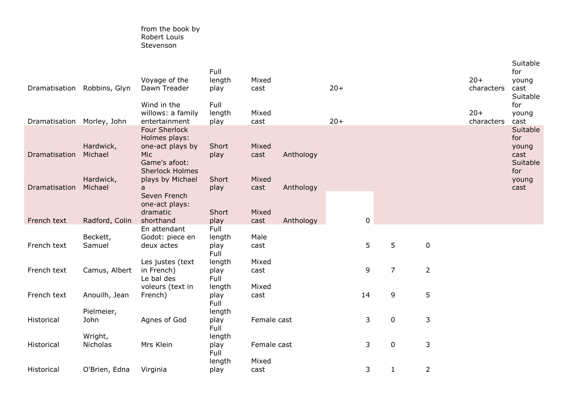## from the book by Robert Louis Stevenson

| Dramatisation Robbins, Glyn |                      | Voyage of the<br>Dawn Treader<br>Wind in the<br>willows: a family                                           | Full<br>length<br>play<br>Full<br>length | Mixed<br>cast<br>Mixed |           | $20+$ |             |                |                | $20+$<br>characters<br>$20 +$ | Suitable<br>for<br>young<br>cast<br>Suitable<br>for<br>young |
|-----------------------------|----------------------|-------------------------------------------------------------------------------------------------------------|------------------------------------------|------------------------|-----------|-------|-------------|----------------|----------------|-------------------------------|--------------------------------------------------------------|
| Dramatisation Morley, John  |                      | entertainment                                                                                               | play                                     | cast                   |           | $20+$ |             |                |                | characters                    | cast                                                         |
| Dramatisation               | Hardwick,<br>Michael | Four Sherlock<br>Holmes plays:<br>one-act plays by<br><b>Mic</b><br>Game's afoot:<br><b>Sherlock Holmes</b> | Short<br>play                            | Mixed<br>cast          | Anthology |       |             |                |                |                               | Suitable<br>for<br>young<br>cast<br>Suitable<br>for          |
| Dramatisation               | Hardwick,<br>Michael | plays by Michael<br>a                                                                                       | Short<br>play                            | Mixed<br>cast          | Anthology |       |             |                |                |                               | young<br>cast                                                |
|                             |                      | Seven French<br>one-act plays:<br>dramatic                                                                  | Short                                    | Mixed                  |           |       |             |                |                |                               |                                                              |
| French text                 | Radford, Colin       | shorthand                                                                                                   | play                                     | cast                   | Anthology |       | $\mathbf 0$ |                |                |                               |                                                              |
| French text                 | Beckett,<br>Samuel   | En attendant<br>Godot: piece en<br>deux actes                                                               | Full<br>length<br>play<br>Full           | Male<br>cast           |           |       | 5           | 5              | $\pmb{0}$      |                               |                                                              |
| French text                 | Camus, Albert        | Les justes (text<br>in French)<br>Le bal des                                                                | length<br>play<br>Full                   | Mixed<br>cast          |           |       | 9           | $\overline{7}$ | $\overline{2}$ |                               |                                                              |
| French text                 | Anouilh, Jean        | voleurs (text in<br>French)                                                                                 | length<br>play<br>Full                   | Mixed<br>cast          |           |       | 14          | 9              | 5              |                               |                                                              |
| Historical                  | Pielmeier,<br>John   | Agnes of God                                                                                                | length<br>play<br>Full                   | Female cast            |           |       | 3           | $\mathbf 0$    | 3              |                               |                                                              |
| Historical                  | Wright,<br>Nicholas  | Mrs Klein                                                                                                   | length<br>play<br>Full                   | Female cast            |           |       | 3           | 0              | 3              |                               |                                                              |
| Historical                  | O'Brien, Edna        | Virginia                                                                                                    | length<br>play                           | Mixed<br>cast          |           |       | 3           | 1              | $\overline{2}$ |                               |                                                              |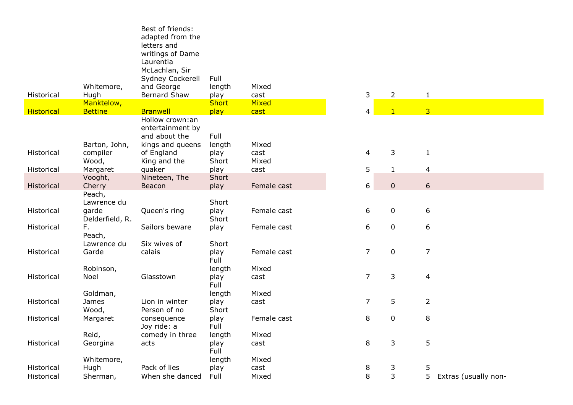|                   |                              | Best of friends:                |                      |               |                  |                |                                        |
|-------------------|------------------------------|---------------------------------|----------------------|---------------|------------------|----------------|----------------------------------------|
|                   |                              | adapted from the                |                      |               |                  |                |                                        |
|                   |                              | letters and<br>writings of Dame |                      |               |                  |                |                                        |
|                   |                              | Laurentia                       |                      |               |                  |                |                                        |
|                   |                              | McLachlan, Sir                  |                      |               |                  |                |                                        |
|                   |                              | Sydney Cockerell                | Full                 |               |                  |                |                                        |
|                   | Whitemore,                   | and George                      | length               | Mixed         |                  |                |                                        |
| Historical        | Hugh                         | <b>Bernard Shaw</b>             | play                 | cast          | 3                | $\overline{2}$ | $\mathbf{1}$                           |
| <b>Historical</b> | Manktelow,<br><b>Bettine</b> | <b>Branwell</b>                 | <b>Short</b><br>play | Mixed<br>cast | 4                | $\mathbf{1}$   | $\overline{3}$                         |
|                   |                              | Hollow crown:an                 |                      |               |                  |                |                                        |
|                   |                              | entertainment by                |                      |               |                  |                |                                        |
|                   |                              | and about the                   | Full                 |               |                  |                |                                        |
|                   | Barton, John,                | kings and queens                | length               | Mixed         |                  |                |                                        |
| Historical        | compiler                     | of England                      | play                 | cast          | 4                | 3              | $\mathbf{1}$                           |
| Historical        | Wood,<br>Margaret            | King and the<br>quaker          | Short<br>play        | Mixed<br>cast | 5                | $\mathbf 1$    | $\overline{4}$                         |
|                   | Vooght,                      | Nineteen, The                   | Short                |               |                  |                |                                        |
| Historical        | Cherry                       | Beacon                          | play                 | Female cast   | $\boldsymbol{6}$ | $\pmb{0}$      | $\boldsymbol{6}$                       |
|                   | Peach,                       |                                 |                      |               |                  |                |                                        |
|                   | Lawrence du                  |                                 | Short                |               |                  |                |                                        |
| Historical        | garde                        | Queen's ring                    | play                 | Female cast   | 6                | $\pmb{0}$      | 6                                      |
| Historical        | Delderfield, R.<br>F.        | Sailors beware                  | Short<br>play        | Female cast   | 6                | $\pmb{0}$      | $\boldsymbol{6}$                       |
|                   | Peach,                       |                                 |                      |               |                  |                |                                        |
|                   | Lawrence du                  | Six wives of                    | Short                |               |                  |                |                                        |
| Historical        | Garde                        | calais                          | play                 | Female cast   | $\overline{7}$   | $\pmb{0}$      | $\overline{7}$                         |
|                   |                              |                                 | Full                 |               |                  |                |                                        |
|                   | Robinson,<br>Noel            | Glasstown                       | length               | Mixed         | $\overline{7}$   | 3              |                                        |
| Historical        |                              |                                 | play<br>Full         | cast          |                  |                | $\overline{4}$                         |
|                   | Goldman,                     |                                 | length               | Mixed         |                  |                |                                        |
| Historical        | James                        | Lion in winter                  | play                 | cast          | 7                | 5              | $\overline{2}$                         |
|                   | Wood,                        | Person of no                    | Short                |               |                  |                |                                        |
| Historical        | Margaret                     | consequence                     | play                 | Female cast   | 8                | 0              | 8                                      |
|                   | Reid,                        | Joy ride: a<br>comedy in three  | Full                 | Mixed         |                  |                |                                        |
| Historical        | Georgina                     | acts                            | length<br>play       | cast          | 8                | 3              | $\mathsf S$                            |
|                   |                              |                                 | Full                 |               |                  |                |                                        |
|                   | Whitemore,                   |                                 | length               | Mixed         |                  |                |                                        |
| Historical        | Hugh                         | Pack of lies                    | play                 | cast          | 8                | 3              | 5                                      |
| Historical        | Sherman,                     | When she danced                 | Full                 | Mixed         | 8                | 3              | 5 <sup>1</sup><br>Extras (usually non- |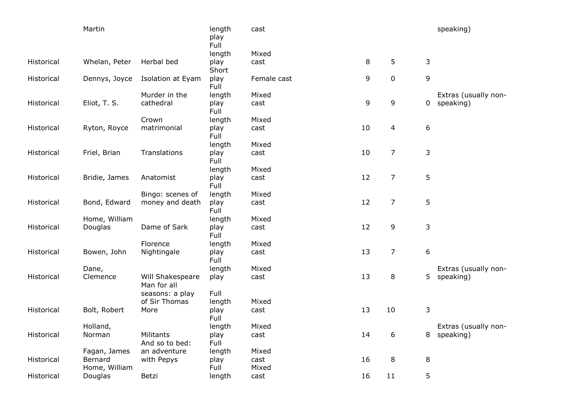|            | Martin                   |                                 | length<br>play<br>Full | cast          |    |                |                | speaking)            |
|------------|--------------------------|---------------------------------|------------------------|---------------|----|----------------|----------------|----------------------|
|            |                          |                                 | length                 | Mixed         |    |                |                |                      |
| Historical | Whelan, Peter            | Herbal bed                      | play                   | cast          | 8  | 5              | 3              |                      |
|            |                          |                                 | Short                  |               |    |                |                |                      |
| Historical | Dennys, Joyce            | Isolation at Eyam               | play<br>Full           | Female cast   | 9  | 0              | 9              |                      |
|            |                          | Murder in the                   | length                 | Mixed         |    |                |                | Extras (usually non- |
| Historical | Eliot, T. S.             | cathedral                       | play<br>Full           | cast          | 9  | 9              | $\overline{0}$ | speaking)            |
|            |                          | Crown                           | length                 | Mixed         |    |                |                |                      |
| Historical | Ryton, Royce             | matrimonial                     | play<br>Full           | cast          | 10 | 4              | 6              |                      |
|            |                          |                                 | length                 | Mixed         |    |                |                |                      |
| Historical | Friel, Brian             | Translations                    | play<br>Full           | cast          | 10 | 7              | 3              |                      |
|            |                          |                                 | length                 | Mixed         |    |                |                |                      |
| Historical | Bridie, James            | Anatomist                       | play<br>Full           | cast          | 12 | $\overline{7}$ | 5              |                      |
|            |                          | Bingo: scenes of                | length                 | Mixed         |    |                |                |                      |
| Historical | Bond, Edward             | money and death                 | play<br>Full           | cast          | 12 | $\overline{7}$ | 5              |                      |
|            | Home, William            |                                 | length                 | Mixed         |    |                |                |                      |
| Historical | Douglas                  | Dame of Sark                    | play<br>Full           | cast          | 12 | 9              | 3              |                      |
|            |                          | Florence                        | length                 | Mixed         |    |                |                |                      |
| Historical | Bowen, John              | Nightingale                     | play<br>Full           | cast          | 13 | $\overline{7}$ | 6              |                      |
|            | Dane,                    |                                 | length                 | Mixed         |    |                |                | Extras (usually non- |
| Historical | Clemence                 | Will Shakespeare<br>Man for all | play                   | cast          | 13 | 8              | 5.             | speaking)            |
|            |                          | seasons: a play                 | Full                   |               |    |                |                |                      |
|            |                          | of Sir Thomas                   | length                 | Mixed         |    |                |                |                      |
| Historical | Bolt, Robert             | More                            | play<br>Full           | cast          | 13 | 10             | 3              |                      |
|            | Holland,                 |                                 | length                 | Mixed         |    |                |                | Extras (usually non- |
| Historical | Norman                   | Militants<br>And so to bed:     | play<br>Full           | cast          | 14 | 6              |                | 8 speaking)          |
|            | Fagan, James             | an adventure                    | length                 | Mixed         |    |                |                |                      |
| Historical | Bernard<br>Home, William | with Pepys                      | play<br>Full           | cast<br>Mixed | 16 | 8              | 8              |                      |
| Historical | Douglas                  | Betzi                           | length                 | cast          | 16 | 11             | 5              |                      |
|            |                          |                                 |                        |               |    |                |                |                      |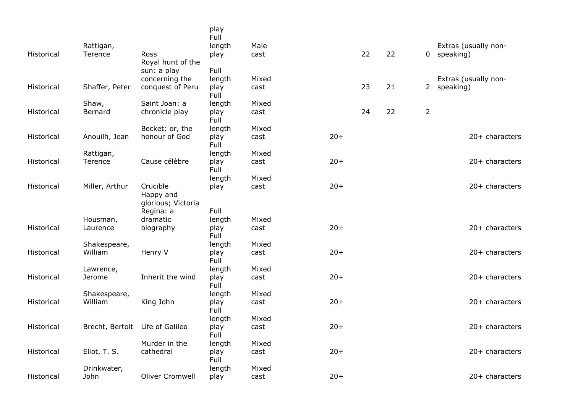|            |                                 |                       | play<br>Full   |       |       |    |    |                |                      |
|------------|---------------------------------|-----------------------|----------------|-------|-------|----|----|----------------|----------------------|
|            | Rattigan,                       |                       | length         | Male  |       |    |    |                | Extras (usually non- |
| Historical | Terence                         | Ross                  | play           | cast  |       | 22 | 22 |                | 0 speaking)          |
|            |                                 | Royal hunt of the     |                |       |       |    |    |                |                      |
|            |                                 | sun: a play           | Full           |       |       |    |    |                |                      |
|            |                                 | concerning the        | length         | Mixed |       |    |    |                | Extras (usually non- |
| Historical | Shaffer, Peter                  | conquest of Peru      | play<br>Full   | cast  |       | 23 | 21 |                | 2 speaking)          |
|            | Shaw,                           | Saint Joan: a         | length         | Mixed |       |    |    |                |                      |
| Historical | Bernard                         | chronicle play        | play<br>Full   | cast  |       | 24 | 22 | $\overline{2}$ |                      |
|            |                                 | Becket: or, the       | length         | Mixed |       |    |    |                |                      |
| Historical | Anouilh, Jean                   | honour of God         | play<br>Full   | cast  | $20+$ |    |    |                | 20+ characters       |
|            | Rattigan,                       |                       | length         | Mixed |       |    |    |                |                      |
| Historical | Terence                         | Cause célèbre         | play<br>Full   | cast  | $20+$ |    |    |                | 20+ characters       |
|            |                                 |                       | length         | Mixed |       |    |    |                |                      |
| Historical | Miller, Arthur                  | Crucible              | play           | cast  | $20+$ |    |    |                | 20+ characters       |
|            |                                 | Happy and             |                |       |       |    |    |                |                      |
|            |                                 | glorious; Victoria    |                |       |       |    |    |                |                      |
|            |                                 | Regina: a<br>dramatic | Full           | Mixed |       |    |    |                |                      |
| Historical | Housman,<br>Laurence            | biography             | length<br>play | cast  | $20+$ |    |    |                | 20+ characters       |
|            |                                 |                       | Full           |       |       |    |    |                |                      |
|            | Shakespeare,                    |                       | length         | Mixed |       |    |    |                |                      |
| Historical | William                         | Henry V               | play<br>Full   | cast  | $20+$ |    |    |                | 20+ characters       |
|            | Lawrence,                       |                       | length         | Mixed |       |    |    |                |                      |
| Historical | Jerome                          | Inherit the wind      | play<br>Full   | cast  | $20+$ |    |    |                | 20+ characters       |
|            | Shakespeare,                    |                       | length         | Mixed |       |    |    |                |                      |
| Historical | William                         | King John             | play<br>Full   | cast  | $20+$ |    |    |                | $20+$ characters     |
|            |                                 |                       | length         | Mixed |       |    |    |                |                      |
| Historical | Brecht, Bertolt Life of Galileo |                       | play<br>Full   | cast  | $20+$ |    |    |                | 20+ characters       |
|            |                                 | Murder in the         | length         | Mixed |       |    |    |                |                      |
| Historical | Eliot, T. S.                    | cathedral             | play<br>Full   | cast  | $20+$ |    |    |                | 20+ characters       |
|            | Drinkwater,                     |                       | length         | Mixed |       |    |    |                |                      |
| Historical | John                            | Oliver Cromwell       | play           | cast  | $20+$ |    |    |                | 20+ characters       |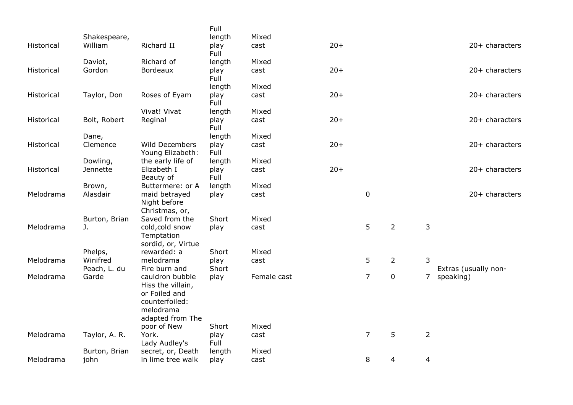|            |                          |                                                                                                          | Full          |             |        |                |                |                |                      |
|------------|--------------------------|----------------------------------------------------------------------------------------------------------|---------------|-------------|--------|----------------|----------------|----------------|----------------------|
|            | Shakespeare,             |                                                                                                          | length        | Mixed       |        |                |                |                |                      |
| Historical | William                  | Richard II                                                                                               | play<br>Full  | cast        | $20 +$ |                |                |                | 20+ characters       |
|            | Daviot,                  | Richard of                                                                                               | length        | Mixed       |        |                |                |                |                      |
| Historical | Gordon                   | <b>Bordeaux</b>                                                                                          | play<br>Full  | cast        | $20+$  |                |                |                | 20+ characters       |
|            |                          |                                                                                                          | length        | Mixed       |        |                |                |                |                      |
| Historical | Taylor, Don              | Roses of Eyam                                                                                            | play<br>Full  | cast        | $20 +$ |                |                |                | $20+$ characters     |
|            |                          | Vivat! Vivat                                                                                             | length        | Mixed       |        |                |                |                |                      |
| Historical | Bolt, Robert             | Regina!                                                                                                  | play<br>Full  | cast        | $20+$  |                |                |                | $20+$ characters     |
|            | Dane,                    |                                                                                                          | length        | Mixed       |        |                |                |                |                      |
| Historical | Clemence                 | <b>Wild Decembers</b><br>Young Elizabeth:                                                                | play<br>Full  | cast        | $20+$  |                |                |                | 20+ characters       |
|            | Dowling,                 | the early life of                                                                                        | length        | Mixed       |        |                |                |                |                      |
| Historical | Jennette                 | Elizabeth I<br>Beauty of                                                                                 | play<br>Full  | cast        | $20+$  |                |                |                | 20+ characters       |
|            | Brown,                   | Buttermere: or A                                                                                         | length        | Mixed       |        |                |                |                |                      |
| Melodrama  | Alasdair                 | maid betrayed<br>Night before<br>Christmas, or,                                                          | play          | cast        |        | $\mathbf 0$    |                |                | $20+$ characters     |
|            | Burton, Brian            | Saved from the                                                                                           | Short         | Mixed       |        |                |                |                |                      |
| Melodrama  | J.                       | cold, cold snow<br>Temptation                                                                            | play          | cast        |        | 5              | $\overline{2}$ | 3              |                      |
|            |                          | sordid, or, Virtue                                                                                       |               |             |        |                |                |                |                      |
|            | Phelps,                  | rewarded: a                                                                                              | Short         | Mixed       |        |                |                |                |                      |
| Melodrama  | Winifred<br>Peach, L. du | melodrama<br>Fire burn and                                                                               | play<br>Short | cast        |        | 5              | $\overline{2}$ | 3              | Extras (usually non- |
| Melodrama  | Garde                    | cauldron bubble<br>Hiss the villain,<br>or Foiled and<br>counterfoiled:<br>melodrama<br>adapted from The | play          | Female cast |        | $\overline{7}$ | $\pmb{0}$      | $7^{\circ}$    | speaking)            |
|            |                          | poor of New                                                                                              | Short         | Mixed       |        |                |                |                |                      |
| Melodrama  | Taylor, A. R.            | York.<br>Lady Audley's                                                                                   | play<br>Full  | cast        |        | $\overline{7}$ | 5              | $\overline{2}$ |                      |
|            | Burton, Brian            | secret, or, Death                                                                                        | length        | Mixed       |        |                |                |                |                      |
| Melodrama  | john                     | in lime tree walk                                                                                        | play          | cast        |        | 8              | 4              | 4              |                      |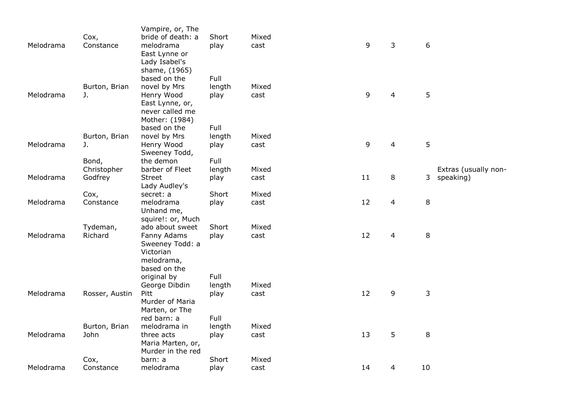|           |                | Vampire, or, The             |        |       |    |                |                  |                      |
|-----------|----------------|------------------------------|--------|-------|----|----------------|------------------|----------------------|
|           | Cox,           | bride of death: a            | Short  | Mixed |    |                |                  |                      |
| Melodrama | Constance      | melodrama                    | play   | cast  | 9  | 3              | $\boldsymbol{6}$ |                      |
|           |                | East Lynne or                |        |       |    |                |                  |                      |
|           |                | Lady Isabel's                |        |       |    |                |                  |                      |
|           |                | shame, (1965)                |        |       |    |                |                  |                      |
|           |                | based on the                 | Full   |       |    |                |                  |                      |
|           | Burton, Brian  | novel by Mrs                 | length | Mixed |    |                |                  |                      |
| Melodrama | J.             | Henry Wood                   | play   | cast  | 9  | $\overline{4}$ | 5                |                      |
|           |                | East Lynne, or,              |        |       |    |                |                  |                      |
|           |                | never called me              |        |       |    |                |                  |                      |
|           |                | Mother: (1984)               |        |       |    |                |                  |                      |
|           |                | based on the                 | Full   |       |    |                |                  |                      |
|           | Burton, Brian  | novel by Mrs                 | length | Mixed |    |                |                  |                      |
| Melodrama | J.             | Henry Wood                   | play   | cast  | 9  | 4              | 5                |                      |
|           |                | Sweeney Todd,                |        |       |    |                |                  |                      |
|           | Bond,          | the demon                    | Full   |       |    |                |                  |                      |
|           | Christopher    | barber of Fleet              | length | Mixed |    |                |                  | Extras (usually non- |
| Melodrama | Godfrey        | <b>Street</b>                | play   | cast  | 11 | 8              | 3                | speaking)            |
|           |                | Lady Audley's                |        |       |    |                |                  |                      |
|           | Cox,           | secret: a                    | Short  | Mixed |    |                |                  |                      |
| Melodrama | Constance      | melodrama                    | play   | cast  | 12 | $\overline{4}$ | 8                |                      |
|           |                | Unhand me,                   |        |       |    |                |                  |                      |
|           |                | squire!: or, Much            |        |       |    |                |                  |                      |
|           | Tydeman,       | ado about sweet              | Short  | Mixed |    |                |                  |                      |
| Melodrama | Richard        | Fanny Adams                  | play   | cast  | 12 | 4              | $\, 8$           |                      |
|           |                | Sweeney Todd: a<br>Victorian |        |       |    |                |                  |                      |
|           |                | melodrama,                   |        |       |    |                |                  |                      |
|           |                | based on the                 |        |       |    |                |                  |                      |
|           |                | original by                  | Full   |       |    |                |                  |                      |
|           |                | George Dibdin                | length | Mixed |    |                |                  |                      |
| Melodrama | Rosser, Austin | Pitt                         | play   | cast  | 12 | 9              | 3                |                      |
|           |                | Murder of Maria              |        |       |    |                |                  |                      |
|           |                | Marten, or The               |        |       |    |                |                  |                      |
|           |                | red barn: a                  | Full   |       |    |                |                  |                      |
|           | Burton, Brian  | melodrama in                 | length | Mixed |    |                |                  |                      |
| Melodrama | John           | three acts                   | play   | cast  | 13 | 5              | 8                |                      |
|           |                | Maria Marten, or,            |        |       |    |                |                  |                      |
|           |                | Murder in the red            |        |       |    |                |                  |                      |
|           | Cox,           | barn: a                      | Short  | Mixed |    |                |                  |                      |
| Melodrama | Constance      | melodrama                    | play   | cast  | 14 | 4              | 10               |                      |
|           |                |                              |        |       |    |                |                  |                      |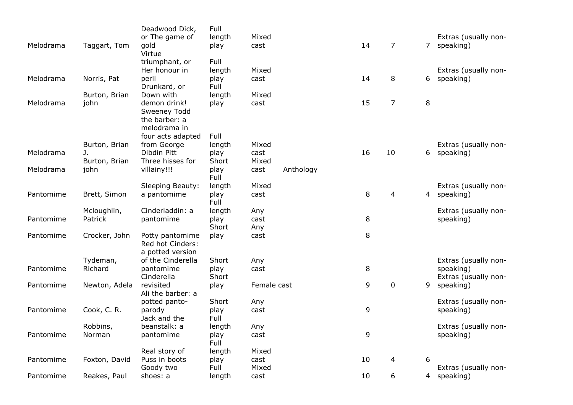| Melodrama | Taggart, Tom  | Deadwood Dick,<br>or The game of<br>gold<br>Virtue            | Full<br>length<br>play         | Mixed<br>cast |           | 14 | 7              | 7 <sup>7</sup> | Extras (usually non-<br>speaking) |
|-----------|---------------|---------------------------------------------------------------|--------------------------------|---------------|-----------|----|----------------|----------------|-----------------------------------|
| Melodrama | Norris, Pat   | triumphant, or<br>Her honour in<br>peril<br>Drunkard, or      | Full<br>length<br>play<br>Full | Mixed<br>cast |           | 14 | 8              | 6              | Extras (usually non-<br>speaking) |
|           | Burton, Brian | Down with                                                     | length                         | Mixed         |           |    |                |                |                                   |
| Melodrama | john          | demon drink!<br>Sweeney Todd<br>the barber: a<br>melodrama in | play                           | cast          |           | 15 | $\overline{7}$ | 8              |                                   |
|           | Burton, Brian | four acts adapted<br>from George                              | Full<br>length                 | Mixed         |           |    |                |                | Extras (usually non-              |
| Melodrama | J.            | Dibdin Pitt                                                   | play                           | cast          |           | 16 | 10             | 6              | speaking)                         |
|           | Burton, Brian | Three hisses for                                              | Short                          | Mixed         |           |    |                |                |                                   |
| Melodrama | john          | villainy!!!                                                   | play<br>Full                   | cast          | Anthology |    |                |                |                                   |
|           |               | Sleeping Beauty:                                              | length                         | Mixed         |           |    |                |                | Extras (usually non-              |
| Pantomime | Brett, Simon  | a pantomime                                                   | play<br>Full                   | cast          |           | 8  | 4              | $\overline{4}$ | speaking)                         |
|           | Mcloughlin,   | Cinderladdin: a                                               | length                         | Any           |           |    |                |                | Extras (usually non-              |
| Pantomime | Patrick       | pantomime                                                     | play<br>Short                  | cast<br>Any   |           | 8  |                |                | speaking)                         |
| Pantomime | Crocker, John | Potty pantomime<br>Red hot Cinders:<br>a potted version       | play                           | cast          |           | 8  |                |                |                                   |
|           | Tydeman,      | of the Cinderella                                             | Short                          | Any           |           |    |                |                | Extras (usually non-              |
| Pantomime | Richard       | pantomime<br>Cinderella                                       | play<br>Short                  | cast          |           | 8  |                |                | speaking)<br>Extras (usually non- |
| Pantomime | Newton, Adela | revisited<br>Ali the barber: a                                | play                           | Female cast   |           | 9  | $\mathbf 0$    | 9              | speaking)                         |
|           |               | potted panto-                                                 | Short                          | Any           |           |    |                |                | Extras (usually non-              |
| Pantomime | Cook, C. R.   | parody<br>Jack and the                                        | play<br>Full                   | cast          |           | 9  |                |                | speaking)                         |
|           | Robbins,      | beanstalk: a                                                  | length                         | Any           |           |    |                |                | Extras (usually non-              |
| Pantomime | Norman        | pantomime                                                     | play<br>Full                   | cast          |           | 9  |                |                | speaking)                         |
|           |               | Real story of                                                 | length                         | Mixed         |           |    |                |                |                                   |
| Pantomime | Foxton, David | Puss in boots                                                 | play                           | cast          |           | 10 | 4              | 6              |                                   |
|           |               | Goody two                                                     | Full                           | Mixed         |           |    |                |                | Extras (usually non-              |
| Pantomime | Reakes, Paul  | shoes: a                                                      | length                         | cast          |           | 10 | 6              | 4              | speaking)                         |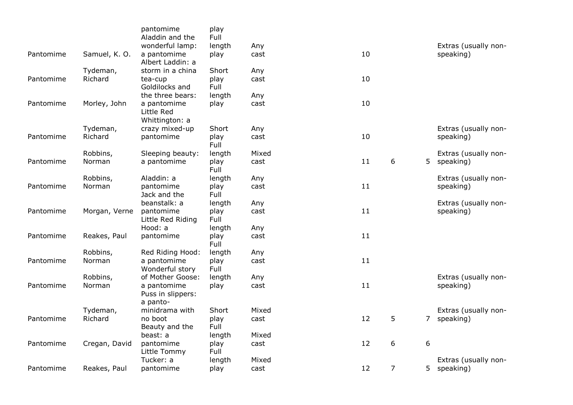|           |               | pantomime<br>Aladdin and the                | play<br>Full |       |    |   |                  |                      |
|-----------|---------------|---------------------------------------------|--------------|-------|----|---|------------------|----------------------|
|           |               | wonderful lamp:                             | length       | Any   |    |   |                  | Extras (usually non- |
| Pantomime | Samuel, K. O. | a pantomime<br>Albert Laddin: a             | play         | cast  | 10 |   |                  | speaking)            |
|           | Tydeman,      | storm in a china                            | Short        | Any   |    |   |                  |                      |
| Pantomime | Richard       | tea-cup<br>Goldilocks and                   | play<br>Full | cast  | 10 |   |                  |                      |
|           |               | the three bears:                            | length       | Any   |    |   |                  |                      |
| Pantomime | Morley, John  | a pantomime<br>Little Red<br>Whittington: a | play         | cast  | 10 |   |                  |                      |
|           | Tydeman,      | crazy mixed-up                              | Short        | Any   |    |   |                  | Extras (usually non- |
| Pantomime | Richard       | pantomime                                   | play<br>Full | cast  | 10 |   |                  | speaking)            |
|           | Robbins,      | Sleeping beauty:                            | length       | Mixed |    |   |                  | Extras (usually non- |
| Pantomime | Norman        | a pantomime                                 | play<br>Full | cast  | 11 | 6 | 5                | speaking)            |
|           | Robbins,      | Aladdin: a                                  | length       | Any   |    |   |                  | Extras (usually non- |
| Pantomime | Norman        | pantomime<br>Jack and the                   | play<br>Full | cast  | 11 |   |                  | speaking)            |
|           |               | beanstalk: a                                | length       | Any   |    |   |                  | Extras (usually non- |
| Pantomime | Morgan, Verne | pantomime<br>Little Red Riding              | play<br>Full | cast  | 11 |   |                  | speaking)            |
|           |               | Hood: a                                     | length       | Any   |    |   |                  |                      |
| Pantomime | Reakes, Paul  | pantomime                                   | play<br>Full | cast  | 11 |   |                  |                      |
|           | Robbins,      | Red Riding Hood:                            | length       | Any   |    |   |                  |                      |
| Pantomime | Norman        | a pantomime<br>Wonderful story              | play<br>Full | cast  | 11 |   |                  |                      |
|           | Robbins,      | of Mother Goose:                            | length       | Any   |    |   |                  | Extras (usually non- |
| Pantomime | Norman        | a pantomime<br>Puss in slippers:            | play         | cast  | 11 |   |                  | speaking)            |
|           | Tydeman,      | a panto-<br>minidrama with                  | Short        | Mixed |    |   |                  | Extras (usually non- |
| Pantomime | Richard       | no boot                                     | play         | cast  | 12 | 5 | 7                | speaking)            |
|           |               | Beauty and the                              | Full         |       |    |   |                  |                      |
|           |               | beast: a                                    | length       | Mixed |    |   |                  |                      |
| Pantomime | Cregan, David | pantomime<br>Little Tommy                   | play<br>Full | cast  | 12 | 6 | $\boldsymbol{6}$ |                      |
|           |               | Tucker: a                                   | length       | Mixed |    |   |                  | Extras (usually non- |
| Pantomime | Reakes, Paul  | pantomime                                   | play         | cast  | 12 | 7 | 5                | speaking)            |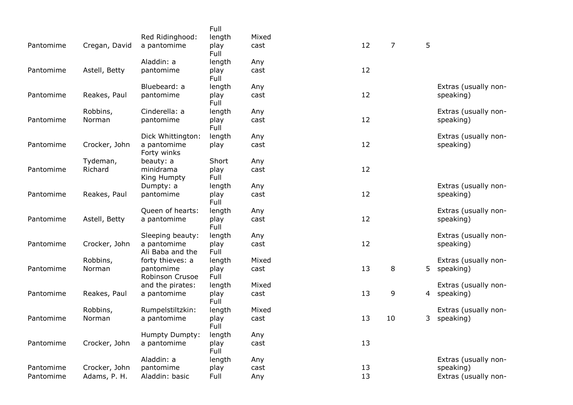|           |               |                                 | Full         |       |    |                |              |                      |
|-----------|---------------|---------------------------------|--------------|-------|----|----------------|--------------|----------------------|
|           |               | Red Ridinghood:                 | length       | Mixed |    |                |              |                      |
| Pantomime | Cregan, David | a pantomime                     | play<br>Full | cast  | 12 | $\overline{7}$ | 5            |                      |
|           |               | Aladdin: a                      | length       | Any   |    |                |              |                      |
| Pantomime | Astell, Betty | pantomime                       | play<br>Full | cast  | 12 |                |              |                      |
|           |               | Bluebeard: a                    | length       | Any   |    |                |              | Extras (usually non- |
| Pantomime | Reakes, Paul  | pantomime                       | play<br>Full | cast  | 12 |                |              | speaking)            |
|           | Robbins,      | Cinderella: a                   | length       | Any   |    |                |              | Extras (usually non- |
| Pantomime | Norman        | pantomime                       | play<br>Full | cast  | 12 |                |              | speaking)            |
|           |               | Dick Whittington:               | length       | Any   |    |                |              | Extras (usually non- |
| Pantomime | Crocker, John | a pantomime<br>Forty winks      | play         | cast  | 12 |                |              | speaking)            |
|           | Tydeman,      | beauty: a                       | Short        | Any   |    |                |              |                      |
| Pantomime | Richard       | minidrama<br>King Humpty        | play<br>Full | cast  | 12 |                |              |                      |
|           |               | Dumpty: a                       | length       | Any   |    |                |              | Extras (usually non- |
| Pantomime | Reakes, Paul  | pantomime                       | play<br>Full | cast  | 12 |                |              | speaking)            |
|           |               | Queen of hearts:                | length       | Any   |    |                |              | Extras (usually non- |
| Pantomime | Astell, Betty | a pantomime                     | play<br>Full | cast  | 12 |                |              | speaking)            |
|           |               | Sleeping beauty:                | length       | Any   |    |                |              | Extras (usually non- |
| Pantomime | Crocker, John | a pantomime<br>Ali Baba and the | play<br>Full | cast  | 12 |                |              | speaking)            |
|           | Robbins,      | forty thieves: a                | length       | Mixed |    |                |              | Extras (usually non- |
| Pantomime | Norman        | pantomime<br>Robinson Crusoe    | play<br>Full | cast  | 13 | 8              | 5            | speaking)            |
|           |               | and the pirates:                | length       | Mixed |    |                |              | Extras (usually non- |
| Pantomime | Reakes, Paul  | a pantomime                     | play<br>Full | cast  | 13 | 9              |              | 4 speaking)          |
|           | Robbins,      | Rumpelstiltzkin:                | length       | Mixed |    |                |              | Extras (usually non- |
| Pantomime | Norman        | a pantomime                     | play<br>Full | cast  | 13 | 10             | $\mathsf{3}$ | speaking)            |
|           |               | Humpty Dumpty:                  | length       | Any   |    |                |              |                      |
| Pantomime | Crocker, John | a pantomime                     | play<br>Full | cast  | 13 |                |              |                      |
|           |               | Aladdin: a                      | length       | Any   |    |                |              | Extras (usually non- |
| Pantomime | Crocker, John | pantomime                       | play         | cast  | 13 |                |              | speaking)            |
| Pantomime | Adams, P. H.  | Aladdin: basic                  | Full         | Any   | 13 |                |              | Extras (usually non- |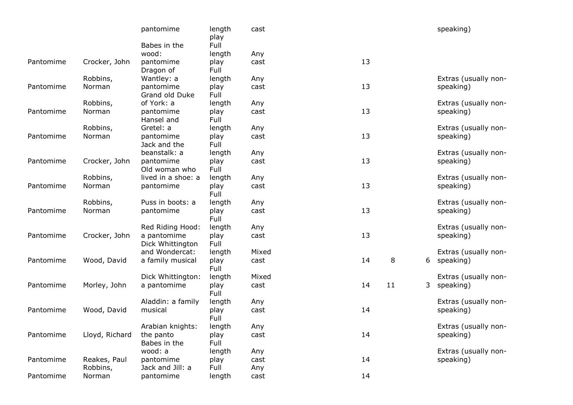|           |                | pantomime                       | length<br>play | cast  |    |    |   | speaking)            |
|-----------|----------------|---------------------------------|----------------|-------|----|----|---|----------------------|
|           |                | Babes in the                    | Full           |       |    |    |   |                      |
|           |                | wood:                           | length         | Any   |    |    |   |                      |
| Pantomime | Crocker, John  | pantomime<br>Dragon of          | play<br>Full   | cast  | 13 |    |   |                      |
|           | Robbins,       | Wantley: a                      | length         | Any   |    |    |   | Extras (usually non- |
| Pantomime | Norman         | pantomime<br>Grand old Duke     | play<br>Full   | cast  | 13 |    |   | speaking)            |
|           | Robbins,       | of York: a                      | length         | Any   |    |    |   | Extras (usually non- |
| Pantomime | Norman         | pantomime<br>Hansel and         | play<br>Full   | cast  | 13 |    |   | speaking)            |
|           | Robbins,       | Gretel: a                       | length         | Any   |    |    |   | Extras (usually non- |
| Pantomime | Norman         | pantomime<br>Jack and the       | play<br>Full   | cast  | 13 |    |   | speaking)            |
|           |                | beanstalk: a                    | length         | Any   |    |    |   | Extras (usually non- |
| Pantomime | Crocker, John  | pantomime<br>Old woman who      | play<br>Full   | cast  | 13 |    |   | speaking)            |
|           | Robbins,       | lived in a shoe: a              | length         | Any   |    |    |   | Extras (usually non- |
| Pantomime | Norman         | pantomime                       | play<br>Full   | cast  | 13 |    |   | speaking)            |
|           | Robbins,       | Puss in boots: a                | length         | Any   |    |    |   | Extras (usually non- |
| Pantomime | Norman         | pantomime                       | play<br>Full   | cast  | 13 |    |   | speaking)            |
|           |                | Red Riding Hood:                | length         | Any   |    |    |   | Extras (usually non- |
| Pantomime | Crocker, John  | a pantomime<br>Dick Whittington | play<br>Full   | cast  | 13 |    |   | speaking)            |
|           |                | and Wondercat:                  | length         | Mixed |    |    |   | Extras (usually non- |
| Pantomime | Wood, David    | a family musical                | play<br>Full   | cast  | 14 | 8  |   | 6 speaking)          |
|           |                | Dick Whittington:               | length         | Mixed |    |    |   | Extras (usually non- |
| Pantomime | Morley, John   | a pantomime                     | play<br>Full   | cast  | 14 | 11 | 3 | speaking)            |
|           |                | Aladdin: a family               | length         | Any   |    |    |   | Extras (usually non- |
| Pantomime | Wood, David    | musical                         | play<br>Full   | cast  | 14 |    |   | speaking)            |
|           |                | Arabian knights:                | length         | Any   |    |    |   | Extras (usually non- |
| Pantomime | Lloyd, Richard | the panto<br>Babes in the       | play<br>Full   | cast  | 14 |    |   | speaking)            |
|           |                | wood: a                         | length         | Any   |    |    |   | Extras (usually non- |
| Pantomime | Reakes, Paul   | pantomime                       | play           | cast  | 14 |    |   | speaking)            |
|           | Robbins,       | Jack and Jill: a                | Full           | Any   |    |    |   |                      |
| Pantomime | Norman         | pantomime                       | length         | cast  | 14 |    |   |                      |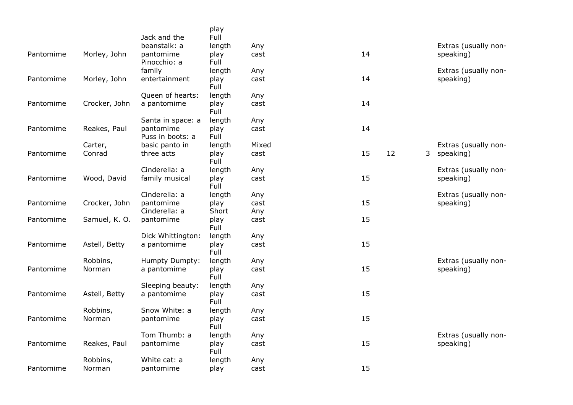|           |               | Jack and the                  | play<br>Full   |       |    |    |                |                      |
|-----------|---------------|-------------------------------|----------------|-------|----|----|----------------|----------------------|
|           |               | beanstalk: a                  | length         | Any   |    |    |                | Extras (usually non- |
| Pantomime | Morley, John  | pantomime                     | play           | cast  | 14 |    |                | speaking)            |
|           |               | Pinocchio: a<br>family        | Full<br>length | Any   |    |    |                | Extras (usually non- |
| Pantomime | Morley, John  | entertainment                 | play           | cast  | 14 |    |                | speaking)            |
|           |               |                               | Full           |       |    |    |                |                      |
|           |               | Queen of hearts:              | length         | Any   |    |    |                |                      |
| Pantomime | Crocker, John | a pantomime                   | play<br>Full   | cast  | 14 |    |                |                      |
|           |               | Santa in space: a             | length         | Any   |    |    |                |                      |
| Pantomime | Reakes, Paul  | pantomime<br>Puss in boots: a | play<br>Full   | cast  | 14 |    |                |                      |
|           | Carter,       | basic panto in                | length         | Mixed |    |    |                | Extras (usually non- |
| Pantomime | Conrad        | three acts                    | play<br>Full   | cast  | 15 | 12 | 3 <sup>7</sup> | speaking)            |
|           |               | Cinderella: a                 | length         | Any   |    |    |                | Extras (usually non- |
| Pantomime | Wood, David   | family musical                | play<br>Full   | cast  | 15 |    |                | speaking)            |
|           |               | Cinderella: a                 | length         | Any   |    |    |                | Extras (usually non- |
| Pantomime | Crocker, John | pantomime                     | play           | cast  | 15 |    |                | speaking)            |
|           |               | Cinderella: a                 | Short          | Any   |    |    |                |                      |
| Pantomime | Samuel, K. O. | pantomime                     | play<br>Full   | cast  | 15 |    |                |                      |
|           |               | Dick Whittington:             | length         | Any   |    |    |                |                      |
| Pantomime | Astell, Betty | a pantomime                   | play<br>Full   | cast  | 15 |    |                |                      |
|           | Robbins,      | Humpty Dumpty:                | length         | Any   |    |    |                | Extras (usually non- |
| Pantomime | Norman        | a pantomime                   | play<br>Full   | cast  | 15 |    |                | speaking)            |
|           |               | Sleeping beauty:              | length         | Any   |    |    |                |                      |
| Pantomime | Astell, Betty | a pantomime                   | play<br>Full   | cast  | 15 |    |                |                      |
|           | Robbins,      | Snow White: a                 | length         | Any   |    |    |                |                      |
| Pantomime | Norman        | pantomime                     | play<br>Full   | cast  | 15 |    |                |                      |
|           |               | Tom Thumb: a                  | length         | Any   |    |    |                | Extras (usually non- |
| Pantomime | Reakes, Paul  | pantomime                     | play<br>Full   | cast  | 15 |    |                | speaking)            |
|           | Robbins,      | White cat: a                  | length         | Any   |    |    |                |                      |
| Pantomime | Norman        | pantomime                     | play           | cast  | 15 |    |                |                      |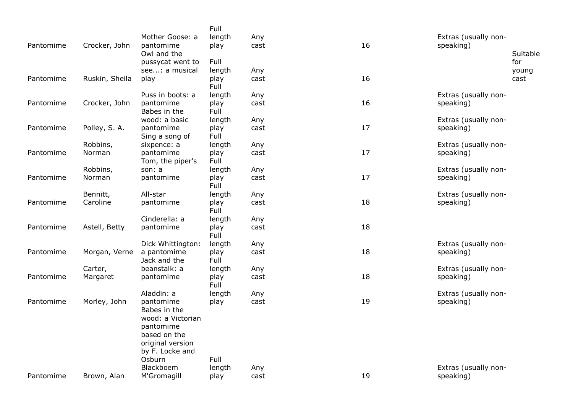| Pantomime | Crocker, John  | Mother Goose: a<br>pantomime    | Full<br>length<br>play | Any<br>cast | 16 | Extras (usually non-<br>speaking) |                 |
|-----------|----------------|---------------------------------|------------------------|-------------|----|-----------------------------------|-----------------|
|           |                | Owl and the<br>pussycat went to | Full                   |             |    |                                   | Suitable<br>for |
|           |                | see: a musical                  | length                 | Any         |    |                                   | young           |
| Pantomime | Ruskin, Sheila | play                            | play<br>Full           | cast        | 16 |                                   | cast            |
|           |                | Puss in boots: a                | length                 | Any         |    | Extras (usually non-              |                 |
| Pantomime | Crocker, John  | pantomime<br>Babes in the       | play<br>Full           | cast        | 16 | speaking)                         |                 |
|           |                | wood: a basic                   | length                 | Any         |    | Extras (usually non-              |                 |
| Pantomime | Polley, S. A.  | pantomime<br>Sing a song of     | play<br>Full           | cast        | 17 | speaking)                         |                 |
|           | Robbins,       | sixpence: a                     | length                 | Any         |    | Extras (usually non-              |                 |
| Pantomime | Norman         | pantomime<br>Tom, the piper's   | play<br>Full           | cast        | 17 | speaking)                         |                 |
|           | Robbins,       | son: a                          | length                 | Any         |    | Extras (usually non-              |                 |
| Pantomime | Norman         | pantomime                       | play<br>Full           | cast        | 17 | speaking)                         |                 |
|           | Bennitt,       | All-star                        | length                 | Any         |    | Extras (usually non-              |                 |
| Pantomime | Caroline       | pantomime                       | play<br>Full           | cast        | 18 | speaking)                         |                 |
|           |                | Cinderella: a                   | length                 | Any         |    |                                   |                 |
| Pantomime | Astell, Betty  | pantomime                       | play<br>Full           | cast        | 18 |                                   |                 |
|           |                | Dick Whittington:               | length                 | Any         |    | Extras (usually non-              |                 |
| Pantomime | Morgan, Verne  | a pantomime<br>Jack and the     | play<br>Full           | cast        | 18 | speaking)                         |                 |
|           | Carter,        | beanstalk: a                    | length                 | Any         |    | Extras (usually non-              |                 |
| Pantomime | Margaret       | pantomime                       | play<br>Full           | cast        | 18 | speaking)                         |                 |
|           |                | Aladdin: a                      | length                 | Any         |    | Extras (usually non-              |                 |
| Pantomime | Morley, John   | pantomime<br>Babes in the       | play                   | cast        | 19 | speaking)                         |                 |
|           |                | wood: a Victorian               |                        |             |    |                                   |                 |
|           |                | pantomime<br>based on the       |                        |             |    |                                   |                 |
|           |                | original version                |                        |             |    |                                   |                 |
|           |                | by F. Locke and                 |                        |             |    |                                   |                 |
|           |                | Osburn                          | Full                   |             |    |                                   |                 |
|           |                | Blackboem                       | length                 | Any         |    | Extras (usually non-              |                 |
| Pantomime | Brown, Alan    | M'Gromagill                     | play                   | cast        | 19 | speaking)                         |                 |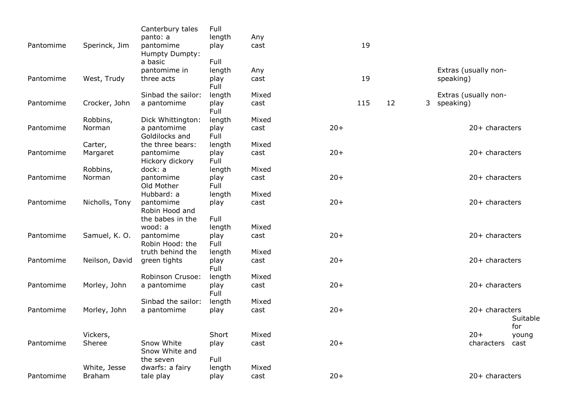| Pantomime | Sperinck, Jim  | Canterbury tales<br>panto: a<br>pantomime<br>Humpty Dumpty: | Full<br>length<br>play         | Any<br>cast |       | 19  |    |             |                      |              |
|-----------|----------------|-------------------------------------------------------------|--------------------------------|-------------|-------|-----|----|-------------|----------------------|--------------|
| Pantomime | West, Trudy    | a basic<br>pantomime in<br>three acts                       | Full<br>length<br>play<br>Full | Any<br>cast |       | 19  |    | speaking)   | Extras (usually non- |              |
|           |                | Sinbad the sailor:                                          | length                         | Mixed       |       |     |    |             | Extras (usually non- |              |
| Pantomime | Crocker, John  | a pantomime                                                 | play<br>Full                   | cast        |       | 115 | 12 | 3 speaking) |                      |              |
|           | Robbins,       | Dick Whittington:                                           | length                         | Mixed       |       |     |    |             |                      |              |
| Pantomime | Norman         | a pantomime<br>Goldilocks and                               | play<br>Full                   | cast        | $20+$ |     |    |             | 20+ characters       |              |
|           | Carter,        | the three bears:                                            | length                         | Mixed       |       |     |    |             |                      |              |
| Pantomime | Margaret       | pantomime<br>Hickory dickory                                | play<br>Full                   | cast        | $20+$ |     |    |             | 20+ characters       |              |
|           | Robbins,       | dock: a                                                     | length                         | Mixed       |       |     |    |             |                      |              |
| Pantomime | Norman         | pantomime<br>Old Mother                                     | play<br>Full                   | cast        | $20+$ |     |    |             | 20+ characters       |              |
|           |                | Hubbard: a                                                  | length                         | Mixed       |       |     |    |             |                      |              |
| Pantomime | Nicholls, Tony | pantomime<br>Robin Hood and                                 | play                           | cast        | $20+$ |     |    |             | 20+ characters       |              |
|           |                | the babes in the                                            | Full                           |             |       |     |    |             |                      |              |
|           |                | wood: a                                                     | length                         | Mixed       |       |     |    |             |                      |              |
| Pantomime | Samuel, K. O.  | pantomime<br>Robin Hood: the                                | play<br>Full                   | cast        | $20+$ |     |    |             | $20+$ characters     |              |
|           |                | truth behind the                                            | length                         | Mixed       |       |     |    |             |                      |              |
| Pantomime | Neilson, David | green tights                                                | play<br>Full                   | cast        | $20+$ |     |    |             | 20+ characters       |              |
|           |                | Robinson Crusoe:                                            | length                         | Mixed       |       |     |    |             |                      |              |
| Pantomime | Morley, John   | a pantomime                                                 | play<br>Full                   | cast        | $20+$ |     |    |             | 20+ characters       |              |
|           |                | Sinbad the sailor:                                          | length                         | Mixed       |       |     |    |             |                      |              |
| Pantomime | Morley, John   | a pantomime                                                 | play                           | cast        | $20+$ |     |    |             | 20+ characters       | Suitable     |
|           | Vickers,       |                                                             | Short                          | Mixed       |       |     |    |             | $20+$                | for<br>young |
| Pantomime | Sheree         | Snow White<br>Snow White and                                | play                           | cast        | $20+$ |     |    |             | characters           | cast         |
|           |                | the seven                                                   | Full                           |             |       |     |    |             |                      |              |
|           | White, Jesse   | dwarfs: a fairy                                             | length                         | Mixed       |       |     |    |             |                      |              |
| Pantomime | Braham         | tale play                                                   | play                           | cast        | $20+$ |     |    |             | $20+$ characters     |              |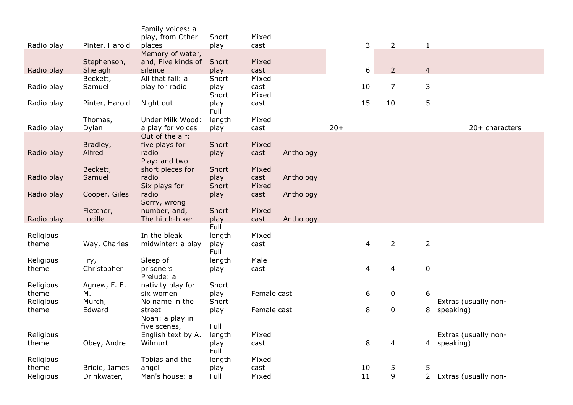|                    |                  | Family voices: a<br>play, from Other   | Short         | Mixed         |           |       |    |                          |                  |                                   |
|--------------------|------------------|----------------------------------------|---------------|---------------|-----------|-------|----|--------------------------|------------------|-----------------------------------|
| Radio play         | Pinter, Harold   | places                                 | play          | cast          |           |       | 3  | $\overline{2}$           | $\mathbf 1$      |                                   |
|                    | Stephenson,      | Memory of water,<br>and, Five kinds of | Short         | Mixed         |           |       |    |                          |                  |                                   |
| Radio play         | Shelagh          | silence                                | play          | cast          |           |       | 6  | $\overline{2}$           | $\overline{4}$   |                                   |
|                    | Beckett,         | All that fall: a                       | Short         | Mixed         |           |       |    |                          |                  |                                   |
| Radio play         | Samuel           | play for radio                         | play<br>Short | cast<br>Mixed |           |       | 10 | $\overline{7}$           | 3                |                                   |
| Radio play         | Pinter, Harold   | Night out                              | play<br>Full  | cast          |           |       | 15 | 10                       | 5                |                                   |
|                    | Thomas,          | Under Milk Wood:                       | length        | Mixed         |           |       |    |                          |                  |                                   |
| Radio play         | Dylan            | a play for voices                      | play          | cast          |           | $20+$ |    |                          |                  | 20+ characters                    |
|                    | Bradley,         | Out of the air:<br>five plays for      | Short         | Mixed         |           |       |    |                          |                  |                                   |
| Radio play         | Alfred           | radio                                  | play          | cast          | Anthology |       |    |                          |                  |                                   |
|                    |                  | Play: and two                          |               |               |           |       |    |                          |                  |                                   |
|                    | Beckett,         | short pieces for                       | Short         | Mixed         |           |       |    |                          |                  |                                   |
| Radio play         | Samuel           | radio                                  | play          | cast          | Anthology |       |    |                          |                  |                                   |
|                    |                  | Six plays for                          | Short         | Mixed         |           |       |    |                          |                  |                                   |
| Radio play         | Cooper, Giles    | radio<br>Sorry, wrong                  | play          | cast          | Anthology |       |    |                          |                  |                                   |
|                    | Fletcher,        | number, and,                           | Short         | Mixed         |           |       |    |                          |                  |                                   |
| Radio play         | Lucille          | The hitch-hiker                        | play          | cast          | Anthology |       |    |                          |                  |                                   |
|                    |                  |                                        | Full          |               |           |       |    |                          |                  |                                   |
| Religious          |                  | In the bleak                           | length        | Mixed         |           |       |    |                          |                  |                                   |
| theme              | Way, Charles     | midwinter: a play                      | play<br>Full  | cast          |           |       | 4  | $\overline{2}$           | $\overline{2}$   |                                   |
| Religious          | Fry,             | Sleep of                               | length        | Male          |           |       |    |                          |                  |                                   |
| theme              | Christopher      | prisoners<br>Prelude: a                | play          | cast          |           |       | 4  | $\overline{4}$           | $\boldsymbol{0}$ |                                   |
| Religious          | Agnew, F. E.     | nativity play for                      | Short         |               |           |       |    |                          |                  |                                   |
| theme              | м.               | six women                              | play          | Female cast   |           |       | 6  | $\mathbf 0$              | 6                |                                   |
| Religious<br>theme | Murch,<br>Edward | No name in the<br>street               | Short<br>play | Female cast   |           |       | 8  | $\pmb{0}$                | 8                | Extras (usually non-<br>speaking) |
|                    |                  | Noah: a play in                        |               |               |           |       |    |                          |                  |                                   |
|                    |                  | five scenes,                           | Full          |               |           |       |    |                          |                  |                                   |
| Religious          |                  | English text by A.                     | length        | Mixed         |           |       |    |                          |                  | Extras (usually non-              |
| theme              | Obey, Andre      | Wilmurt                                | play<br>Full  | cast          |           |       | 8  | $\overline{\mathcal{L}}$ | 4                | speaking)                         |
| Religious          |                  | Tobias and the                         | length        | Mixed         |           |       |    |                          |                  |                                   |
| theme              | Bridie, James    | angel                                  | play          | cast          |           |       | 10 | 5                        | 5                |                                   |
| Religious          | Drinkwater,      | Man's house: a                         | Full          | Mixed         |           |       | 11 | 9                        | $\overline{2}$   | Extras (usually non-              |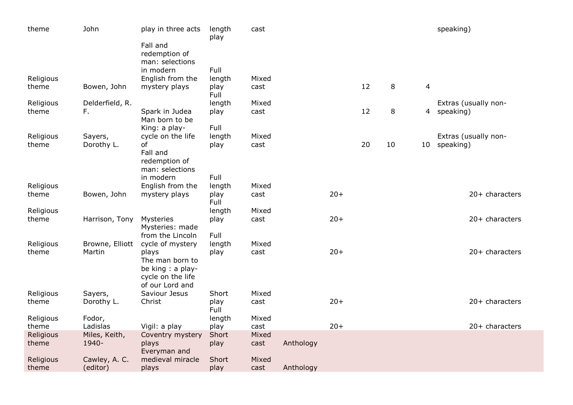| theme              | John                   | play in three acts                                                                    | length<br>play         | cast          |           |       |    |        |                | speaking)            |
|--------------------|------------------------|---------------------------------------------------------------------------------------|------------------------|---------------|-----------|-------|----|--------|----------------|----------------------|
|                    |                        | Fall and<br>redemption of<br>man: selections                                          |                        |               |           |       |    |        |                |                      |
|                    |                        | in modern                                                                             | Full                   |               |           |       |    |        |                |                      |
| Religious<br>theme | Bowen, John            | English from the<br>mystery plays                                                     | length<br>play<br>Full | Mixed<br>cast |           |       | 12 | 8      | $\overline{4}$ |                      |
| Religious          | Delderfield, R.        |                                                                                       | length                 | Mixed         |           |       |    |        |                | Extras (usually non- |
| theme              | F.                     | Spark in Judea<br>Man born to be<br>King: a play-                                     | play<br>Full           | cast          |           |       | 12 | $\, 8$ | 4              | speaking)            |
| Religious          | Sayers,                | cycle on the life                                                                     | length                 | Mixed         |           |       |    |        |                | Extras (usually non- |
| theme              | Dorothy L.             | of<br>Fall and<br>redemption of<br>man: selections                                    | play                   | cast          |           |       | 20 | 10     | $10\,$         | speaking)            |
|                    |                        | in modern                                                                             | Full                   |               |           |       |    |        |                |                      |
| Religious          |                        | English from the                                                                      | length                 | Mixed         |           |       |    |        |                |                      |
| theme              | Bowen, John            | mystery plays                                                                         | play<br>Full           | cast          |           | $20+$ |    |        |                | 20+ characters       |
| Religious          |                        |                                                                                       | length                 | Mixed         |           |       |    |        |                |                      |
| theme              | Harrison, Tony         | Mysteries<br>Mysteries: made<br>from the Lincoln                                      | play<br>Full           | cast          |           | $20+$ |    |        |                | 20+ characters       |
| Religious          | Browne, Elliott        | cycle of mystery                                                                      | length                 | Mixed         |           |       |    |        |                |                      |
| theme              | Martin                 | plays<br>The man born to<br>be king : a play-<br>cycle on the life<br>of our Lord and | play                   | cast          |           | $20+$ |    |        |                | $20+$ characters     |
| Religious          | Sayers,                | Saviour Jesus                                                                         | Short                  | Mixed         |           |       |    |        |                |                      |
| theme              | Dorothy L.             | Christ                                                                                | play<br>Full           | cast          |           | $20+$ |    |        |                | 20+ characters       |
| Religious          | Fodor,                 |                                                                                       | length                 | Mixed         |           |       |    |        |                |                      |
| theme              | Ladislas               | Vigil: a play                                                                         | play                   | cast          |           | $20+$ |    |        |                | 20+ characters       |
| Religious<br>theme | Miles, Keith,<br>1940- | Coventry mystery<br>plays<br>Everyman and                                             | Short<br>play          | Mixed<br>cast | Anthology |       |    |        |                |                      |
| Religious          | Cawley, A. C.          | medieval miracle                                                                      | Short                  | Mixed         |           |       |    |        |                |                      |
| theme              | (editor)               | plays                                                                                 | play                   | cast          | Anthology |       |    |        |                |                      |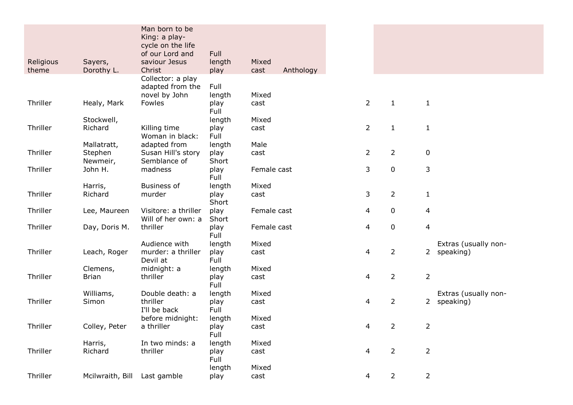|           |                              | Man born to be<br>King: a play-      |                |               |           |                |                |                |                                   |
|-----------|------------------------------|--------------------------------------|----------------|---------------|-----------|----------------|----------------|----------------|-----------------------------------|
|           |                              | cycle on the life<br>of our Lord and | Full           |               |           |                |                |                |                                   |
| Religious | Sayers,                      | saviour Jesus                        | length         | Mixed         |           |                |                |                |                                   |
| theme     | Dorothy L.                   | Christ                               | play           | cast          | Anthology |                |                |                |                                   |
|           |                              | Collector: a play                    |                |               |           |                |                |                |                                   |
|           |                              | adapted from the                     | Full           |               |           |                |                |                |                                   |
|           |                              | novel by John                        | length         | Mixed         |           |                |                |                |                                   |
| Thriller  | Healy, Mark                  | <b>Fowles</b>                        | play<br>Full   | cast          |           | $\overline{2}$ | $\mathbf{1}$   | $\mathbf{1}$   |                                   |
|           | Stockwell,                   |                                      | length         | Mixed         |           |                |                |                |                                   |
| Thriller  | Richard                      | Killing time                         | play           | cast          |           | $\overline{2}$ | $\mathbf{1}$   | $\mathbf{1}$   |                                   |
|           |                              | Woman in black:                      | Full           |               |           |                |                |                |                                   |
|           | Mallatratt,                  | adapted from                         | length         | Male          |           |                |                |                |                                   |
| Thriller  | Stephen                      | Susan Hill's story                   | play           | cast          |           | $\overline{2}$ | $\overline{2}$ | $\pmb{0}$      |                                   |
|           | Newmeir,                     | Semblance of                         | Short          |               |           |                |                |                |                                   |
| Thriller  | John H.                      | madness                              | play           | Female cast   |           | 3              | 0              | 3              |                                   |
|           | Harris,                      | <b>Business of</b>                   | Full<br>length | Mixed         |           |                |                |                |                                   |
| Thriller  | Richard                      | murder                               | play           | cast          |           | 3              | $\overline{2}$ | $\mathbf{1}$   |                                   |
|           |                              |                                      | Short          |               |           |                |                |                |                                   |
| Thriller  | Lee, Maureen                 | Visitore: a thriller                 | play           | Female cast   |           | 4              | $\mathbf 0$    | 4              |                                   |
|           |                              | Will of her own: a                   | Short          |               |           |                |                |                |                                   |
| Thriller  | Day, Doris M.                | thriller                             | play           | Female cast   |           | 4              | $\mathbf 0$    | 4              |                                   |
|           |                              |                                      | Full           |               |           |                |                |                |                                   |
| Thriller  | Leach, Roger                 | Audience with<br>murder: a thriller  | length<br>play | Mixed<br>cast |           | 4              | $\overline{2}$ | $\overline{2}$ | Extras (usually non-<br>speaking) |
|           |                              | Devil at                             | Full           |               |           |                |                |                |                                   |
|           | Clemens,                     | midnight: a                          | length         | Mixed         |           |                |                |                |                                   |
| Thriller  | <b>Brian</b>                 | thriller                             | play           | cast          |           | 4              | $\overline{2}$ | $\overline{2}$ |                                   |
|           |                              |                                      | Full           |               |           |                |                |                |                                   |
|           | Williams,                    | Double death: a                      | length         | Mixed         |           |                |                |                | Extras (usually non-              |
| Thriller  | Simon                        | thriller                             | play           | cast          |           | 4              | $\overline{2}$ | $\overline{2}$ | speaking)                         |
|           |                              | I'll be back                         | Full           | Mixed         |           |                |                |                |                                   |
| Thriller  | Colley, Peter                | before midnight:<br>a thriller       | length<br>play | cast          |           | 4              | 2              | 2              |                                   |
|           |                              |                                      | Full           |               |           |                |                |                |                                   |
|           | Harris,                      | In two minds: a                      | length         | Mixed         |           |                |                |                |                                   |
| Thriller  | Richard                      | thriller                             | play           | cast          |           | 4              | $\overline{2}$ | $\overline{2}$ |                                   |
|           |                              |                                      | Full           |               |           |                |                |                |                                   |
|           |                              |                                      | length         | Mixed         |           |                |                |                |                                   |
| Thriller  | Mcilwraith, Bill Last gamble |                                      | play           | cast          |           | 4              | $\overline{2}$ | $\overline{2}$ |                                   |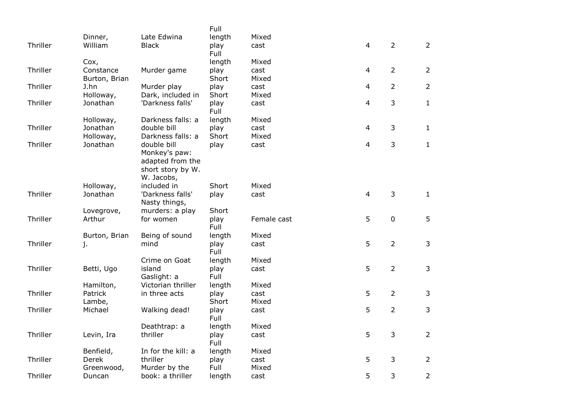|          |                       |                                       | Full          |               |                |                |                |
|----------|-----------------------|---------------------------------------|---------------|---------------|----------------|----------------|----------------|
|          | Dinner,               | Late Edwina                           | length        | Mixed         |                |                |                |
| Thriller | William               | <b>Black</b>                          | play<br>Full  | cast          | $\overline{4}$ | $\overline{2}$ | $\overline{2}$ |
|          | Cox,                  |                                       | length        | Mixed         |                |                |                |
| Thriller | Constance             | Murder game                           | play          | cast          | $\overline{4}$ | $\overline{2}$ | $\overline{2}$ |
|          | Burton, Brian         |                                       | Short         | Mixed         |                |                |                |
| Thriller | J.hn                  | Murder play                           | play          | cast          | $\overline{4}$ | $\overline{2}$ | $\overline{2}$ |
| Thriller | Holloway,<br>Jonathan | Dark, included in<br>'Darkness falls' | Short<br>play | Mixed<br>cast | $\overline{4}$ | 3              | $\mathbf{1}$   |
|          |                       |                                       | Full          |               |                |                |                |
|          | Holloway,             | Darkness falls: a                     | length        | Mixed         |                |                |                |
| Thriller | Jonathan              | double bill                           | play          | cast          | $\overline{4}$ | 3              | $\mathbf{1}$   |
| Thriller | Holloway,<br>Jonathan | Darkness falls: a<br>double bill      | Short<br>play | Mixed<br>cast | $\overline{4}$ | 3              | $\mathbf{1}$   |
|          |                       | Monkey's paw:                         |               |               |                |                |                |
|          |                       | adapted from the                      |               |               |                |                |                |
|          |                       | short story by W.                     |               |               |                |                |                |
|          |                       | W. Jacobs,                            |               |               |                |                |                |
|          | Holloway,             | included in                           | Short         | Mixed         |                |                |                |
| Thriller | Jonathan              | 'Darkness falls'<br>Nasty things,     | play          | cast          | $\overline{4}$ | 3              | $\mathbf{1}$   |
|          | Lovegrove,            | murders: a play                       | Short         |               |                |                |                |
| Thriller | Arthur                | for women                             | play<br>Full  | Female cast   | 5              | $\pmb{0}$      | 5              |
|          | Burton, Brian         | Being of sound                        | length        | Mixed         |                |                |                |
| Thriller | j.                    | mind                                  | play<br>Full  | cast          | 5              | $\overline{2}$ | 3              |
|          |                       | Crime on Goat                         | length        | Mixed         |                |                |                |
| Thriller | Betti, Ugo            | island                                | play          | cast          | 5              | $\overline{2}$ | $\mathsf{3}$   |
|          |                       | Gaslight: a                           | Full          |               |                |                |                |
|          | Hamilton,             | Victorian thriller                    | length        | Mixed         |                |                |                |
| Thriller | Patrick               | in three acts                         | play<br>Short | cast<br>Mixed | 5              | $\overline{2}$ | 3              |
| Thriller | Lambe,<br>Michael     | Walking dead!                         | play          | cast          | 5              | $\overline{2}$ | 3              |
|          |                       |                                       | Full          |               |                |                |                |
|          |                       | Deathtrap: a                          | length        | Mixed         |                |                |                |
| Thriller | Levin, Ira            | thriller                              | play<br>Full  | cast          | 5              | 3              | $\overline{2}$ |
|          | Benfield,             | In for the kill: a                    | length        | Mixed         |                |                |                |
| Thriller | <b>Derek</b>          | thriller                              | play          | cast          | 5              | 3              | $\overline{2}$ |
|          | Greenwood,            | Murder by the                         | Full          | Mixed         |                |                |                |
| Thriller | Duncan                | book: a thriller                      | length        | cast          | 5              | 3              | $\overline{2}$ |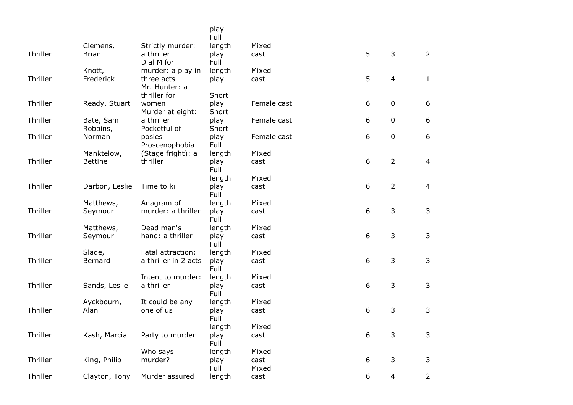|          |                       |                             | play<br>Full  |             |   |                |                |
|----------|-----------------------|-----------------------------|---------------|-------------|---|----------------|----------------|
|          | Clemens,              | Strictly murder:            | length        | Mixed       |   |                |                |
| Thriller | <b>Brian</b>          | a thriller<br>Dial M for    | play<br>Full  | cast        | 5 | 3              | $\overline{2}$ |
|          | Knott,                | murder: a play in           | length        | Mixed       |   |                |                |
| Thriller | Frederick             | three acts<br>Mr. Hunter: a | play          | cast        | 5 | $\overline{4}$ | $\mathbf{1}$   |
|          |                       | thriller for                | Short         |             |   |                |                |
| Thriller | Ready, Stuart         | women<br>Murder at eight:   | play<br>Short | Female cast | 6 | $\mathbf 0$    | 6              |
| Thriller | Bate, Sam<br>Robbins, | a thriller<br>Pocketful of  | play<br>Short | Female cast | 6 | $\pmb{0}$      | 6              |
| Thriller | Norman                | posies<br>Proscenophobia    | play<br>Full  | Female cast | 6 | $\mathbf 0$    | 6              |
|          | Manktelow,            | (Stage fright): a           | length        | Mixed       |   |                |                |
| Thriller | <b>Bettine</b>        | thriller                    | play<br>Full  | cast        | 6 | $\overline{2}$ | $\overline{4}$ |
|          |                       |                             | length        | Mixed       |   |                |                |
| Thriller | Darbon, Leslie        | Time to kill                | play<br>Full  | cast        | 6 | $\overline{2}$ | $\overline{4}$ |
|          | Matthews,             | Anagram of                  | length        | Mixed       |   |                |                |
| Thriller | Seymour               | murder: a thriller          | play<br>Full  | cast        | 6 | 3              | $\overline{3}$ |
|          | Matthews,             | Dead man's                  | length        | Mixed       |   |                |                |
| Thriller | Seymour               | hand: a thriller            | play<br>Full  | cast        | 6 | 3              | $\mathsf{3}$   |
|          | Slade,                | Fatal attraction:           | length        | Mixed       |   |                |                |
| Thriller | Bernard               | a thriller in 2 acts        | play<br>Full  | cast        | 6 | 3              | $\mathsf{3}$   |
|          |                       | Intent to murder:           | length        | Mixed       |   |                |                |
| Thriller | Sands, Leslie         | a thriller                  | play<br>Full  | cast        | 6 | 3              | 3              |
|          | Ayckbourn,            | It could be any             | length        | Mixed       |   |                |                |
| Thriller | Alan                  | one of us                   | play<br>Full  | cast        | 6 | 3              | 3              |
|          |                       |                             | length        | Mixed       |   |                |                |
| Thriller | Kash, Marcia          | Party to murder             | play<br>Full  | cast        | 6 | 3              | 3              |
|          |                       | Who says                    | length        | Mixed       |   |                |                |
| Thriller | King, Philip          | murder?                     | play          | cast        | 6 | 3              | 3              |
| Thriller |                       | Murder assured              | Full          | Mixed       | 6 | $\overline{4}$ | $\overline{2}$ |
|          | Clayton, Tony         |                             | length        | cast        |   |                |                |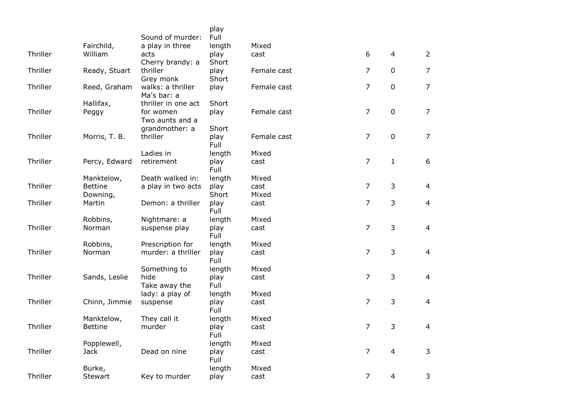|          |                | Sound of murder:                 | play<br>Full  |             |                |                |                |
|----------|----------------|----------------------------------|---------------|-------------|----------------|----------------|----------------|
|          | Fairchild,     | a play in three                  | length        | Mixed       |                |                |                |
| Thriller | William        | acts<br>Cherry brandy: a         | play<br>Short | cast        | 6              | $\overline{4}$ | $\overline{2}$ |
| Thriller | Ready, Stuart  | thriller<br>Grey monk            | play<br>Short | Female cast | $\overline{7}$ | $\mathbf 0$    | $\overline{7}$ |
| Thriller | Reed, Graham   | walks: a thriller<br>Ma's bar: a | play          | Female cast | $\overline{7}$ | $\mathbf 0$    | $\overline{7}$ |
|          | Hallifax,      | thriller in one act              | Short         |             |                |                |                |
| Thriller | Peggy          | for women<br>Two aunts and a     | play          | Female cast | $\overline{7}$ | $\pmb{0}$      | $\overline{7}$ |
|          |                | grandmother: a                   | Short         |             |                |                |                |
| Thriller | Morris, T. B.  | thriller                         | play<br>Full  | Female cast | $\overline{7}$ | $\mathbf 0$    | $\overline{7}$ |
|          |                | Ladies in                        | length        | Mixed       |                |                |                |
| Thriller | Percy, Edward  | retirement                       | play<br>Full  | cast        | $\overline{7}$ | $\mathbf{1}$   | 6              |
|          | Manktelow,     | Death walked in:                 | length        | Mixed       |                |                |                |
| Thriller | <b>Bettine</b> | a play in two acts               | play          | cast        | $\overline{7}$ | 3              | $\overline{4}$ |
|          | Downing,       |                                  | Short         | Mixed       |                |                |                |
| Thriller | Martin         | Demon: a thriller                | play<br>Full  | cast        | $\overline{7}$ | 3              | $\overline{4}$ |
|          | Robbins,       | Nightmare: a                     | length        | Mixed       |                |                |                |
| Thriller | Norman         | suspense play                    | play<br>Full  | cast        | $\overline{7}$ | 3              | $\overline{a}$ |
|          | Robbins,       | Prescription for                 | length        | Mixed       |                |                |                |
| Thriller | Norman         | murder: a thriller               | play<br>Full  | cast        | $\overline{7}$ | 3              | $\overline{4}$ |
|          |                | Something to                     | length        | Mixed       |                |                |                |
| Thriller | Sands, Leslie  | hide<br>Take away the            | play<br>Full  | cast        | $\overline{7}$ | 3              | $\overline{4}$ |
|          |                | lady: a play of                  | length        | Mixed       |                |                |                |
| Thriller | Chinn, Jimmie  | suspense                         | play<br>Full  | cast        | $\overline{7}$ | 3              | $\overline{4}$ |
|          | Manktelow,     | They call it                     | length        | Mixed       |                |                |                |
| Thriller | <b>Bettine</b> | murder                           | play<br>Full  | cast        | $\overline{7}$ | 3              | $\overline{a}$ |
|          | Popplewell,    |                                  | length        | Mixed       |                |                |                |
| Thriller | <b>Jack</b>    | Dead on nine                     | play<br>Full  | cast        | $\overline{7}$ | $\overline{4}$ | 3              |
|          | Burke,         |                                  | length        | Mixed       |                |                |                |
| Thriller | Stewart        | Key to murder                    | play          | cast        | $\overline{7}$ | 4              | 3              |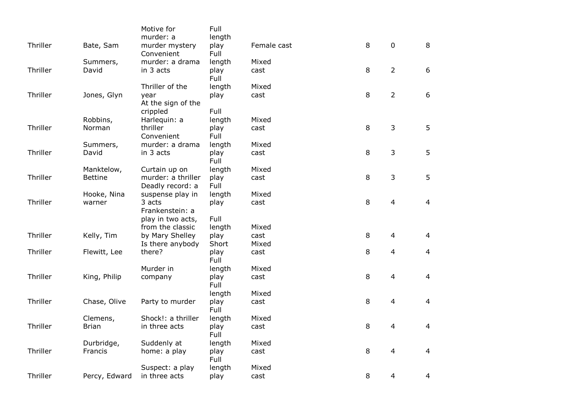|          |                | Motive for<br>murder: a       | Full<br>length |             |   |                |                |
|----------|----------------|-------------------------------|----------------|-------------|---|----------------|----------------|
| Thriller | Bate, Sam      | murder mystery                | play           | Female cast | 8 | $\mathbf 0$    | 8              |
|          | Summers,       | Convenient<br>murder: a drama | Full<br>length | Mixed       |   |                |                |
| Thriller | David          | in 3 acts                     | play           | cast        | 8 | $\overline{2}$ | 6              |
|          |                |                               | Full           |             |   |                |                |
|          |                | Thriller of the               | length         | Mixed       |   |                |                |
| Thriller | Jones, Glyn    | year                          | play           | cast        | 8 | $\overline{2}$ | 6              |
|          |                | At the sign of the            |                |             |   |                |                |
|          |                | crippled                      | Full           |             |   |                |                |
|          | Robbins,       | Harlequin: a                  | length         | Mixed       |   |                |                |
| Thriller | Norman         | thriller                      | play           | cast        | 8 | 3              | 5              |
|          |                | Convenient                    | Full           |             |   |                |                |
|          | Summers,       | murder: a drama               | length         | Mixed       |   |                |                |
| Thriller | David          | in 3 acts                     | play<br>Full   | cast        | 8 | 3              | 5              |
|          | Manktelow,     | Curtain up on                 | length         | Mixed       |   |                |                |
| Thriller | <b>Bettine</b> | murder: a thriller            | play           | cast        | 8 | 3              | 5              |
|          |                | Deadly record: a              | Full           |             |   |                |                |
|          | Hooke, Nina    | suspense play in              | length         | Mixed       |   |                |                |
| Thriller | warner         | 3 acts<br>Frankenstein: a     | play           | cast        | 8 | $\overline{4}$ | $\overline{4}$ |
|          |                | play in two acts,             | Full           |             |   |                |                |
|          |                | from the classic              | length         | Mixed       |   |                |                |
| Thriller | Kelly, Tim     | by Mary Shelley               | play           | cast        | 8 | $\overline{4}$ | $\overline{4}$ |
|          |                | Is there anybody              | Short          | Mixed       |   |                |                |
| Thriller | Flewitt, Lee   | there?                        | play           | cast        | 8 | $\overline{4}$ | $\overline{4}$ |
|          |                |                               | Full           |             |   |                |                |
|          |                | Murder in                     | length         | Mixed       |   |                |                |
| Thriller | King, Philip   | company                       | play           | cast        | 8 | $\overline{4}$ | $\overline{4}$ |
|          |                |                               | Full           |             |   |                |                |
|          |                |                               | length         | Mixed       |   |                |                |
| Thriller | Chase, Olive   | Party to murder               | play<br>Full   | cast        | 8 | $\overline{4}$ | $\overline{4}$ |
|          | Clemens,       | Shock!: a thriller            | length         | Mixed       |   |                |                |
| Thriller | <b>Brian</b>   | in three acts                 | play           | cast        | 8 | $\overline{4}$ | $\overline{4}$ |
|          |                |                               | Full           |             |   |                |                |
|          | Durbridge,     | Suddenly at                   | length         | Mixed       |   |                |                |
| Thriller | Francis        | home: a play                  | play<br>Full   | cast        | 8 | $\overline{4}$ | $\overline{4}$ |
|          |                | Suspect: a play               | length         | Mixed       |   |                |                |
| Thriller | Percy, Edward  | in three acts                 | play           | cast        | 8 | $\overline{4}$ | 4              |
|          |                |                               |                |             |   |                |                |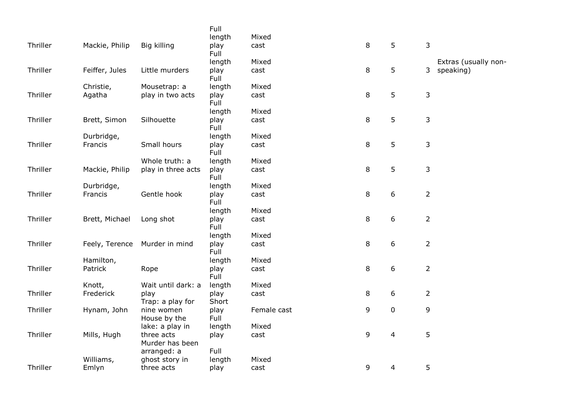|          |                |                               | Full          |             |   |                |                |                      |
|----------|----------------|-------------------------------|---------------|-------------|---|----------------|----------------|----------------------|
|          |                |                               | length        | Mixed       |   |                |                |                      |
| Thriller | Mackie, Philip | Big killing                   | play<br>Full  | cast        | 8 | 5              | 3              |                      |
|          |                |                               | length        | Mixed       |   |                |                | Extras (usually non- |
| Thriller | Feiffer, Jules | Little murders                | play<br>Full  | cast        | 8 | 5              |                | 3 speaking)          |
|          | Christie,      | Mousetrap: a                  | length        | Mixed       |   |                |                |                      |
| Thriller | Agatha         | play in two acts              | play<br>Full  | cast        | 8 | 5              | 3              |                      |
|          |                |                               | length        | Mixed       |   |                |                |                      |
| Thriller | Brett, Simon   | Silhouette                    | play<br>Full  | cast        | 8 | 5              | 3              |                      |
|          | Durbridge,     |                               | length        | Mixed       |   |                |                |                      |
| Thriller | Francis        | Small hours                   | play<br>Full  | cast        | 8 | 5              | 3              |                      |
|          |                | Whole truth: a                | length        | Mixed       |   |                |                |                      |
| Thriller | Mackie, Philip | play in three acts            | play<br>Full  | cast        | 8 | 5              | 3              |                      |
|          | Durbridge,     |                               | length        | Mixed       |   |                |                |                      |
| Thriller | Francis        | Gentle hook                   | play<br>Full  | cast        | 8 | 6              | $\overline{2}$ |                      |
|          |                |                               | length        | Mixed       |   |                |                |                      |
| Thriller | Brett, Michael | Long shot                     | play<br>Full  | cast        | 8 | 6              | $\overline{2}$ |                      |
|          |                |                               | length        | Mixed       |   |                |                |                      |
| Thriller | Feely, Terence | Murder in mind                | play<br>Full  | cast        | 8 | 6              | $\overline{2}$ |                      |
|          | Hamilton,      |                               | length        | Mixed       |   |                |                |                      |
| Thriller | Patrick        | Rope                          | play<br>Full  | cast        | 8 | 6              | $\overline{2}$ |                      |
|          | Knott,         | Wait until dark: a            | length        | Mixed       |   |                |                |                      |
| Thriller | Frederick      | play<br>Trap: a play for      | play<br>Short | cast        | 8 | 6              | $\overline{2}$ |                      |
| Thriller | Hynam, John    | nine women<br>House by the    | play<br>Full  | Female cast | 9 | 0              | 9              |                      |
|          |                | lake: a play in               | length        | Mixed       |   |                |                |                      |
| Thriller | Mills, Hugh    | three acts<br>Murder has been | play          | cast        | 9 | $\overline{4}$ | 5              |                      |
|          |                | arranged: a                   | Full          |             |   |                |                |                      |
|          | Williams,      | ghost story in                | length        | Mixed       |   |                |                |                      |
| Thriller | Emlyn          | three acts                    | play          | cast        | 9 | 4              | 5              |                      |
|          |                |                               |               |             |   |                |                |                      |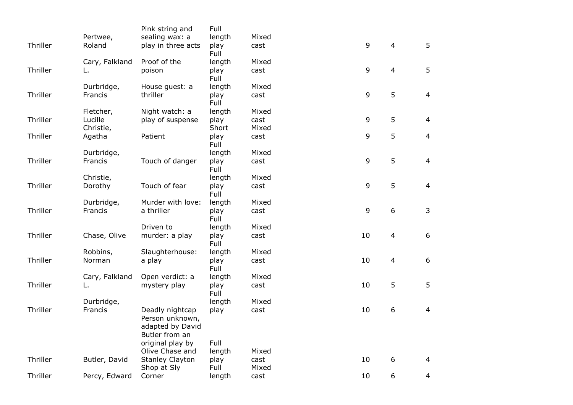|          |                | Pink string and                                                          | Full           |       |    |                |                |
|----------|----------------|--------------------------------------------------------------------------|----------------|-------|----|----------------|----------------|
|          | Pertwee,       | sealing wax: a                                                           | length         | Mixed |    |                |                |
| Thriller | Roland         | play in three acts                                                       | play<br>Full   | cast  | 9  | $\overline{4}$ | 5              |
|          | Cary, Falkland | Proof of the                                                             | length         | Mixed |    |                |                |
| Thriller |                | poison                                                                   | play<br>Full   | cast  | 9  | $\overline{4}$ | 5              |
|          | Durbridge,     | House guest: a                                                           | length         | Mixed |    |                |                |
| Thriller | Francis        | thriller                                                                 | play<br>Full   | cast  | 9  | 5              | $\overline{4}$ |
|          | Fletcher,      | Night watch: a                                                           | length         | Mixed |    |                |                |
| Thriller | Lucille        | play of suspense                                                         | play           | cast  | 9  | 5              | $\overline{4}$ |
|          | Christie,      |                                                                          | Short          | Mixed |    |                |                |
| Thriller | Agatha         | Patient                                                                  | play<br>Full   | cast  | 9  | 5              | $\overline{4}$ |
|          | Durbridge,     |                                                                          | length         | Mixed |    |                |                |
| Thriller | Francis        | Touch of danger                                                          | play<br>Full   | cast  | 9  | 5              | $\overline{4}$ |
|          | Christie,      |                                                                          | length         | Mixed |    |                |                |
| Thriller | Dorothy        | Touch of fear                                                            | play<br>Full   | cast  | 9  | 5              | $\overline{4}$ |
|          | Durbridge,     | Murder with love:                                                        | length         | Mixed |    |                |                |
| Thriller | Francis        | a thriller                                                               | play<br>Full   | cast  | 9  | 6              | 3              |
|          |                | Driven to                                                                | length         | Mixed |    |                |                |
| Thriller | Chase, Olive   | murder: a play                                                           | play<br>Full   | cast  | 10 | $\overline{4}$ | 6              |
|          | Robbins,       | Slaughterhouse:                                                          | length         | Mixed |    |                |                |
| Thriller | Norman         | a play                                                                   | play<br>Full   | cast  | 10 | $\overline{4}$ | 6              |
|          | Cary, Falkland | Open verdict: a                                                          | length         | Mixed |    |                |                |
| Thriller | L.             | mystery play                                                             | play<br>Full   | cast  | 10 | 5              | 5              |
|          | Durbridge,     |                                                                          | length         | Mixed |    |                |                |
| Thriller | Francis        | Deadly nightcap<br>Person unknown,<br>adapted by David<br>Butler from an | play<br>Full   | cast  | 10 | 6              | $\overline{4}$ |
|          |                | original play by<br>Olive Chase and                                      |                | Mixed |    |                |                |
| Thriller | Butler, David  | <b>Stanley Clayton</b>                                                   | length<br>play | cast  | 10 | 6              | 4              |
|          |                | Shop at Sly                                                              | Full           | Mixed |    |                |                |
| Thriller | Percy, Edward  | Corner                                                                   | length         | cast  | 10 | 6              | 4              |
|          |                |                                                                          |                |       |    |                |                |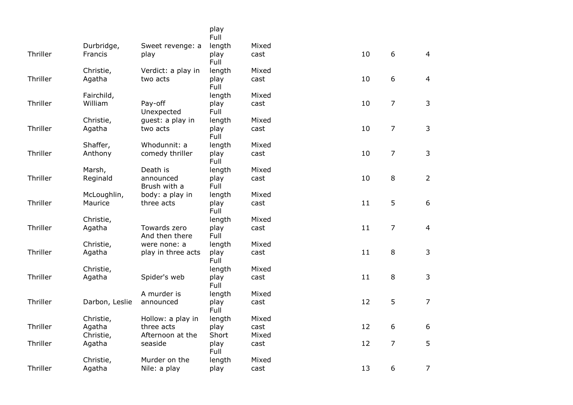|          |                |                                | play<br>Full |       |    |                |                |
|----------|----------------|--------------------------------|--------------|-------|----|----------------|----------------|
|          | Durbridge,     | Sweet revenge: a               | length       | Mixed |    |                |                |
| Thriller | Francis        | play                           | play<br>Full | cast  | 10 | 6              | $\overline{4}$ |
|          | Christie,      | Verdict: a play in             | length       | Mixed |    |                |                |
| Thriller | Agatha         | two acts                       | play<br>Full | cast  | 10 | 6              | $\overline{4}$ |
|          | Fairchild,     |                                | length       | Mixed |    |                |                |
| Thriller | William        | Pay-off<br>Unexpected          | play<br>Full | cast  | 10 | $\overline{7}$ | 3              |
|          | Christie,      | guest: a play in               | length       | Mixed |    |                |                |
| Thriller | Agatha         | two acts                       | play<br>Full | cast  | 10 | $\overline{7}$ | 3              |
|          | Shaffer,       | Whodunnit: a                   | length       | Mixed |    |                |                |
| Thriller | Anthony        | comedy thriller                | play<br>Full | cast  | 10 | $\overline{7}$ | 3              |
|          | Marsh,         | Death is                       | length       | Mixed |    |                |                |
| Thriller | Reginald       | announced<br>Brush with a      | play<br>Full | cast  | 10 | 8              | $\overline{2}$ |
|          | McLoughlin,    | body: a play in                | length       | Mixed |    |                |                |
| Thriller | Maurice        | three acts                     | play<br>Full | cast  | 11 | 5              | $6\phantom{a}$ |
|          | Christie,      |                                | length       | Mixed |    |                |                |
| Thriller | Agatha         | Towards zero<br>And then there | play<br>Full | cast  | 11 | 7              | $\overline{4}$ |
|          | Christie,      | were none: a                   | length       | Mixed |    |                |                |
| Thriller | Agatha         | play in three acts             | play<br>Full | cast  | 11 | 8              | 3              |
|          | Christie,      |                                | length       | Mixed |    |                |                |
| Thriller | Agatha         | Spider's web                   | play<br>Full | cast  | 11 | 8              | 3              |
|          |                | A murder is                    | length       | Mixed |    |                |                |
| Thriller | Darbon, Leslie | announced                      | play<br>Full | cast  | 12 | 5              | $\overline{7}$ |
|          | Christie,      | Hollow: a play in              | length       | Mixed |    |                |                |
| Thriller | Agatha         | three acts                     | play         | cast  | 12 | 6              | 6              |
|          | Christie,      | Afternoon at the               | Short        | Mixed |    |                |                |
| Thriller | Agatha         | seaside                        | play<br>Full | cast  | 12 | $\overline{7}$ | 5              |
|          | Christie,      | Murder on the                  | length       | Mixed |    |                |                |
| Thriller | Agatha         | Nile: a play                   | play         | cast  | 13 | 6              | $\overline{7}$ |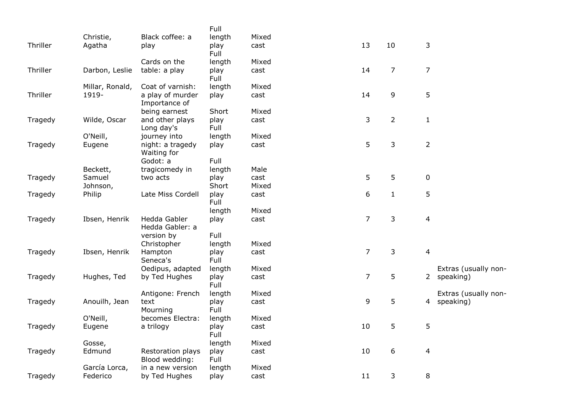|          |                 |                                     | Full         |       |                |                |                |                      |
|----------|-----------------|-------------------------------------|--------------|-------|----------------|----------------|----------------|----------------------|
|          | Christie,       | Black coffee: a                     | length       | Mixed |                |                |                |                      |
| Thriller | Agatha          | play                                | play<br>Full | cast  | 13             | 10             | 3              |                      |
|          |                 | Cards on the                        | length       | Mixed |                |                |                |                      |
| Thriller | Darbon, Leslie  | table: a play                       | play<br>Full | cast  | 14             | $\overline{7}$ | $\overline{7}$ |                      |
|          | Millar, Ronald, | Coat of varnish:                    | length       | Mixed |                |                |                |                      |
| Thriller | 1919-           | a play of murder<br>Importance of   | play         | cast  | 14             | 9              | 5              |                      |
|          |                 | being earnest                       | Short        | Mixed |                |                |                |                      |
| Tragedy  | Wilde, Oscar    | and other plays<br>Long day's       | play<br>Full | cast  | 3              | $\overline{2}$ | $\mathbf{1}$   |                      |
|          | O'Neill,        | journey into                        | length       | Mixed |                |                |                |                      |
| Tragedy  | Eugene          | night: a tragedy<br>Waiting for     | play         | cast  | 5              | 3              | $\overline{2}$ |                      |
|          |                 | Godot: a                            | Full         |       |                |                |                |                      |
|          | Beckett,        | tragicomedy in                      | length       | Male  |                |                |                |                      |
| Tragedy  | Samuel          | two acts                            | play         | cast  | 5              | 5              | $\pmb{0}$      |                      |
|          | Johnson,        |                                     | Short        | Mixed |                |                |                |                      |
| Tragedy  | Philip          | Late Miss Cordell                   | play<br>Full | cast  | 6              | $\mathbf{1}$   | 5              |                      |
|          |                 |                                     | length       | Mixed |                |                |                |                      |
| Tragedy  | Ibsen, Henrik   | Hedda Gabler<br>Hedda Gabler: a     | play         | cast  | $\overline{7}$ | $\mathsf{3}$   | $\overline{4}$ |                      |
|          |                 | version by                          | Full         |       |                |                |                |                      |
|          |                 | Christopher                         | length       | Mixed |                |                |                |                      |
| Tragedy  | Ibsen, Henrik   | Hampton<br>Seneca's                 | play<br>Full | cast  | $\overline{7}$ | $\mathsf{3}$   | $\overline{4}$ |                      |
|          |                 | Oedipus, adapted                    | length       | Mixed |                |                |                | Extras (usually non- |
| Tragedy  | Hughes, Ted     | by Ted Hughes                       | play<br>Full | cast  | $\overline{7}$ | 5              |                | 2 speaking)          |
|          |                 | Antigone: French                    | length       | Mixed |                |                |                | Extras (usually non- |
| Tragedy  | Anouilh, Jean   | text<br>Mourning                    | play<br>Full | cast  | 9              | 5              | 4              | speaking)            |
|          | O'Neill,        | becomes Electra:                    | length       | Mixed |                |                |                |                      |
| Tragedy  | Eugene          | a trilogy                           | play<br>Full | cast  | 10             | 5              | 5              |                      |
|          | Gosse,          |                                     | length       | Mixed |                |                |                |                      |
| Tragedy  | Edmund          | Restoration plays<br>Blood wedding: | play<br>Full | cast  | 10             | 6              | $\overline{4}$ |                      |
|          | García Lorca,   | in a new version                    | length       | Mixed |                |                |                |                      |
| Tragedy  | Federico        | by Ted Hughes                       | play         | cast  | 11             | 3              | 8              |                      |
|          |                 |                                     |              |       |                |                |                |                      |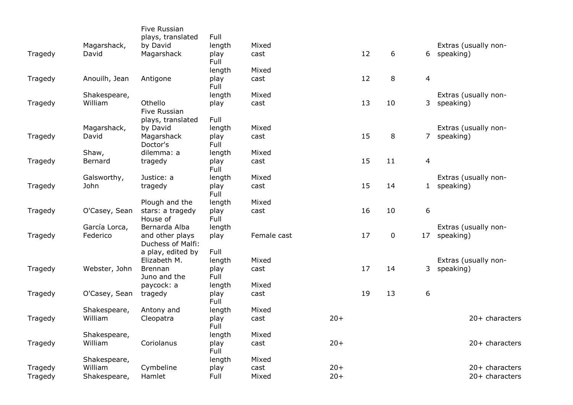|         |               | <b>Five Russian</b><br>plays, translated | Full         |             |        |    |             |                         |                      |
|---------|---------------|------------------------------------------|--------------|-------------|--------|----|-------------|-------------------------|----------------------|
|         | Magarshack,   | by David                                 | length       | Mixed       |        |    |             |                         | Extras (usually non- |
| Tragedy | David         | Magarshack                               | play<br>Full | cast        |        | 12 | 6           |                         | 6 speaking)          |
|         |               |                                          | length       | Mixed       |        |    |             |                         |                      |
| Tragedy | Anouilh, Jean | Antigone                                 | play<br>Full | cast        |        | 12 | 8           | $\overline{\mathbf{4}}$ |                      |
|         | Shakespeare,  |                                          | length       | Mixed       |        |    |             |                         | Extras (usually non- |
| Tragedy | William       | Othello<br>Five Russian                  | play         | cast        |        | 13 | 10          |                         | 3 speaking)          |
|         |               | plays, translated                        | Full         |             |        |    |             |                         |                      |
|         | Magarshack,   | by David                                 | length       | Mixed       |        |    |             |                         | Extras (usually non- |
| Tragedy | David         | Magarshack<br>Doctor's                   | play<br>Full | cast        |        | 15 | 8           |                         | 7 speaking)          |
|         | Shaw,         | dilemma: a                               | length       | Mixed       |        |    |             |                         |                      |
| Tragedy | Bernard       | tragedy                                  | play<br>Full | cast        |        | 15 | 11          | $\overline{\mathbf{4}}$ |                      |
|         | Galsworthy,   | Justice: a                               | length       | Mixed       |        |    |             |                         | Extras (usually non- |
| Tragedy | John          | tragedy                                  | play<br>Full | cast        |        | 15 | 14          |                         | 1 speaking)          |
|         |               | Plough and the                           | length       | Mixed       |        |    |             |                         |                      |
| Tragedy | O'Casey, Sean | stars: a tragedy<br>House of             | play<br>Full | cast        |        | 16 | 10          | 6                       |                      |
|         | García Lorca, | Bernarda Alba                            | length       |             |        |    |             |                         | Extras (usually non- |
| Tragedy | Federico      | and other plays<br>Duchess of Malfi:     | play         | Female cast |        | 17 | $\mathbf 0$ | 17                      | speaking)            |
|         |               | a play, edited by                        | Full         |             |        |    |             |                         |                      |
|         |               | Elizabeth M.                             | length       | Mixed       |        |    |             |                         | Extras (usually non- |
| Tragedy | Webster, John | <b>Brennan</b><br>Juno and the           | play<br>Full | cast        |        | 17 | 14          | 3                       | speaking)            |
|         |               | paycock: a                               | length       | Mixed       |        |    |             |                         |                      |
| Tragedy | O'Casey, Sean | tragedy                                  | play<br>Full | cast        |        | 19 | 13          | 6                       |                      |
|         | Shakespeare,  | Antony and                               | length       | Mixed       |        |    |             |                         |                      |
| Tragedy | William       | Cleopatra                                | play<br>Full | cast        | $20+$  |    |             |                         | 20+ characters       |
|         | Shakespeare,  |                                          | length       | Mixed       |        |    |             |                         |                      |
| Tragedy | William       | Coriolanus                               | play<br>Full | cast        | $20+$  |    |             |                         | 20+ characters       |
|         | Shakespeare,  |                                          | length       | Mixed       |        |    |             |                         |                      |
| Tragedy | William       | Cymbeline                                | play         | cast        | $20 +$ |    |             |                         | 20+ characters       |
| Tragedy | Shakespeare,  | Hamlet                                   | Full         | Mixed       | $20+$  |    |             |                         | 20+ characters       |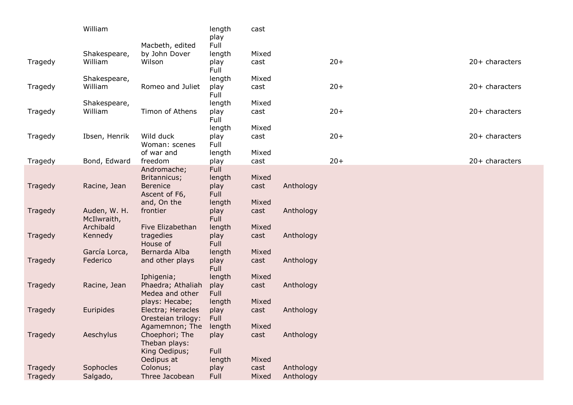|         | William       |                                         | length<br>play | cast  |           |       |                  |  |
|---------|---------------|-----------------------------------------|----------------|-------|-----------|-------|------------------|--|
|         |               | Macbeth, edited                         | Full           |       |           |       |                  |  |
|         | Shakespeare,  | by John Dover                           | length         | Mixed |           |       |                  |  |
| Tragedy | William       | Wilson                                  | play<br>Full   | cast  |           | $20+$ | $20+$ characters |  |
|         | Shakespeare,  |                                         | length         | Mixed |           |       |                  |  |
| Tragedy | William       | Romeo and Juliet                        | play<br>Full   | cast  |           | $20+$ | 20+ characters   |  |
|         | Shakespeare,  |                                         | length         | Mixed |           |       |                  |  |
| Tragedy | William       | Timon of Athens                         | play<br>Full   | cast  |           | $20+$ | 20+ characters   |  |
|         |               |                                         | length         | Mixed |           |       |                  |  |
| Tragedy | Ibsen, Henrik | Wild duck<br>Woman: scenes              | play<br>Full   | cast  |           | $20+$ | 20+ characters   |  |
|         |               | of war and                              | length         | Mixed |           |       |                  |  |
| Tragedy | Bond, Edward  | freedom                                 | play           | cast  |           | $20+$ | 20+ characters   |  |
|         |               | Andromache;<br>Britannicus;             | Full<br>length | Mixed |           |       |                  |  |
| Tragedy | Racine, Jean  | <b>Berenice</b>                         | play           | cast  | Anthology |       |                  |  |
|         |               | Ascent of F6,                           | Full           |       |           |       |                  |  |
|         |               | and, On the                             | length         | Mixed |           |       |                  |  |
| Tragedy | Auden, W. H.  | frontier                                | play           | cast  | Anthology |       |                  |  |
|         | McIlwraith,   |                                         | Full           |       |           |       |                  |  |
|         | Archibald     | Five Elizabethan                        | length         | Mixed |           |       |                  |  |
| Tragedy | Kennedy       | tragedies<br>House of                   | play<br>Full   | cast  | Anthology |       |                  |  |
|         | García Lorca, | Bernarda Alba                           | length         | Mixed |           |       |                  |  |
| Tragedy | Federico      | and other plays                         | play           | cast  | Anthology |       |                  |  |
|         |               |                                         | Full           |       |           |       |                  |  |
|         |               | Iphigenia;                              | length         | Mixed |           |       |                  |  |
| Tragedy | Racine, Jean  | Phaedra; Athaliah                       | play           | cast  | Anthology |       |                  |  |
|         |               | Medea and other                         | Full           |       |           |       |                  |  |
|         | Euripides     | plays: Hecabe;                          | length         | Mixed | Anthology |       |                  |  |
| Tragedy |               | Electra; Heracles<br>Oresteian trilogy: | play<br>Full   | cast  |           |       |                  |  |
|         |               | Agamemnon; The                          | length         | Mixed |           |       |                  |  |
| Tragedy | Aeschylus     | Choephori; The                          | play           | cast  | Anthology |       |                  |  |
|         |               | Theban plays:                           |                |       |           |       |                  |  |
|         |               | King Oedipus;                           | Full           |       |           |       |                  |  |
|         |               | Oedipus at                              | length         | Mixed |           |       |                  |  |
| Tragedy | Sophocles     | Colonus;                                | play           | cast  | Anthology |       |                  |  |
| Tragedy | Salgado,      | Three Jacobean                          | Full           | Mixed | Anthology |       |                  |  |